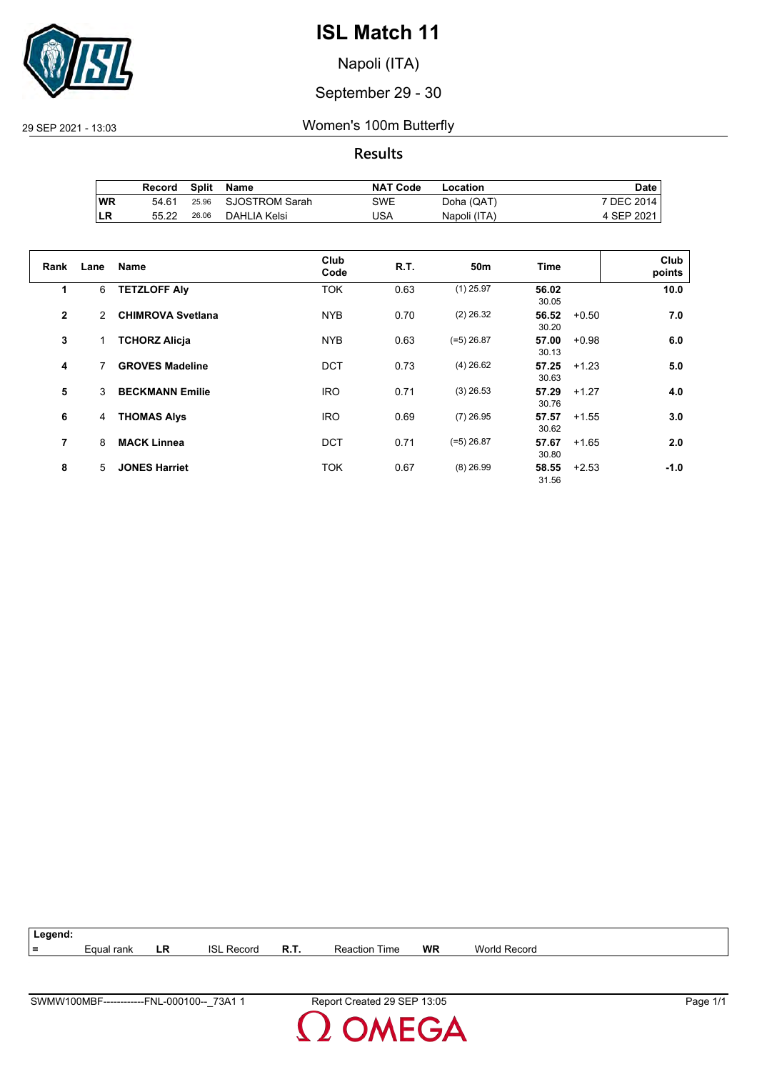

Napoli (ITA)

#### September 29 - 30

#### 29 SEP 2021 - 13:03 Women's 100m Butterfly

#### **Results**

|           | Record | Split | Name           | <b>NAT Code</b> | Location     | Date I     |
|-----------|--------|-------|----------------|-----------------|--------------|------------|
| <b>WR</b> | 54.61  | 25.96 | SJOSTROM Sarah | SWE             | Doha (QAT)   | 7 DEC 2014 |
| ILR       | 55.22  | 26.06 | DAHLIA Kelsi   | JSA             | Napoli (ITA) | 4 SEP 2021 |

| Rank         | Lane | <b>Name</b>              | Club<br>Code | R.T. | 50 <sub>m</sub> | Time           | Club<br>points    |
|--------------|------|--------------------------|--------------|------|-----------------|----------------|-------------------|
| 1            | 6    | <b>TETZLOFF Alv</b>      | <b>TOK</b>   | 0.63 | $(1)$ 25.97     | 56.02<br>30.05 | 10.0              |
| $\mathbf{2}$ | 2    | <b>CHIMROVA Svetlana</b> | <b>NYB</b>   | 0.70 | $(2)$ 26.32     | 56.52<br>30.20 | 7.0<br>$+0.50$    |
| 3            |      | <b>TCHORZ Alicja</b>     | <b>NYB</b>   | 0.63 | $(=5)$ 26.87    | 57.00<br>30.13 | 6.0<br>$+0.98$    |
| 4            | 7    | <b>GROVES Madeline</b>   | <b>DCT</b>   | 0.73 | $(4)$ 26.62     | 57.25<br>30.63 | 5.0<br>$+1.23$    |
| 5            | 3    | <b>BECKMANN Emilie</b>   | <b>IRO</b>   | 0.71 | $(3)$ 26.53     | 57.29<br>30.76 | 4.0<br>$+1.27$    |
| 6            | 4    | <b>THOMAS Alys</b>       | <b>IRO</b>   | 0.69 | $(7)$ 26.95     | 57.57<br>30.62 | 3.0<br>$+1.55$    |
| 7            | 8    | <b>MACK Linnea</b>       | <b>DCT</b>   | 0.71 | $(=5)$ 26.87    | 57.67<br>30.80 | 2.0<br>$+1.65$    |
| 8            | 5    | <b>JONES Harriet</b>     | <b>TOK</b>   | 0.67 | $(8)$ 26.99     | 58.55<br>31.56 | $+2.53$<br>$-1.0$ |

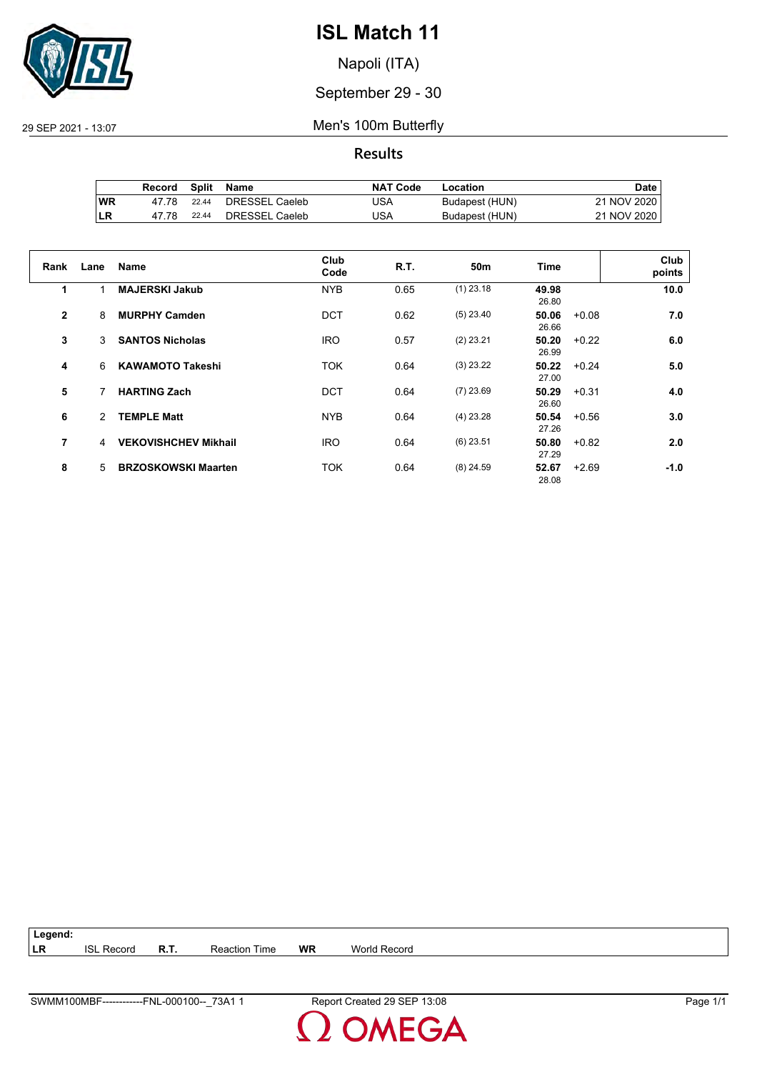

Napoli (ITA)

September 29 - 30

29 SEP 2021 - 13:07 Men's 100m Butterfly

**Results**

|     | Record | Split | Name           | <b>NAT Code</b> | Location       | Date i      |
|-----|--------|-------|----------------|-----------------|----------------|-------------|
| WR  | 47 78  | 22.44 | DRESSEL Caeleb | JSA             | Budapest (HUN) | 21 NOV 2020 |
| ILR | 47.78  | 22.44 | DRESSEL Caeleb | USA             | Budapest (HUN) | 21 NOV 2020 |

| Rank         | Lane | <b>Name</b>                 | Club<br>Code | R.T. | 50 <sub>m</sub> | Time                      | Club<br>points |
|--------------|------|-----------------------------|--------------|------|-----------------|---------------------------|----------------|
| 1            |      | <b>MAJERSKI Jakub</b>       | <b>NYB</b>   | 0.65 | $(1)$ 23.18     | 49.98<br>26.80            | 10.0           |
| $\mathbf{2}$ | 8    | <b>MURPHY Camden</b>        | <b>DCT</b>   | 0.62 | $(5)$ 23.40     | 50.06<br>$+0.08$<br>26.66 | 7.0            |
| 3            | 3    | <b>SANTOS Nicholas</b>      | <b>IRO</b>   | 0.57 | $(2)$ 23.21     | 50.20<br>$+0.22$<br>26.99 | 6.0            |
| 4            | 6    | <b>KAWAMOTO Takeshi</b>     | <b>TOK</b>   | 0.64 | $(3)$ 23.22     | 50.22<br>$+0.24$<br>27.00 | 5.0            |
| 5            | 7    | <b>HARTING Zach</b>         | DCT          | 0.64 | $(7)$ 23.69     | 50.29<br>$+0.31$<br>26.60 | 4.0            |
| 6            | 2    | <b>TEMPLE Matt</b>          | <b>NYB</b>   | 0.64 | $(4)$ 23.28     | 50.54<br>$+0.56$<br>27.26 | 3.0            |
| 7            | 4    | <b>VEKOVISHCHEV Mikhail</b> | <b>IRO</b>   | 0.64 | $(6)$ 23.51     | 50.80<br>$+0.82$<br>27.29 | 2.0            |
| 8            | 5    | <b>BRZOSKOWSKI Maarten</b>  | <b>TOK</b>   | 0.64 | $(8)$ 24.59     | 52.67<br>$+2.69$<br>28.08 | $-1.0$         |

**Legend: LR** ISL Record **R.T.** Reaction Time **WR** World Record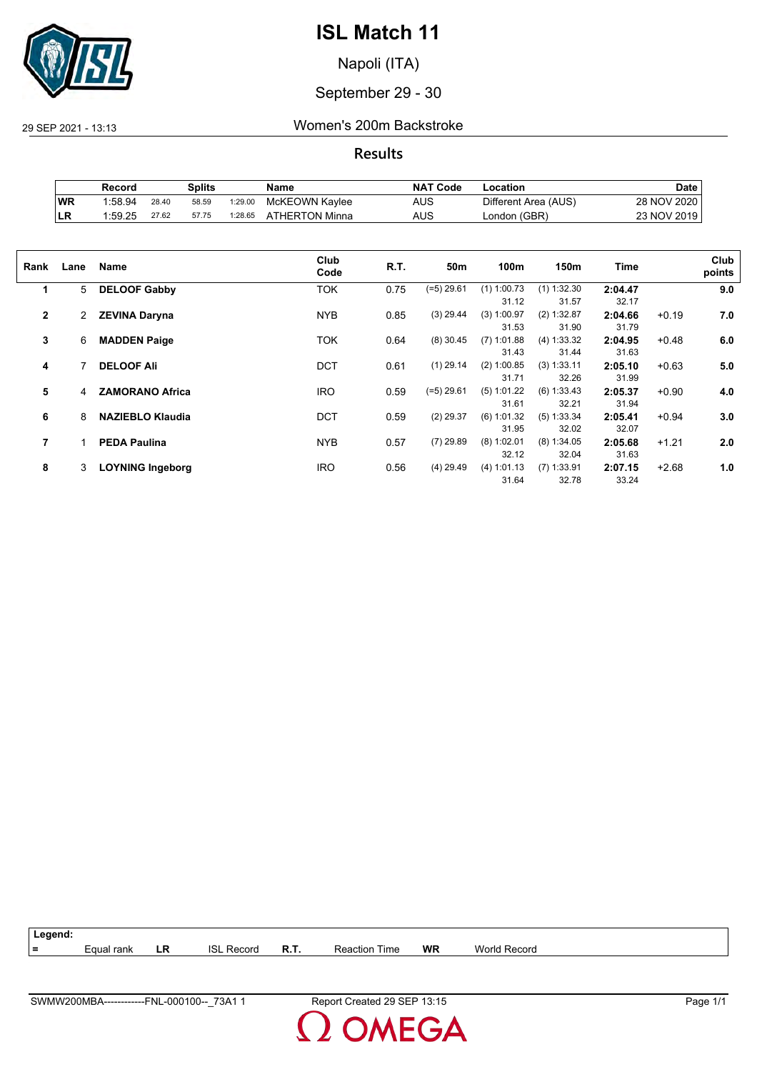

Napoli (ITA)

#### September 29 - 30

29 SEP 2021 - 13:13 Women's 200m Backstroke

**Results**

|     | Record  |       | Splits |         | Name           | <b>NAT Code</b> | Location             | Date        |
|-----|---------|-------|--------|---------|----------------|-----------------|----------------------|-------------|
| WR  | 1:58.94 | 28.40 | 58.59  | 1:29.00 | McKEOWN Kaylee | AUS             | Different Area (AUS) | 28 NOV 2020 |
| ∣LR | 1:59.25 | 27.62 | 57.75  | 1:28.65 | ATHERTON Minna | AUS             | London (GBR)         | 23 NOV 2019 |

| Rank         | Lane | Name                    | Club<br>Code | R.T. | 50m         | 100m          | 150m          | Time    |         | Club<br>points |
|--------------|------|-------------------------|--------------|------|-------------|---------------|---------------|---------|---------|----------------|
| 1            | 5    | <b>DELOOF Gabby</b>     | TOK          | 0.75 | (=5) 29.61  | $(1)$ 1:00.73 | $(1)$ 1:32.30 | 2:04.47 |         | 9.0            |
|              |      |                         |              |      |             | 31.12         | 31.57         | 32.17   |         |                |
| $\mathbf{2}$ | 2    | <b>ZEVINA Daryna</b>    | <b>NYB</b>   | 0.85 | $(3)$ 29.44 | (3) 1:00.97   | (2) 1:32.87   | 2:04.66 | $+0.19$ | 7.0            |
|              |      |                         |              |      |             | 31.53         | 31.90         | 31.79   |         |                |
| 3            | 6    | <b>MADDEN Paige</b>     | TOK          | 0.64 | $(8)$ 30.45 | $(7)$ 1:01.88 | (4) 1:33.32   | 2:04.95 | $+0.48$ | 6.0            |
|              |      |                         |              |      |             | 31.43         | 31.44         | 31.63   |         |                |
| 4            |      | <b>DELOOF Ali</b>       | <b>DCT</b>   | 0.61 | $(1)$ 29.14 | $(2)$ 1:00.85 | (3) 1:33.11   | 2:05.10 | $+0.63$ | 5.0            |
|              |      |                         |              |      |             | 31.71         | 32.26         | 31.99   |         |                |
| 5            | 4    | <b>ZAMORANO Africa</b>  | <b>IRO</b>   | 0.59 | (=5) 29.61  | $(5)$ 1:01.22 | $(6)$ 1:33.43 | 2:05.37 | $+0.90$ | 4.0            |
|              |      |                         |              |      |             | 31.61         | 32.21         | 31.94   |         |                |
| 6            | 8    | <b>NAZIEBLO Klaudia</b> | <b>DCT</b>   | 0.59 | $(2)$ 29.37 | (6) 1:01.32   | $(5)$ 1:33.34 | 2:05.41 | $+0.94$ | 3.0            |
|              |      |                         |              |      |             | 31.95         | 32.02         | 32.07   |         |                |
| 7            |      | <b>PEDA Paulina</b>     | <b>NYB</b>   | 0.57 | $(7)$ 29.89 | $(8)$ 1:02.01 | $(8)$ 1:34.05 | 2:05.68 | $+1.21$ | 2.0            |
|              |      |                         |              |      |             | 32.12         | 32.04         | 31.63   |         |                |
| 8            | 3    | <b>LOYNING Ingeborg</b> | <b>IRO</b>   | 0.56 | $(4)$ 29.49 | (4) 1:01.13   | $(7)$ 1:33.91 | 2:07.15 | $+2.68$ | 1.0            |
|              |      |                         |              |      |             | 31.64         | 32.78         | 33.24   |         |                |
|              |      |                         |              |      |             |               |               |         |         |                |

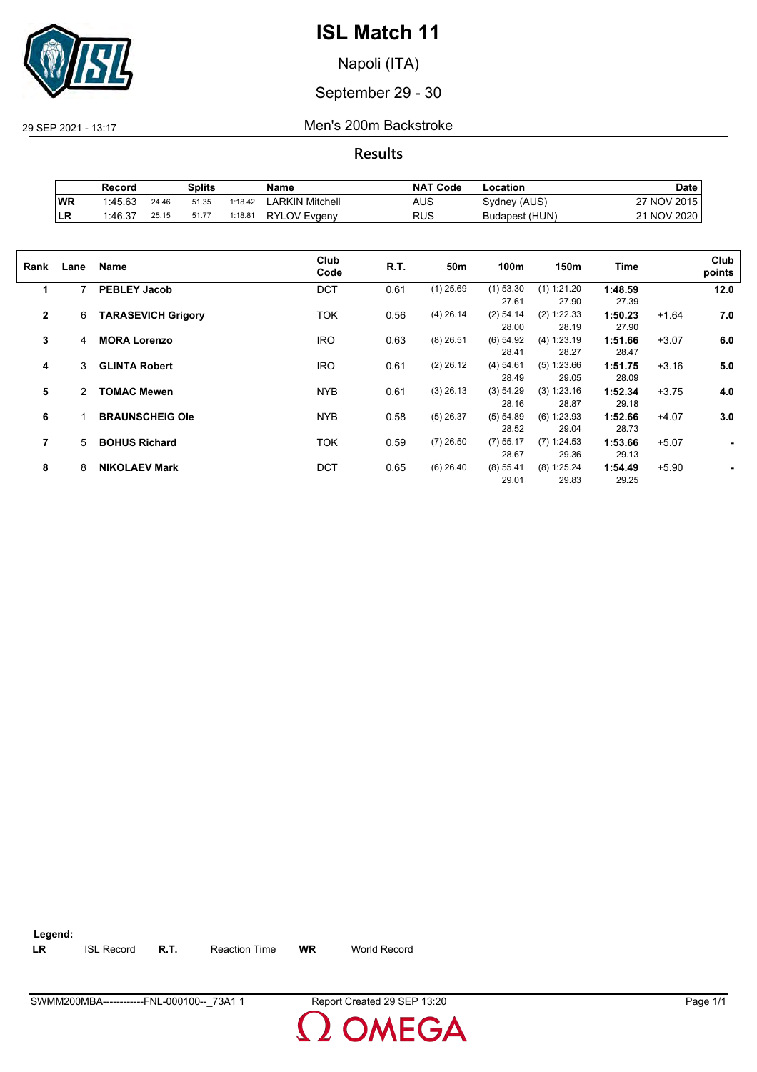

Napoli (ITA)

### September 29 - 30

29 SEP 2021 - 13:17 Men's 200m Backstroke

**Results**

|           | Record  |       | <b>Splits</b> |         | Name                | <b>NAT Code</b> | Location       | Date          |
|-----------|---------|-------|---------------|---------|---------------------|-----------------|----------------|---------------|
| <b>WR</b> | 1:45.63 | 24.46 | 51.35         | 1:18.42 | LARKIN Mitchell     | AUS             | Sydney (AUS)   | 27 NOV 2015   |
| ILR       | 1:46.37 | 25.15 | 51.77         | 1:18.81 | <b>RYLOV Evgeny</b> | RUS             | Budapest (HUN) | 21 NOV 2020 L |

| Rank           | Lane | Name                      | Club<br>Code | R.T. | 50m         | 100m                 | 150m                   | Time             |         | Club<br>points |
|----------------|------|---------------------------|--------------|------|-------------|----------------------|------------------------|------------------|---------|----------------|
| 1              | 7    | <b>PEBLEY Jacob</b>       | <b>DCT</b>   | 0.61 | $(1)$ 25.69 | $(1)$ 53.30<br>27.61 | $(1)$ 1:21.20<br>27.90 | 1:48.59<br>27.39 |         | 12.0           |
| $\overline{2}$ | 6    | <b>TARASEVICH Grigory</b> | <b>TOK</b>   | 0.56 | $(4)$ 26.14 | $(2)$ 54.14<br>28.00 | (2) 1:22.33<br>28.19   | 1:50.23<br>27.90 | $+1.64$ | 7.0            |
| 3              | 4    | <b>MORA Lorenzo</b>       | <b>IRO</b>   | 0.63 | $(8)$ 26.51 | (6) 54.92<br>28.41   | (4) 1:23.19<br>28.27   | 1:51.66<br>28.47 | $+3.07$ | 6.0            |
| 4              | 3    | <b>GLINTA Robert</b>      | <b>IRO</b>   | 0.61 | $(2)$ 26.12 | (4) 54.61<br>28.49   | (5) 1:23.66<br>29.05   | 1:51.75<br>28.09 | $+3.16$ | 5.0            |
| 5              | 2    | <b>TOMAC Mewen</b>        | <b>NYB</b>   | 0.61 | $(3)$ 26.13 | (3) 54.29<br>28.16   | (3) 1:23.16<br>28.87   | 1:52.34<br>29.18 | $+3.75$ | 4.0            |
| 6              |      | <b>BRAUNSCHEIG Ole</b>    | <b>NYB</b>   | 0.58 | $(5)$ 26.37 | (5) 54.89<br>28.52   | $(6)$ 1:23.93<br>29.04 | 1:52.66<br>28.73 | $+4.07$ | 3.0            |
| 7              | 5    | <b>BOHUS Richard</b>      | <b>TOK</b>   | 0.59 | $(7)$ 26.50 | $(7)$ 55.17<br>28.67 | (7) 1:24.53<br>29.36   | 1:53.66<br>29.13 | $+5.07$ | ٠              |
| 8              | 8    | <b>NIKOLAEV Mark</b>      | <b>DCT</b>   | 0.65 | $(6)$ 26.40 | $(8)$ 55.41<br>29.01 | $(8)$ 1:25.24<br>29.83 | 1:54.49<br>29.25 | $+5.90$ |                |

| $\vert$ Legend: |                   |                      |    |                     |
|-----------------|-------------------|----------------------|----|---------------------|
| LR              | <b>ISL Record</b> | <b>Reaction Time</b> | WR | <b>World Record</b> |

**DMEGA**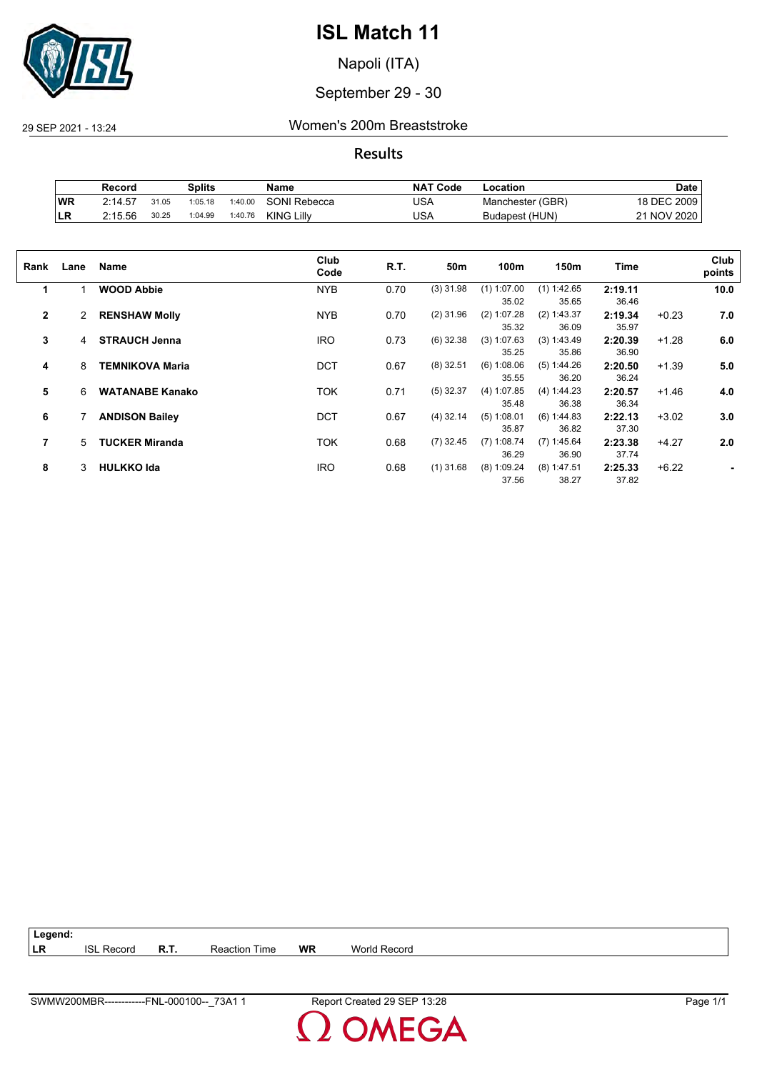

Napoli (ITA)

### September 29 - 30

29 SEP 2021 - 13:24 Women's 200m Breaststroke

**Results**

|           | Record  |       | Splits  |         | Name                | <b>NAT</b><br>ˈ Code | -ocation         | <b>Date</b>            |
|-----------|---------|-------|---------|---------|---------------------|----------------------|------------------|------------------------|
| <b>WR</b> | 2:14.57 | 31.05 | 1:05.18 | 1:40.00 | <b>SONI Rebecca</b> | USA                  | Manchester (GBR) | 18 DEC 2009            |
| ΙLR       | 2:15.56 | 30.25 | 1:04.99 | 1:40.76 | <b>KING Lilly</b>   | USA                  | Budapest (HUN)   | <b>NOV 2020</b><br>າ 1 |

| Rank           | Lane | Name                   | Club<br>Code | R.T. | 50m         | 100m                   | 150m                   | Time             |         | Club<br>points |
|----------------|------|------------------------|--------------|------|-------------|------------------------|------------------------|------------------|---------|----------------|
| 1              |      | <b>WOOD Abbie</b>      | <b>NYB</b>   | 0.70 | $(3)$ 31.98 | $(1)$ 1:07.00<br>35.02 | $(1)$ 1:42.65<br>35.65 | 2:19.11<br>36.46 |         | 10.0           |
| $\mathbf{2}$   | 2    | <b>RENSHAW Molly</b>   | <b>NYB</b>   | 0.70 | $(2)$ 31.96 | $(2)$ 1:07.28<br>35.32 | (2) 1:43.37<br>36.09   | 2:19.34<br>35.97 | $+0.23$ | 7.0            |
| 3              | 4    | <b>STRAUCH Jenna</b>   | <b>IRO</b>   | 0.73 | $(6)$ 32.38 | (3) 1:07.63<br>35.25   | (3) 1:43.49<br>35.86   | 2:20.39<br>36.90 | $+1.28$ | 6.0            |
| 4              | 8    | <b>TEMNIKOVA Maria</b> | <b>DCT</b>   | 0.67 | $(8)$ 32.51 | (6) 1:08.06<br>35.55   | (5) 1:44.26<br>36.20   | 2:20.50<br>36.24 | $+1.39$ | 5.0            |
| 5              | 6    | <b>WATANABE Kanako</b> | <b>TOK</b>   | 0.71 | $(5)$ 32.37 | (4) 1:07.85<br>35.48   | (4) 1:44.23<br>36.38   | 2:20.57<br>36.34 | $+1.46$ | 4.0            |
| 6              |      | <b>ANDISON Bailey</b>  | <b>DCT</b>   | 0.67 | $(4)$ 32.14 | $(5)$ 1:08.01<br>35.87 | (6) 1:44.83<br>36.82   | 2:22.13<br>37.30 | $+3.02$ | 3.0            |
| $\overline{7}$ | 5    | <b>TUCKER Miranda</b>  | <b>TOK</b>   | 0.68 | $(7)$ 32.45 | $(7)$ 1:08.74<br>36.29 | (7) 1:45.64<br>36.90   | 2:23.38<br>37.74 | $+4.27$ | 2.0            |
| 8              | 3    | <b>HULKKO Ida</b>      | <b>IRO</b>   | 0.68 | $(1)$ 31.68 | $(8)$ 1:09.24<br>37.56 | $(8)$ 1:47.51<br>38.27 | 2:25.33<br>37.82 | $+6.22$ |                |

| Legend: |                   |                      |    |                     |
|---------|-------------------|----------------------|----|---------------------|
| l LR    | <b>ISL Record</b> | <b>Reaction Time</b> | WR | <b>World Record</b> |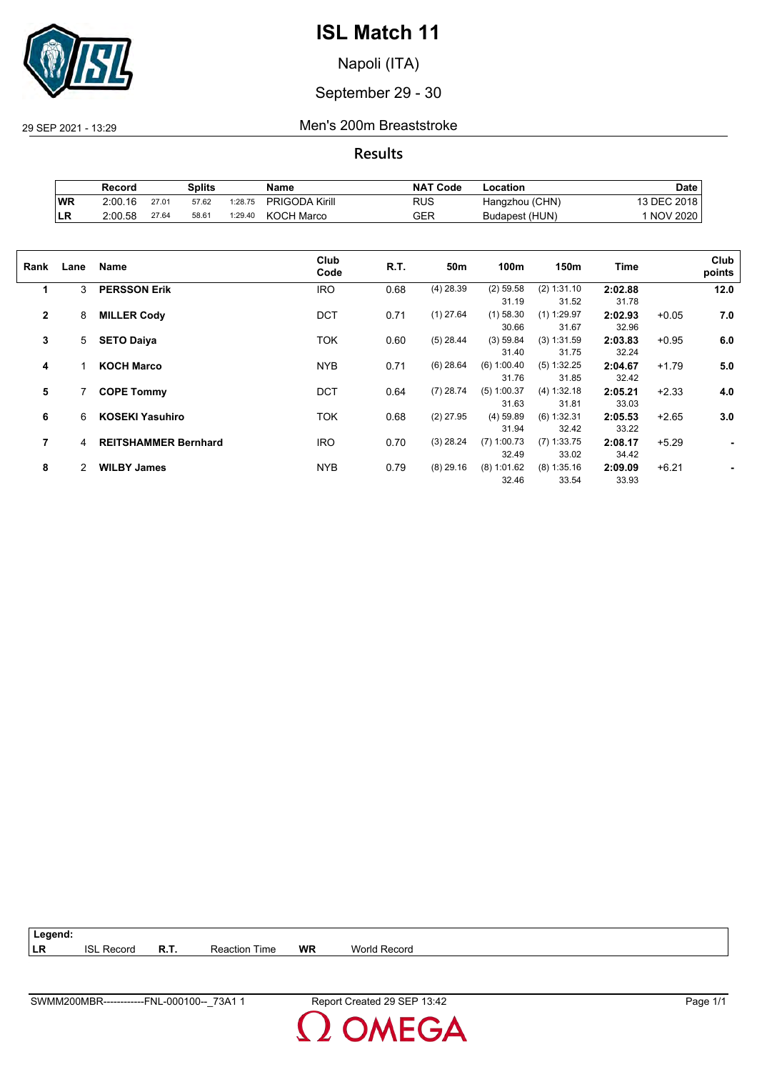

Napoli (ITA)

### September 29 - 30

29 SEP 2021 - 13:29 Men's 200m Breaststroke

**Results**

|            | Record  |       | Splits |         | Name                  | <b>NAT Code</b> | Location       | Date        |
|------------|---------|-------|--------|---------|-----------------------|-----------------|----------------|-------------|
| WR         | 2:00.16 | 27.01 | 57.62  | 1:28.75 | <b>PRIGODA Kirill</b> | RUS             | Hangzhou (CHN) | 13 DEC 2018 |
| <b>ILR</b> | 2:00.58 | 27.64 | 58.61  | 1:29.40 | KOCH Marco            | GER             | Budapest (HUN) | 1 NOV 2020  |

| Rank           | Lane | Name                        | Club<br>Code | R.T. | 50m         | 100m          | 150m          | Time    |         | Club<br>points |
|----------------|------|-----------------------------|--------------|------|-------------|---------------|---------------|---------|---------|----------------|
| 1              | 3    | <b>PERSSON Erik</b>         | <b>IRO</b>   | 0.68 | $(4)$ 28.39 | $(2)$ 59.58   | (2) 1:31.10   | 2:02.88 |         | 12.0           |
|                |      |                             |              |      |             | 31.19         | 31.52         | 31.78   |         |                |
| $\overline{2}$ | 8    | <b>MILLER Cody</b>          | <b>DCT</b>   | 0.71 | $(1)$ 27.64 | $(1)$ 58.30   | $(1)$ 1:29.97 | 2:02.93 | $+0.05$ | 7.0            |
|                |      |                             |              |      |             | 30.66         | 31.67         | 32.96   |         |                |
| 3              | 5    | <b>SETO Daiya</b>           | <b>TOK</b>   | 0.60 | $(5)$ 28.44 | (3) 59.84     | (3) 1:31.59   | 2:03.83 | $+0.95$ | 6.0            |
|                |      |                             |              |      |             | 31.40         | 31.75         | 32.24   |         |                |
| 4              |      | <b>KOCH Marco</b>           | <b>NYB</b>   | 0.71 | $(6)$ 28.64 | (6) 1:00.40   | (5) 1:32.25   | 2:04.67 | $+1.79$ | 5.0            |
|                |      |                             |              |      |             | 31.76         | 31.85         | 32.42   |         |                |
| 5              |      | <b>COPE Tommy</b>           | <b>DCT</b>   | 0.64 | $(7)$ 28.74 | $(5)$ 1:00.37 | (4) 1:32.18   | 2:05.21 | $+2.33$ | 4.0            |
|                |      |                             |              |      |             | 31.63         | 31.81         | 33.03   |         |                |
| 6              | 6    | <b>KOSEKI Yasuhiro</b>      | <b>TOK</b>   | 0.68 | $(2)$ 27.95 | $(4)$ 59.89   | $(6)$ 1:32.31 | 2:05.53 | $+2.65$ | 3.0            |
|                |      |                             |              |      |             | 31.94         | 32.42         | 33.22   |         |                |
| 7              | 4    | <b>REITSHAMMER Bernhard</b> | <b>IRO</b>   | 0.70 | $(3)$ 28.24 | $(7)$ 1:00.73 | $(7)$ 1:33.75 | 2:08.17 | $+5.29$ | ٠              |
|                |      |                             |              |      |             | 32.49         | 33.02         | 34.42   |         |                |
| 8              | 2    | <b>WILBY James</b>          | <b>NYB</b>   | 0.79 | $(8)$ 29.16 | $(8)$ 1:01.62 | $(8)$ 1:35.16 | 2:09.09 | $+6.21$ |                |
|                |      |                             |              |      |             | 32.46         | 33.54         | 33.93   |         |                |
|                |      |                             |              |      |             |               |               |         |         |                |

| $\vert$ Legend: |                   |             |                      |           |                     |
|-----------------|-------------------|-------------|----------------------|-----------|---------------------|
| ∣LR             | <b>ISL Record</b> | <b>R.T.</b> | <b>Reaction Time</b> | <b>WR</b> | <b>World Record</b> |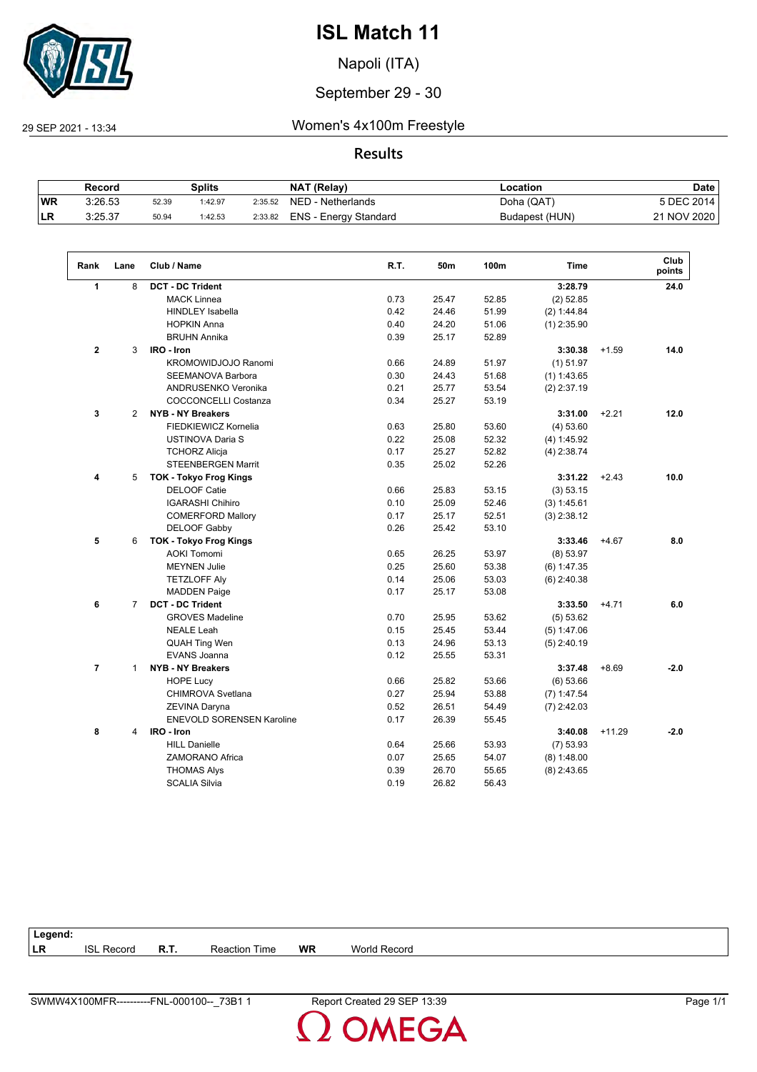

Napoli (ITA)

#### September 29 - 30

29 SEP 2021 - 13:34 Women's 4x100m Freestyle

#### **Results**

|           | Record  |       | Splits  |         | <b>NAT (Relay)</b>    | -ocation       | Date        |
|-----------|---------|-------|---------|---------|-----------------------|----------------|-------------|
| <b>WR</b> | 3:26.53 | 52.39 | 1:42.97 | 2:35.52 | NED - Netherlands     | Doha (QAT)     | 5 DEC 2014  |
| ∣LR       | 3:25.37 | 50.94 | 1:42.53 | 2:33.82 | ENS - Energy Standard | Budapest (HUN) | 21 NOV 2020 |

| Rank           | Lane           | Club / Name                      | R.T. | 50m   | 100m  | <b>Time</b>   |          | Club<br>points |
|----------------|----------------|----------------------------------|------|-------|-------|---------------|----------|----------------|
| $\mathbf{1}$   | 8              | <b>DCT - DC Trident</b>          |      |       |       | 3:28.79       |          | 24.0           |
|                |                | <b>MACK Linnea</b>               | 0.73 | 25.47 | 52.85 | $(2)$ 52.85   |          |                |
|                |                | <b>HINDLEY Isabella</b>          | 0.42 | 24.46 | 51.99 | (2) 1:44.84   |          |                |
|                |                | <b>HOPKIN Anna</b>               | 0.40 | 24.20 | 51.06 | $(1)$ 2:35.90 |          |                |
|                |                | <b>BRUHN Annika</b>              | 0.39 | 25.17 | 52.89 |               |          |                |
| $\overline{2}$ | 3              | IRO - Iron                       |      |       |       | 3:30.38       | $+1.59$  | 14.0           |
|                |                | KROMOWIDJOJO Ranomi              | 0.66 | 24.89 | 51.97 | $(1)$ 51.97   |          |                |
|                |                | <b>SEEMANOVA Barbora</b>         | 0.30 | 24.43 | 51.68 | $(1)$ 1:43.65 |          |                |
|                |                | ANDRUSENKO Veronika              | 0.21 | 25.77 | 53.54 | $(2)$ 2:37.19 |          |                |
|                |                | COCCONCELLI Costanza             | 0.34 | 25.27 | 53.19 |               |          |                |
| 3              | $\overline{2}$ | <b>NYB - NY Breakers</b>         |      |       |       | 3:31.00       | $+2.21$  | 12.0           |
|                |                | FIEDKIEWICZ Kornelia             | 0.63 | 25.80 | 53.60 | (4) 53.60     |          |                |
|                |                | USTINOVA Daria S                 | 0.22 | 25.08 | 52.32 | (4) 1:45.92   |          |                |
|                |                | <b>TCHORZ Alicja</b>             | 0.17 | 25.27 | 52.82 | $(4)$ 2:38.74 |          |                |
|                |                | <b>STEENBERGEN Marrit</b>        | 0.35 | 25.02 | 52.26 |               |          |                |
| 4              | 5              | <b>TOK - Tokyo Frog Kings</b>    |      |       |       | 3:31.22       | $+2.43$  | 10.0           |
|                |                | <b>DELOOF Catie</b>              | 0.66 | 25.83 | 53.15 | (3) 53.15     |          |                |
|                |                | <b>IGARASHI Chihiro</b>          | 0.10 | 25.09 | 52.46 | (3) 1:45.61   |          |                |
|                |                | <b>COMERFORD Mallory</b>         | 0.17 | 25.17 | 52.51 | $(3)$ 2:38.12 |          |                |
|                |                | <b>DELOOF Gabby</b>              | 0.26 | 25.42 | 53.10 |               |          |                |
| 5              | 6              | <b>TOK - Tokyo Frog Kings</b>    |      |       |       | 3:33.46       | $+4.67$  | 8.0            |
|                |                | <b>AOKI Tomomi</b>               | 0.65 | 26.25 | 53.97 | (8) 53.97     |          |                |
|                |                | <b>MEYNEN Julie</b>              | 0.25 | 25.60 | 53.38 | (6) 1:47.35   |          |                |
|                |                | <b>TETZLOFF Aly</b>              | 0.14 | 25.06 | 53.03 | $(6)$ 2:40.38 |          |                |
|                |                | <b>MADDEN Paige</b>              | 0.17 | 25.17 | 53.08 |               |          |                |
| 6              | $\overline{7}$ | <b>DCT - DC Trident</b>          |      |       |       | 3:33.50       | $+4.71$  | 6.0            |
|                |                | <b>GROVES Madeline</b>           | 0.70 | 25.95 | 53.62 | (5) 53.62     |          |                |
|                |                | <b>NEALE Leah</b>                | 0.15 | 25.45 | 53.44 | (5) 1:47.06   |          |                |
|                |                | <b>QUAH Ting Wen</b>             | 0.13 | 24.96 | 53.13 | $(5)$ 2:40.19 |          |                |
|                |                | EVANS Joanna                     | 0.12 | 25.55 | 53.31 |               |          |                |
| $\overline{7}$ | $\mathbf{1}$   | <b>NYB - NY Breakers</b>         |      |       |       | 3:37.48       | $+8.69$  | $-2.0$         |
|                |                | <b>HOPE Lucy</b>                 | 0.66 | 25.82 | 53.66 | (6) 53.66     |          |                |
|                |                | CHIMROVA Svetlana                | 0.27 | 25.94 | 53.88 | $(7)$ 1:47.54 |          |                |
|                |                | <b>ZEVINA Daryna</b>             | 0.52 | 26.51 | 54.49 | $(7)$ 2:42.03 |          |                |
|                |                | <b>ENEVOLD SORENSEN Karoline</b> | 0.17 | 26.39 | 55.45 |               |          |                |
| 8              | 4              | IRO - Iron                       |      |       |       | 3:40.08       | $+11.29$ | $-2.0$         |
|                |                | <b>HILL Danielle</b>             | 0.64 | 25.66 | 53.93 | $(7)$ 53.93   |          |                |
|                |                | ZAMORANO Africa                  | 0.07 | 25.65 | 54.07 | $(8)$ 1:48.00 |          |                |
|                |                | <b>THOMAS Alys</b>               | 0.39 | 26.70 | 55.65 | $(8)$ 2:43.65 |          |                |
|                |                | <b>SCALIA Silvia</b>             | 0.19 | 26.82 | 56.43 |               |          |                |

| Legend:   |               |      |                  |           |                          |
|-----------|---------------|------|------------------|-----------|--------------------------|
| <b>LR</b> | ופו<br>Record | R.T. | Time<br>Reaction | <b>WR</b> | <b>World</b><br>d Record |
|           |               |      |                  |           |                          |

**OMEGA**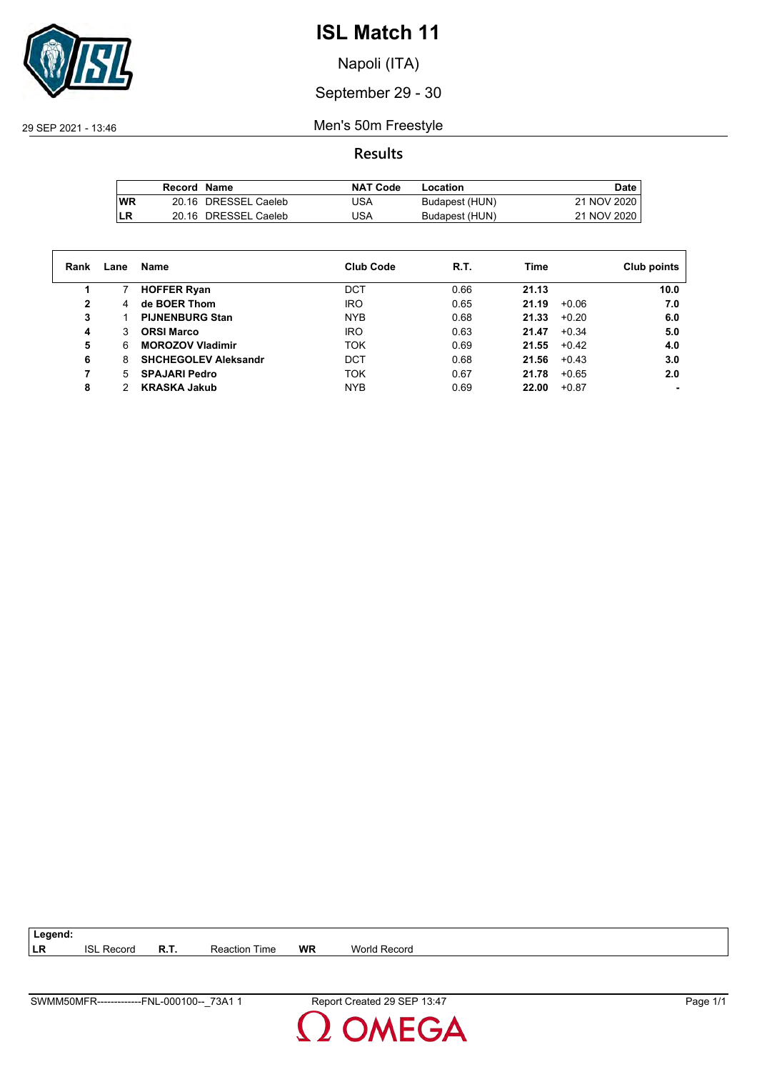

Napoli (ITA)

### September 29 - 30

29 SEP 2021 - 13:46 Men's 50m Freestyle

**Results**

|           | Record Name |                      | <b>NAT Code</b> | Location       | Date        |
|-----------|-------------|----------------------|-----------------|----------------|-------------|
| <b>WR</b> |             | 20.16 DRESSEL Caeleb | <b>USA</b>      | Budapest (HUN) | 21 NOV 2020 |
| LR        |             | 20.16 DRESSEL Caeleb | USA             | Budapest (HUN) | 21 NOV 2020 |

| Rank | Lane | Name                        | <b>Club Code</b> | R.T. | Time  |         | Club points |
|------|------|-----------------------------|------------------|------|-------|---------|-------------|
|      |      | <b>HOFFER Ryan</b>          | DCT              | 0.66 | 21.13 |         | 10.0        |
| 2    | 4    | de BOER Thom                | <b>IRO</b>       | 0.65 | 21.19 | $+0.06$ | 7.0         |
| 3    |      | <b>PIJNENBURG Stan</b>      | <b>NYB</b>       | 0.68 | 21.33 | $+0.20$ | 6.0         |
| 4    | 3    | <b>ORSI Marco</b>           | <b>IRO</b>       | 0.63 | 21.47 | $+0.34$ | 5.0         |
| 5    | 6    | <b>MOROZOV Vladimir</b>     | TOK              | 0.69 | 21.55 | $+0.42$ | 4.0         |
| 6    | 8    | <b>SHCHEGOLEV Aleksandr</b> | <b>DCT</b>       | 0.68 | 21.56 | $+0.43$ | 3.0         |
|      | 5.   | <b>SPAJARI Pedro</b>        | <b>TOK</b>       | 0.67 | 21.78 | $+0.65$ | 2.0         |
| 8    |      | <b>KRASKA Jakub</b>         | <b>NYB</b>       | 0.69 | 22.00 | $+0.87$ |             |

| 73A<br><b>SWM</b><br>nr.<br>FNI.<br>nn<br>,∪MFF<br>$10-$<br>. UU-<br><b>Unit</b> | 13.4<br>Re.<br>эE | Page |
|----------------------------------------------------------------------------------|-------------------|------|

**LR** ISL Record **R.T.** Reaction Time **WR** World Record

**Legend:**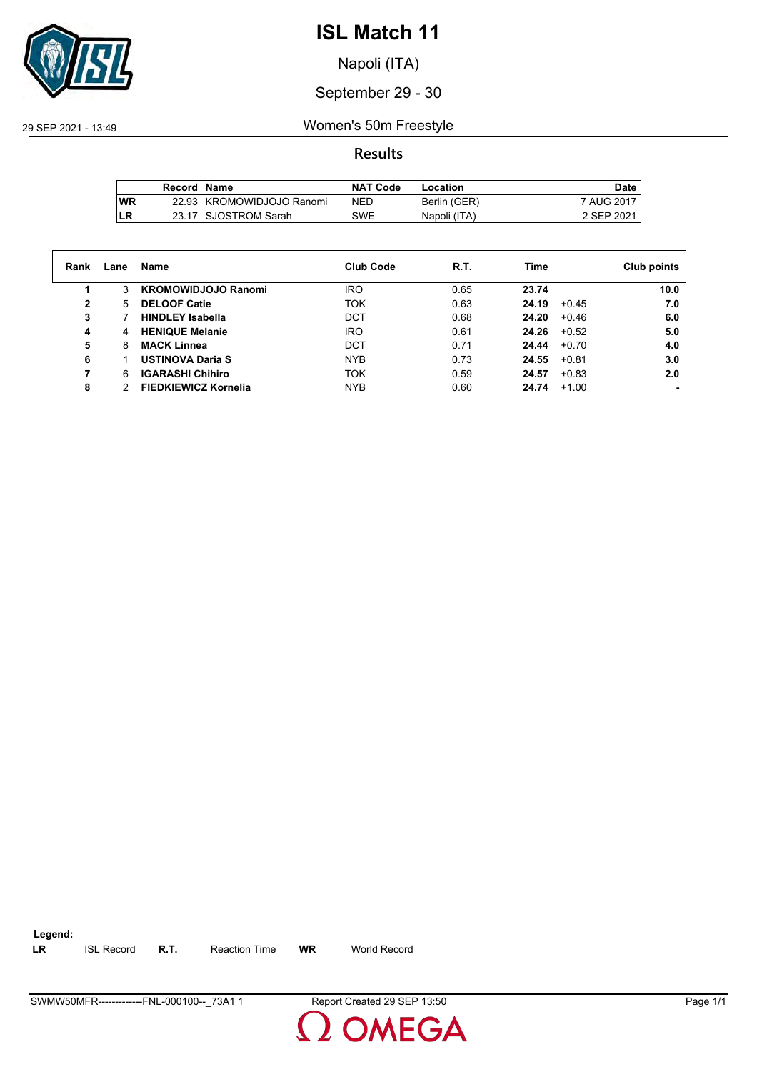

Napoli (ITA)

#### September 29 - 30

29 SEP 2021 - 13:49 Women's 50m Freestyle

#### **Results**

|     | Record Name |                           | <b>NAT Code</b> | Location     | Date l     |
|-----|-------------|---------------------------|-----------------|--------------|------------|
| lWR |             | 22.93 KROMOWIDJOJO Ranomi | NED             | Berlin (GER) | 7 AUG 2017 |
| LR  |             | 23.17 SJOSTROM Sarah      | SWE             | Napoli (ITA) | 2 SEP 2021 |

| Rank | Lane | Name                        | <b>Club Code</b> | R.T. | Time             | Club points |
|------|------|-----------------------------|------------------|------|------------------|-------------|
|      | 3    | <b>KROMOWIDJOJO Ranomi</b>  | <b>IRO</b>       | 0.65 | 23.74            | 10.0        |
| 2    | 5    | <b>DELOOF Catie</b>         | <b>TOK</b>       | 0.63 | 24.19<br>$+0.45$ | 7.0         |
| 3    |      | <b>HINDLEY Isabella</b>     | DCT              | 0.68 | 24.20<br>$+0.46$ | 6.0         |
| 4    | 4    | <b>HENIQUE Melanie</b>      | <b>IRO</b>       | 0.61 | 24.26<br>$+0.52$ | 5.0         |
| 5    | 8    | <b>MACK Linnea</b>          | DCT              | 0.71 | 24.44<br>$+0.70$ | 4.0         |
| 6    |      | <b>USTINOVA Daria S</b>     | <b>NYB</b>       | 0.73 | 24.55<br>$+0.81$ | 3.0         |
|      | 6    | <b>IGARASHI Chihiro</b>     | <b>TOK</b>       | 0.59 | $+0.83$<br>24.57 | 2.0         |
| 8    |      | <b>FIEDKIEWICZ Kornelia</b> | <b>NYB</b>       | 0.60 | 24.74<br>$+1.00$ |             |

**LR** ISL Record **R.T.** Reaction Time **WR** World Record

**Legend:**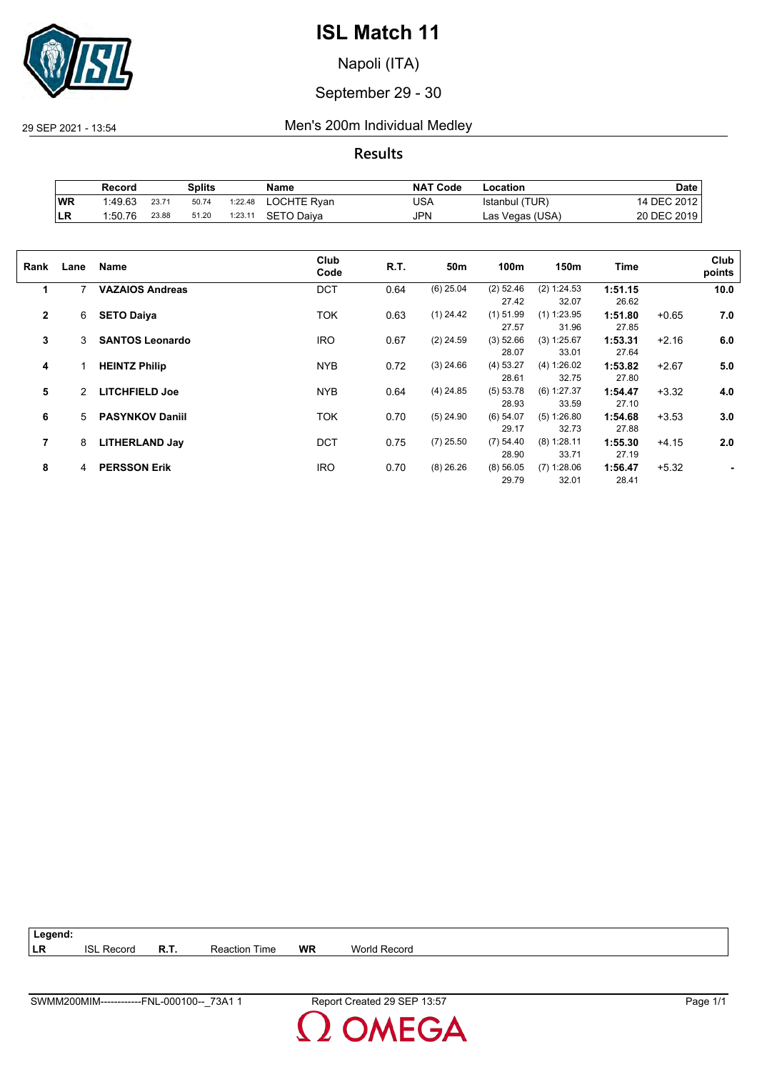

Napoli (ITA)

#### September 29 - 30

29 SEP 2021 - 13:54 Men's 200m Individual Medley

**Results**

|    | Record  |       | Splits |         | Name        | <b>NAT Code</b> | Location        | Date        |
|----|---------|-------|--------|---------|-------------|-----------------|-----------------|-------------|
| WR | 1.49.63 | 23.71 | 50.74  | 1:22.48 | LOCHTE Ryan | USA             | Istanbul (TUR)  | 14 DEC 2012 |
| LR | 1:50.76 | 23.88 | 51.20  | 1:23.11 | SETO Daiva  | <b>JPN</b>      | Las Vegas (USA) | 20 DEC 2019 |

| Rank           | Lane | Name                   | Club<br>Code | R.T. | 50 <sub>m</sub> | 100m        | 150m          | Time    |         | Club<br>points |
|----------------|------|------------------------|--------------|------|-----------------|-------------|---------------|---------|---------|----------------|
| 1              | 7    | <b>VAZAIOS Andreas</b> | <b>DCT</b>   | 0.64 | $(6)$ 25.04     | $(2)$ 52.46 | (2) 1:24.53   | 1:51.15 |         | 10.0           |
|                |      |                        |              |      |                 | 27.42       | 32.07         | 26.62   |         |                |
| $\overline{2}$ | 6    | <b>SETO Daiya</b>      | <b>TOK</b>   | 0.63 | $(1)$ 24.42     | $(1)$ 51.99 | $(1)$ 1:23.95 | 1:51.80 | $+0.65$ | 7.0            |
|                |      |                        |              |      |                 | 27.57       | 31.96         | 27.85   |         |                |
| 3              | 3    | <b>SANTOS Leonardo</b> | <b>IRO</b>   | 0.67 | $(2)$ 24.59     | (3) 52.66   | (3) 1:25.67   | 1:53.31 | $+2.16$ | 6.0            |
|                |      |                        |              |      |                 | 28.07       | 33.01         | 27.64   |         |                |
| 4              | 1    | <b>HEINTZ Philip</b>   | <b>NYB</b>   | 0.72 | $(3)$ 24.66     | (4) 53.27   | (4) 1:26.02   | 1:53.82 | $+2.67$ | 5.0            |
|                |      |                        |              |      |                 | 28.61       | 32.75         | 27.80   |         |                |
| 5              | 2    | <b>LITCHFIELD Joe</b>  | <b>NYB</b>   | 0.64 | $(4)$ 24.85     | (5) 53.78   | $(6)$ 1:27.37 | 1:54.47 | $+3.32$ | 4.0            |
|                |      |                        |              |      |                 | 28.93       | 33.59         | 27.10   |         |                |
| 6              | 5    | <b>PASYNKOV Daniil</b> | <b>TOK</b>   | 0.70 | $(5)$ 24.90     | (6) 54.07   | (5) 1:26.80   | 1:54.68 | $+3.53$ | 3.0            |
|                |      |                        |              |      |                 | 29.17       | 32.73         | 27.88   |         |                |
| 7              | 8    | <b>LITHERLAND Jay</b>  | <b>DCT</b>   | 0.75 | $(7)$ 25.50     | (7) 54.40   | $(8)$ 1:28.11 | 1:55.30 | $+4.15$ | 2.0            |
|                |      |                        |              |      |                 | 28.90       | 33.71         | 27.19   |         |                |
| 8              | 4    | <b>PERSSON Erik</b>    | <b>IRO</b>   | 0.70 | $(8)$ 26.26     | $(8)$ 56.05 | $(7)$ 1:28.06 | 1:56.47 | $+5.32$ |                |
|                |      |                        |              |      |                 | 29.79       | 32.01         | 28.41   |         |                |

| $\vert$ Legend: |                   |             |               |    |                     |
|-----------------|-------------------|-------------|---------------|----|---------------------|
| ∣LR             | <b>ISL Record</b> | <b>R.T.</b> | Reaction Time | WR | <b>World Record</b> |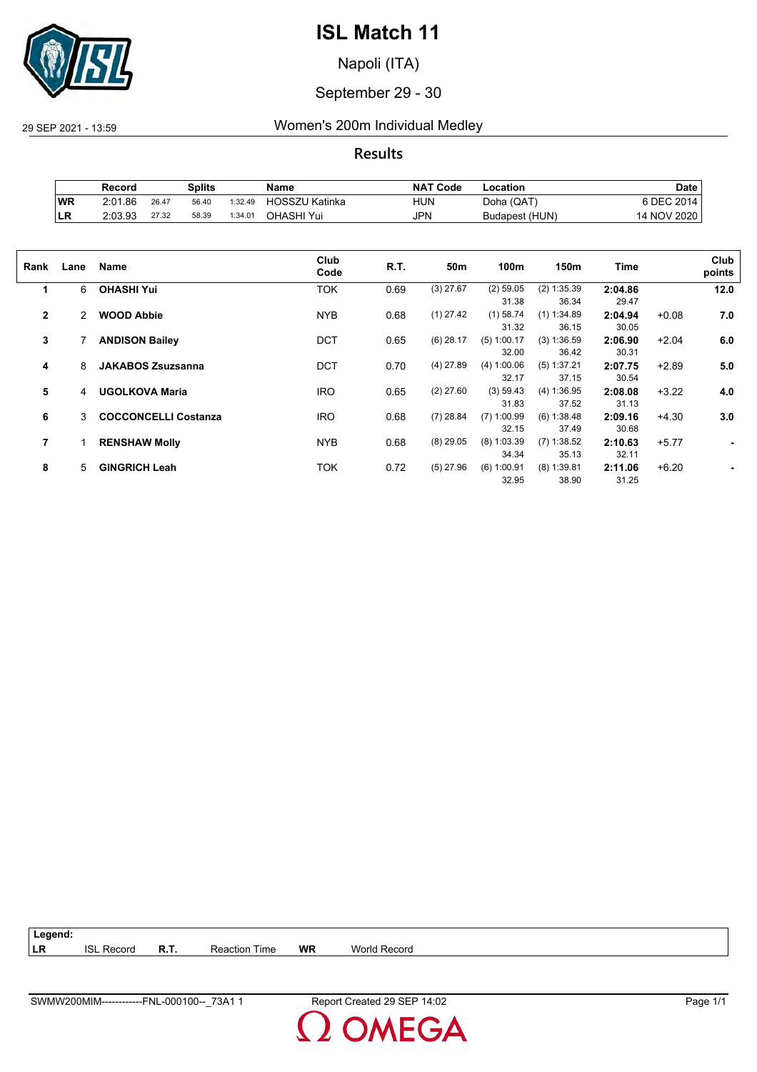

Napoli (ITA)

#### September 29 - 30

29 SEP 2021 - 13:59 Women's 200m Individual Medley

**Results**

|           | Record  |       | Splits |         | Name                  | <b>NAT Code</b> | ∟ocation       | Date             |
|-----------|---------|-------|--------|---------|-----------------------|-----------------|----------------|------------------|
| <b>WR</b> | 2:01.86 | 26.47 | 56.40  | 1:32.49 | <b>HOSSZU Katinka</b> | HUN             | Doha (QAT)     | <b>SDEC 2014</b> |
| ∣LR       | 2:03.93 | 27.32 | 58.39  | 1:34.01 | OHASHI Yui            | <b>JPN</b>      | Budapest (HUN) | 14 NOV 2020      |

| Rank           | Lane | Name                        | Club<br>Code | R.T. | 50m         | 100m          | 150m          | <b>Time</b> |         | Club<br>points |
|----------------|------|-----------------------------|--------------|------|-------------|---------------|---------------|-------------|---------|----------------|
| 1              | 6    | <b>OHASHI Yui</b>           | TOK          | 0.69 | $(3)$ 27.67 | $(2)$ 59.05   | $(2)$ 1:35.39 | 2:04.86     |         | 12.0           |
|                |      |                             |              |      |             | 31.38         | 36.34         | 29.47       |         |                |
| $\overline{2}$ | 2    | <b>WOOD Abbie</b>           | <b>NYB</b>   | 0.68 | $(1)$ 27.42 | $(1)$ 58.74   | $(1)$ 1:34.89 | 2:04.94     | $+0.08$ | 7.0            |
|                |      |                             |              |      |             | 31.32         | 36.15         | 30.05       |         |                |
| 3              |      | <b>ANDISON Bailey</b>       | <b>DCT</b>   | 0.65 | $(6)$ 28.17 | $(5)$ 1:00.17 | (3) 1:36.59   | 2:06.90     | $+2.04$ | 6.0            |
|                |      |                             |              |      |             | 32.00         | 36.42         | 30.31       |         |                |
| 4              | 8    | <b>JAKABOS Zsuzsanna</b>    | <b>DCT</b>   | 0.70 | $(4)$ 27.89 | (4) 1:00.06   | (5) 1:37.21   | 2:07.75     | $+2.89$ | 5.0            |
|                |      |                             |              |      |             | 32.17         | 37.15         | 30.54       |         |                |
| 5              | 4    | <b>UGOLKOVA Maria</b>       | <b>IRO</b>   | 0.65 | $(2)$ 27.60 | (3) 59.43     | (4) 1:36.95   | 2:08.08     | $+3.22$ | 4.0            |
|                |      |                             |              |      |             | 31.83         | 37.52         | 31.13       |         |                |
| 6              | 3    | <b>COCCONCELLI Costanza</b> | <b>IRO</b>   | 0.68 | $(7)$ 28.84 | $(7)$ 1:00.99 | (6) 1:38.48   | 2:09.16     | $+4.30$ | 3.0            |
|                |      |                             |              |      |             | 32.15         | 37.49         | 30.68       |         |                |
| $\overline{7}$ |      | <b>RENSHAW Molly</b>        | <b>NYB</b>   | 0.68 | $(8)$ 29.05 | $(8)$ 1:03.39 | $(7)$ 1:38.52 | 2:10.63     | $+5.77$ |                |
|                |      |                             |              |      |             | 34.34         | 35.13         | 32.11       |         |                |
| 8              | 5    | <b>GINGRICH Leah</b>        | ток          | 0.72 | $(5)$ 27.96 | $(6)$ 1:00.91 | $(8)$ 1:39.81 | 2:11.06     | $+6.20$ |                |
|                |      |                             |              |      |             | 32.95         | 38.90         | 31.25       |         |                |

| Legend: |                   |                      |           |              |
|---------|-------------------|----------------------|-----------|--------------|
| ∣LR     | <b>ISL Record</b> | <b>Reaction Time</b> | <b>WR</b> | World Record |

**OMEGA**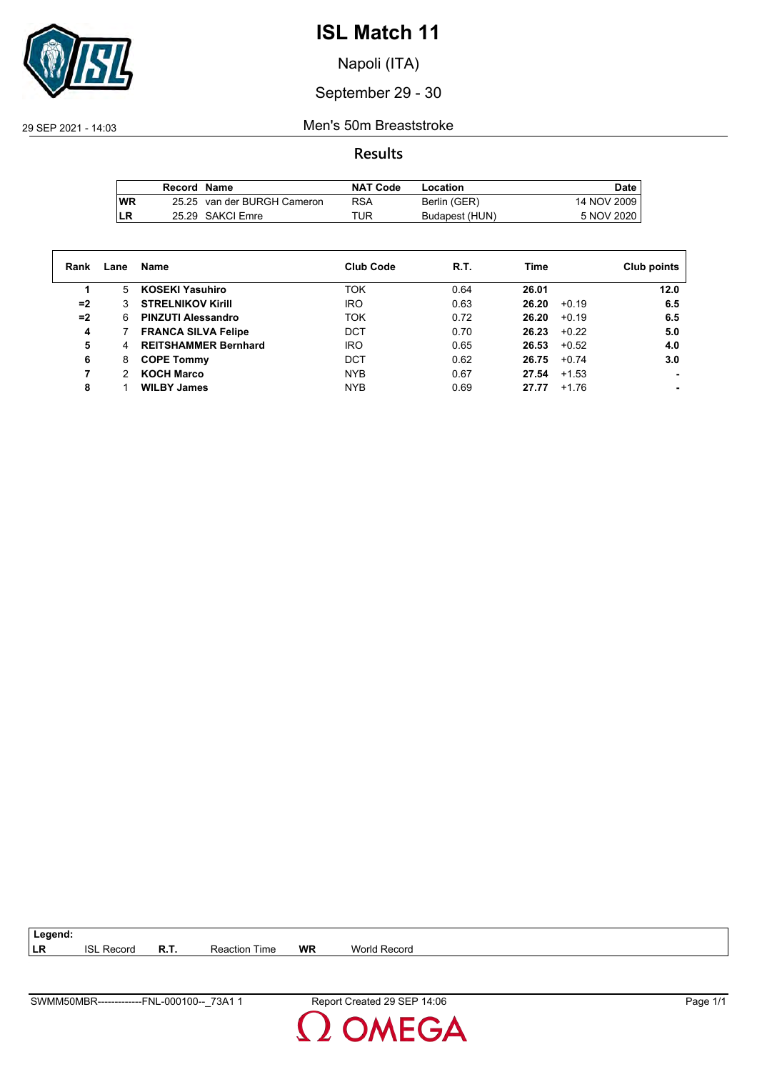

Napoli (ITA)

### September 29 - 30

29 SEP 2021 - 14:03 Men's 50m Breaststroke

#### **Results**

|           | Record Name |                             | <b>NAT Code</b> | Location       | Date.       |
|-----------|-------------|-----------------------------|-----------------|----------------|-------------|
| <b>WR</b> |             | 25.25 van der BURGH Cameron | <b>RSA</b>      | Berlin (GER)   | 14 NOV 2009 |
| LR        |             | 25.29 SAKCI Emre            | TUR             | Budapest (HUN) | 5 NOV 2020  |

| Rank | Lane | Name                        | <b>Club Code</b> | R.T. | Time             | Club points |
|------|------|-----------------------------|------------------|------|------------------|-------------|
|      | 5    | <b>KOSEKI Yasuhiro</b>      | <b>TOK</b>       | 0.64 | 26.01            | 12.0        |
| $=2$ |      | <b>STRELNIKOV Kirill</b>    | <b>IRO</b>       | 0.63 | $+0.19$<br>26.20 | 6.5         |
| $=2$ | 6.   | <b>PINZUTI Alessandro</b>   | <b>TOK</b>       | 0.72 | 26.20<br>$+0.19$ | 6.5         |
| 4    |      | <b>FRANCA SILVA Felipe</b>  | <b>DCT</b>       | 0.70 | $+0.22$<br>26.23 | 5.0         |
| 5    | 4    | <b>REITSHAMMER Bernhard</b> | <b>IRO</b>       | 0.65 | 26.53<br>$+0.52$ | 4.0         |
| 6    | 8    | <b>COPE Tommy</b>           | DCT              | 0.62 | 26.75<br>$+0.74$ | 3.0         |
|      |      | <b>KOCH Marco</b>           | <b>NYB</b>       | 0.67 | 27.54<br>$+1.53$ |             |
| 8    |      | <b>WILBY James</b>          | <b>NYB</b>       | 0.69 | $+1.76$<br>27.77 |             |

| $73A$ .<br><b>SWM</b><br>00010<br>FNL<br>18.4 H L<br>$\mathbf{L}$<br>uu<br>vivi | 4:06<br>Renor<br>$-$<br>oг<br>. .<br>21 C U | . .<br>' cane |
|---------------------------------------------------------------------------------|---------------------------------------------|---------------|

**LR** ISL Record **R.T.** Reaction Time **WR** World Record

**Legend:**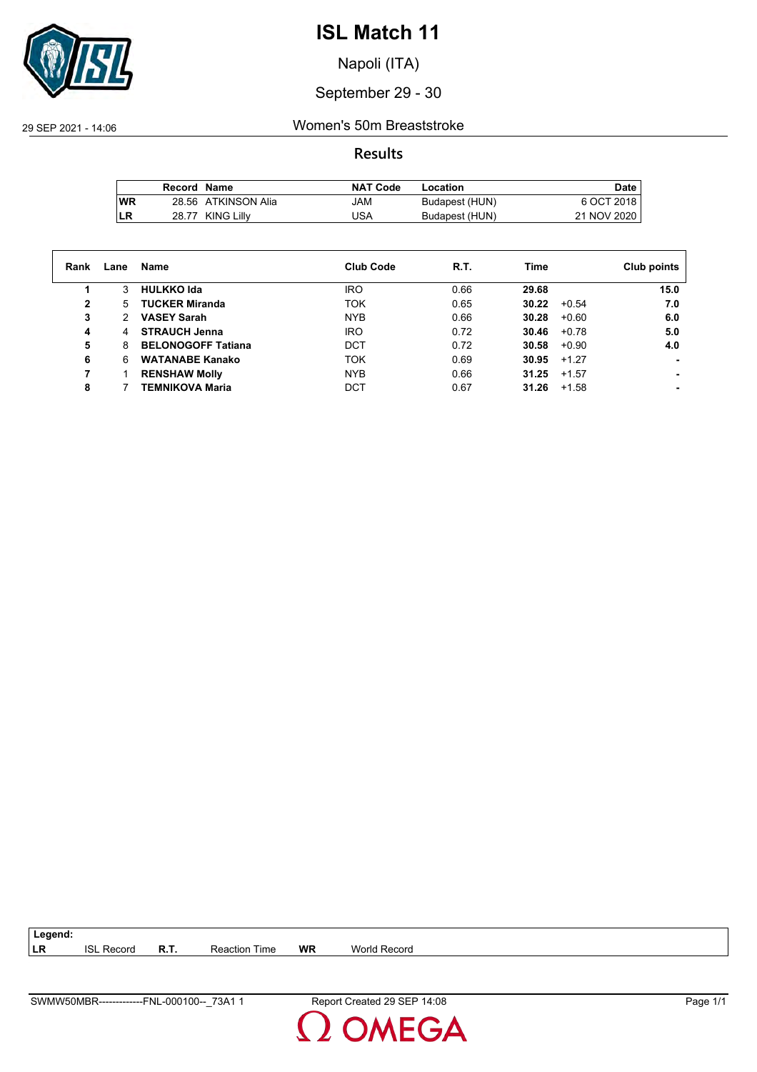

Napoli (ITA)

### September 29 - 30

29 SEP 2021 - 14:06 Women's 50m Breaststroke

**Results**

|           | Record Name |                     | <b>NAT Code</b> | Location       | <b>Date</b> |
|-----------|-------------|---------------------|-----------------|----------------|-------------|
| <b>WR</b> |             | 28.56 ATKINSON Alia | JAM             | Budapest (HUN) | 6 OCT 2018  |
| LR        | 28.77       | KING Lillv          | USA             | Budapest (HUN) | 21 NOV 2020 |

| Rank | Lane | Name                      | <b>Club Code</b> | R.T. | Time             | Club points |
|------|------|---------------------------|------------------|------|------------------|-------------|
|      | 3    | <b>HULKKO Ida</b>         | <b>IRO</b>       | 0.66 | 29.68            | 15.0        |
| 2    | 5.   | <b>TUCKER Miranda</b>     | <b>TOK</b>       | 0.65 | 30.22<br>$+0.54$ | 7.0         |
| 3    | 2    | <b>VASEY Sarah</b>        | <b>NYB</b>       | 0.66 | 30.28<br>$+0.60$ | 6.0         |
| 4    | 4    | <b>STRAUCH Jenna</b>      | <b>IRO</b>       | 0.72 | 30.46<br>$+0.78$ | 5.0         |
| 5    | 8    | <b>BELONOGOFF Tatiana</b> | <b>DCT</b>       | 0.72 | 30.58<br>$+0.90$ | 4.0         |
| 6    | 6    | <b>WATANABE Kanako</b>    | TOK              | 0.69 | 30.95<br>$+1.27$ |             |
|      |      | <b>RENSHAW Molly</b>      | <b>NYB</b>       | 0.66 | 31.25<br>$+1.57$ |             |
| 8    |      | TEMNIKOVA Maria           | DCT              | 0.67 | 31.26<br>$+1.58$ |             |

| 73A <sup>-</sup><br>SWMW50MBR-------------FNL-000100--<br>– | 14:08<br>Report Created 29 SEP<br>__ | $\overline{\phantom{a}}$<br>Page |
|-------------------------------------------------------------|--------------------------------------|----------------------------------|
|                                                             |                                      |                                  |

**LR** ISL Record **R.T.** Reaction Time **WR** World Record

**Legend:**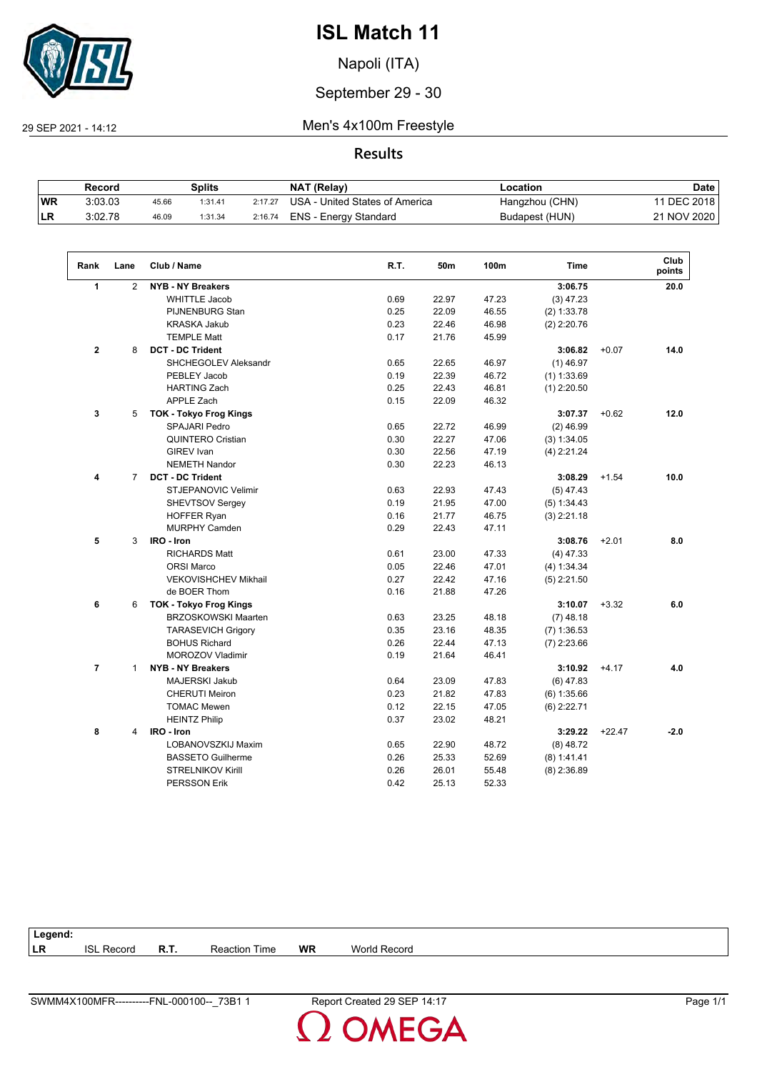

Napoli (ITA)

### September 29 - 30

 $\sqrt{2}$ 

29 SEP 2021 - 14:12 Men's 4x100m Freestyle

#### **Results**

|           | Record  |       | Splits  |         | NAT (Relay)                    | Location       | Date        |
|-----------|---------|-------|---------|---------|--------------------------------|----------------|-------------|
| <b>WR</b> | 3:03.03 | 45.66 | 1:31.41 | 2:17.27 | USA - United States of America | Hangzhou (CHN) | 11 DEC 2018 |
| <b>LR</b> | 3:02.78 | 46.09 | 1:31.34 | 2:16.74 | ENS - Energy Standard          | Budapest (HUN) | 21 NOV 2020 |

| Rank           | Lane           | Club / Name                   | R.T. | 50m   | 100m  | <b>Time</b>   |          | Club<br>points |
|----------------|----------------|-------------------------------|------|-------|-------|---------------|----------|----------------|
| $\mathbf{1}$   | $\overline{2}$ | <b>NYB - NY Breakers</b>      |      |       |       | 3:06.75       |          | 20.0           |
|                |                | <b>WHITTLE Jacob</b>          | 0.69 | 22.97 | 47.23 | $(3)$ 47.23   |          |                |
|                |                | <b>PIJNENBURG Stan</b>        | 0.25 | 22.09 | 46.55 | (2) 1:33.78   |          |                |
|                |                | <b>KRASKA Jakub</b>           | 0.23 | 22.46 | 46.98 | $(2)$ 2:20.76 |          |                |
|                |                | <b>TEMPLE Matt</b>            | 0.17 | 21.76 | 45.99 |               |          |                |
| $\overline{2}$ | 8              | <b>DCT - DC Trident</b>       |      |       |       | 3:06.82       | $+0.07$  | 14.0           |
|                |                | SHCHEGOLEV Aleksandr          | 0.65 | 22.65 | 46.97 | $(1)$ 46.97   |          |                |
|                |                | PEBLEY Jacob                  | 0.19 | 22.39 | 46.72 | $(1)$ 1:33.69 |          |                |
|                |                | <b>HARTING Zach</b>           | 0.25 | 22.43 | 46.81 | $(1)$ 2:20.50 |          |                |
|                |                | <b>APPLE Zach</b>             | 0.15 | 22.09 | 46.32 |               |          |                |
| 3              | 5              | <b>TOK - Tokyo Frog Kings</b> |      |       |       | 3:07.37       | $+0.62$  | 12.0           |
|                |                | <b>SPAJARI Pedro</b>          | 0.65 | 22.72 | 46.99 | $(2)$ 46.99   |          |                |
|                |                | <b>QUINTERO Cristian</b>      | 0.30 | 22.27 | 47.06 | (3) 1:34.05   |          |                |
|                |                | <b>GIREV</b> Ivan             | 0.30 | 22.56 | 47.19 | $(4)$ 2:21.24 |          |                |
|                |                | <b>NEMETH Nandor</b>          | 0.30 | 22.23 | 46.13 |               |          |                |
| 4              | $\overline{7}$ | <b>DCT - DC Trident</b>       |      |       |       | 3:08.29       | $+1.54$  | 10.0           |
|                |                | STJEPANOVIC Velimir           | 0.63 | 22.93 | 47.43 | $(5)$ 47.43   |          |                |
|                |                | SHEVTSOV Sergey               | 0.19 | 21.95 | 47.00 | (5) 1:34.43   |          |                |
|                |                | <b>HOFFER Ryan</b>            | 0.16 | 21.77 | 46.75 | $(3)$ 2:21.18 |          |                |
|                |                | <b>MURPHY Camden</b>          | 0.29 | 22.43 | 47.11 |               |          |                |
| 5              | 3              | IRO - Iron                    |      |       |       | 3:08.76       | $+2.01$  | 8.0            |
|                |                | <b>RICHARDS Matt</b>          | 0.61 | 23.00 | 47.33 | $(4)$ 47.33   |          |                |
|                |                | <b>ORSI Marco</b>             | 0.05 | 22.46 | 47.01 | (4) 1:34.34   |          |                |
|                |                | <b>VEKOVISHCHEV Mikhail</b>   | 0.27 | 22.42 | 47.16 | $(5)$ 2:21.50 |          |                |
|                |                | de BOER Thom                  | 0.16 | 21.88 | 47.26 |               |          |                |
| 6              | 6              | <b>TOK - Tokyo Frog Kings</b> |      |       |       | 3:10.07       | $+3.32$  | 6.0            |
|                |                | <b>BRZOSKOWSKI Maarten</b>    | 0.63 | 23.25 | 48.18 | $(7)$ 48.18   |          |                |
|                |                | <b>TARASEVICH Grigory</b>     | 0.35 | 23.16 | 48.35 | $(7)$ 1:36.53 |          |                |
|                |                | <b>BOHUS Richard</b>          | 0.26 | 22.44 | 47.13 | $(7)$ 2:23.66 |          |                |
|                |                | MOROZOV Vladimir              | 0.19 | 21.64 | 46.41 |               |          |                |
| $\overline{7}$ | $\mathbf{1}$   | <b>NYB - NY Breakers</b>      |      |       |       | 3:10.92       | $+4.17$  | 4.0            |
|                |                | <b>MAJERSKI Jakub</b>         | 0.64 | 23.09 | 47.83 | $(6)$ 47.83   |          |                |
|                |                | <b>CHERUTI Meiron</b>         | 0.23 | 21.82 | 47.83 | (6) 1:35.66   |          |                |
|                |                | <b>TOMAC Mewen</b>            | 0.12 | 22.15 | 47.05 | $(6)$ 2:22.71 |          |                |
|                |                | <b>HEINTZ Philip</b>          | 0.37 | 23.02 | 48.21 |               |          |                |
| 8              | 4              | IRO - Iron                    |      |       |       | 3:29.22       | $+22.47$ | $-2.0$         |
|                |                | LOBANOVSZKIJ Maxim            | 0.65 | 22.90 | 48.72 | $(8)$ 48.72   |          |                |
|                |                | <b>BASSETO Guilherme</b>      | 0.26 | 25.33 | 52.69 | (8) 1:41.41   |          |                |
|                |                | <b>STRELNIKOV Kirill</b>      | 0.26 | 26.01 | 55.48 | $(8)$ 2:36.89 |          |                |
|                |                | <b>PERSSON Erik</b>           | 0.42 | 25.13 | 52.33 |               |          |                |
|                |                |                               |      |       |       |               |          |                |

| Legend:   |                  |             |      |           |        |
|-----------|------------------|-------------|------|-----------|--------|
| <b>LR</b> | $\sim$<br>Record | <b>R.T.</b> | Time | <b>WR</b> | Recoro |
|           |                  |             |      |           |        |

**OMEGA**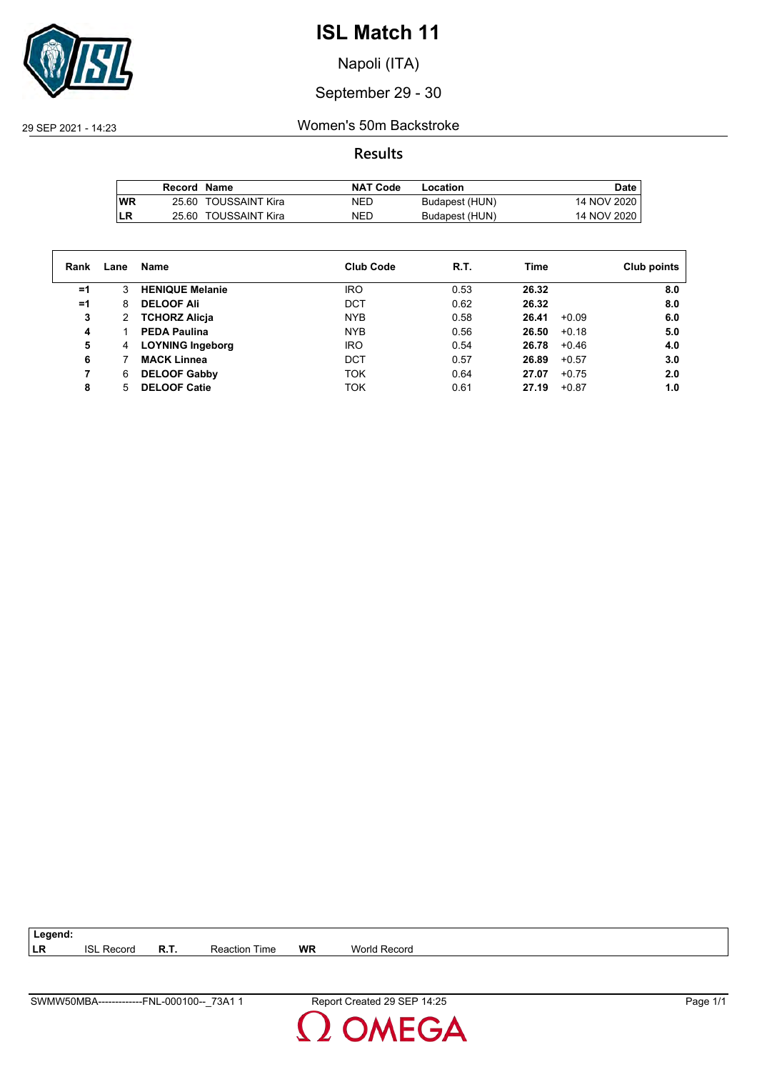

Napoli (ITA)

September 29 - 30

29 SEP 2021 - 14:23 Women's 50m Backstroke

**Results**

|            | Record Name |                      | <b>NAT Code</b> | Location       | Date        |
|------------|-------------|----------------------|-----------------|----------------|-------------|
| <b>IWR</b> |             | 25.60 TOUSSAINT Kira | NED             | Budapest (HUN) | 14 NOV 2020 |
| LR         |             | 25.60 TOUSSAINT Kira | NED             | Budapest (HUN) | 14 NOV 2020 |

| Rank | Lane | Name                    | <b>Club Code</b> | R.T. | Time             | Club points |
|------|------|-------------------------|------------------|------|------------------|-------------|
| $=1$ | 3    | <b>HENIQUE Melanie</b>  | <b>IRO</b>       | 0.53 | 26.32            | 8.0         |
| $=1$ | 8    | <b>DELOOF Ali</b>       | <b>DCT</b>       | 0.62 | 26.32            | 8.0         |
| 3    | 2    | <b>TCHORZ Alicja</b>    | <b>NYB</b>       | 0.58 | 26.41<br>$+0.09$ | 6.0         |
| 4    |      | <b>PEDA Paulina</b>     | <b>NYB</b>       | 0.56 | 26.50<br>$+0.18$ | 5.0         |
| 5    | 4    | <b>LOYNING Ingeborg</b> | <b>IRO</b>       | 0.54 | 26.78<br>$+0.46$ | 4.0         |
| 6    |      | <b>MACK Linnea</b>      | <b>DCT</b>       | 0.57 | 26.89<br>$+0.57$ | 3.0         |
|      | 6    | <b>DELOOF Gabby</b>     | <b>TOK</b>       | 0.64 | 27.07<br>$+0.75$ | 2.0         |
| 8    |      | <b>DELOOF Catie</b>     | <b>TOK</b>       | 0.61 | 27.19<br>$+0.87$ | 1.0         |
|      |      |                         |                  |      |                  |             |

**LR** ISL Record **R.T.** Reaction Time **WR** World Record

**Legend:**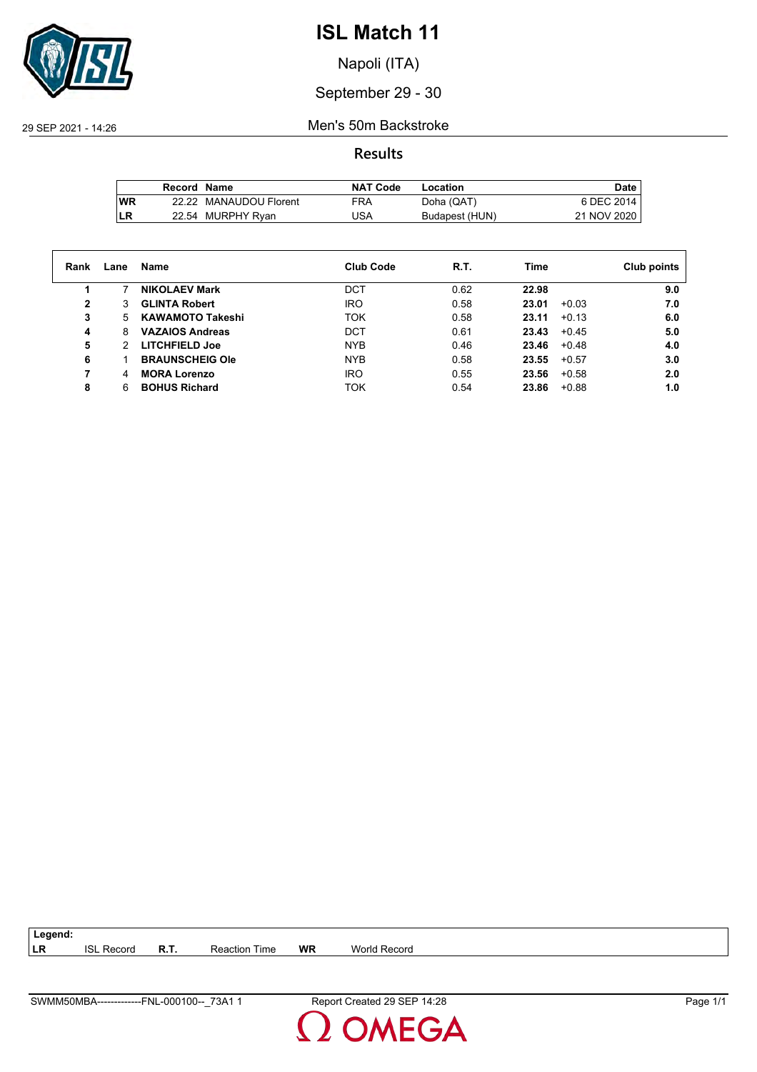

Napoli (ITA)

### September 29 - 30

29 SEP 2021 - 14:26 Men's 50m Backstroke

**Results**

|           | Record Name |                        | <b>NAT Code</b> | Location       | Date.       |
|-----------|-------------|------------------------|-----------------|----------------|-------------|
| <b>WR</b> |             | 22.22 MANAUDOU Florent | FRA             | Doha (QAT)     | 6 DEC 2014  |
| LR        |             | 22.54 MURPHY Ryan      | JSA             | Budapest (HUN) | 21 NOV 2020 |

| Rank         | Lane | Name                    | <b>Club Code</b> | R.T. | Time             | Club points |
|--------------|------|-------------------------|------------------|------|------------------|-------------|
|              |      | <b>NIKOLAEV Mark</b>    | DCT              | 0.62 | 22.98            | 9.0         |
| $\mathbf{2}$ | 3    | <b>GLINTA Robert</b>    | <b>IRO</b>       | 0.58 | 23.01<br>$+0.03$ | 7.0         |
| 3            | 5.   | <b>KAWAMOTO Takeshi</b> | <b>TOK</b>       | 0.58 | $+0.13$<br>23.11 | 6.0         |
| 4            | 8    | <b>VAZAIOS Andreas</b>  | <b>DCT</b>       | 0.61 | $+0.45$<br>23.43 | 5.0         |
| 5            | 2    | <b>LITCHFIELD Joe</b>   | <b>NYB</b>       | 0.46 | 23.46<br>$+0.48$ | 4.0         |
| 6            |      | <b>BRAUNSCHEIG Ole</b>  | <b>NYB</b>       | 0.58 | 23.55<br>$+0.57$ | 3.0         |
|              | 4    | <b>MORA Lorenzo</b>     | <b>IRO</b>       | 0.55 | 23.56<br>$+0.58$ | 2.0         |
| 8            | 6    | <b>BOHUS Richard</b>    | TOK              | 0.54 | 23.86<br>$+0.88$ | 1.0         |

| <b>SWM</b><br>73A<br>100-<br>FNL<br>იიი<br>IN A RA<br>16<br>ິນຕະ<br>JIVIDF | $+28$<br>Repr.<br>. .<br>oг<br>.<br>__ | ' cane |
|----------------------------------------------------------------------------|----------------------------------------|--------|

**LR** ISL Record **R.T.** Reaction Time **WR** World Record

**Legend:**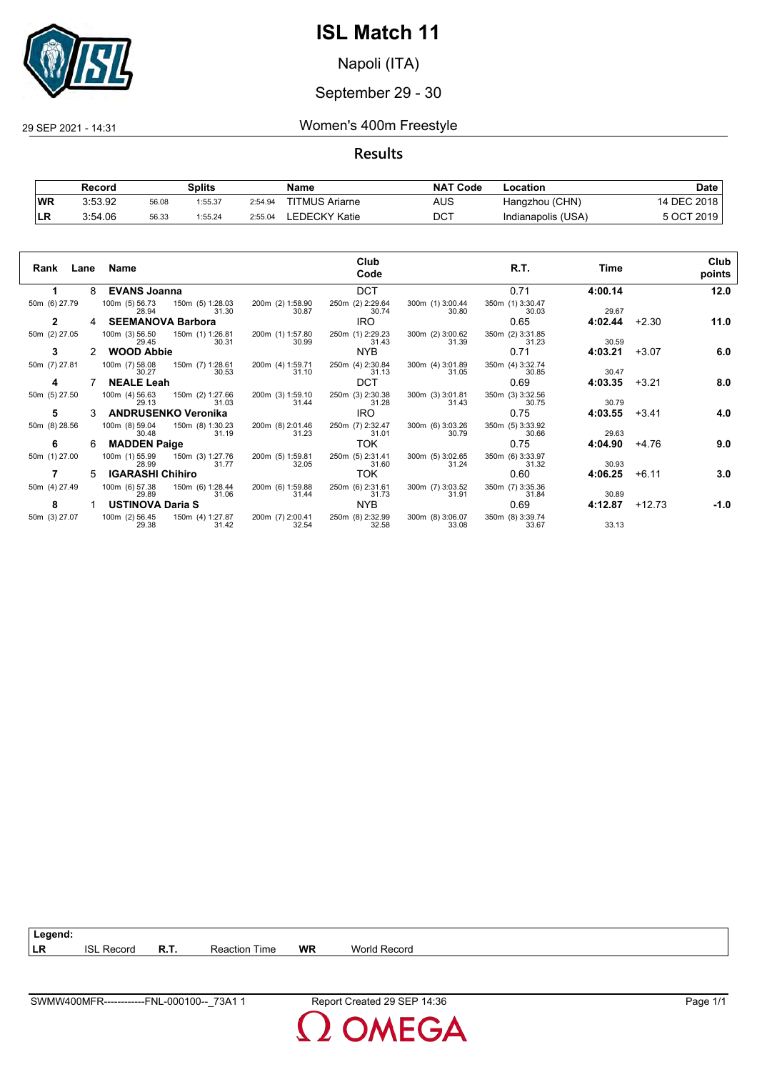

Napoli (ITA)

#### September 29 - 30

29 SEP 2021 - 14:31 Women's 400m Freestyle

#### **Results**

|           | Record  |       | Splits  |         | Name                  | <b>NAT Code</b> | Location           | Date        |
|-----------|---------|-------|---------|---------|-----------------------|-----------------|--------------------|-------------|
| <b>WR</b> | 3:53.92 | 56.08 | 1:55.37 | 2:54.94 | <b>TITMUS Ariarne</b> | AUS             | Hangzhou (CHN)     | 14 DEC 2018 |
| LR        | 3:54.06 | 56.33 | 1:55.24 | 2:55.04 | LEDECKY Katie         | <b>DCT</b>      | Indianapolis (USA) | 5 OCT 2019  |

| Rank Lane Name |               |                                                      |                           | Club<br>Code              |                           | R.T.                      | Time    |         | Club<br>points |
|----------------|---------------|------------------------------------------------------|---------------------------|---------------------------|---------------------------|---------------------------|---------|---------|----------------|
| 1.             |               | 8 EVANS Joanna                                       |                           | <b>DCT</b>                |                           | 0.71                      | 4:00.14 |         | 12.0           |
| 50m (6) 27.79  |               | 100m (5) 56.73   150m (5) 1:28.03<br>31.30<br>28.94  | 200m (2) 1:58.90<br>30.87 | 250m (2) 2:29.64<br>30.74 | 300m (1) 3:00.44<br>30.80 | 350m (1) 3:30.47<br>30.03 | 29.67   |         |                |
| $\mathbf{2}$   |               | <b>SEEMANOVA Barbora</b>                             |                           | IRO.                      |                           | 0.65                      | 4:02.44 | $+2.30$ | 11.0           |
| 50m (2) 27.05  |               | 100m (3) 56.50 150m (1) 1:26.81<br>30.31<br>29.45    | 200m (1) 1:57.80<br>30.99 | 250m (1) 2:29.23<br>31.43 | 300m (2) 3:00.62<br>31.39 | 350m (2) 3:31.85<br>31.23 | 30.59   |         |                |
| 3              | $\mathcal{P}$ | <b>WOOD Abbie</b>                                    |                           | NYB.                      |                           | 0.71                      | 4:03.21 | $+3.07$ | 6.0            |
| 50m (7) 27.81  |               | 100m (7) 58.08  150m (7) 1:28.61<br>30.53<br>30.27   | 200m (4) 1:59.71<br>31.10 | 250m (4) 2:30.84<br>31.13 | 300m (4) 3:01.89<br>31.05 | 350m (4) 3:32.74<br>30.85 | 30.47   |         |                |
| 4              |               | <b>NEALE Leah</b>                                    |                           | <b>DCT</b>                |                           | 0.69                      | 4:03.35 | $+3.21$ | 8.0            |
| 50m (5) 27.50  |               | 100m (4) 56.63  150m (2) 1:27.66<br>31.03<br>29.13   | 200m (3) 1:59.10<br>31.44 | 250m (3) 2:30.38<br>31.28 | 300m (3) 3:01.81<br>31.43 | 350m (3) 3:32.56<br>30.75 | 30.79   |         |                |
| 5              |               | ANDRUSENKO Veronika                                  |                           | IRO.                      |                           | 0.75                      | 4:03.55 | $+3.41$ | 4.0            |
| 50m (8) 28.56  |               | 100m (8) 59.04<br>150m (8) 1:30.23<br>31.19<br>30.48 | 200m (8) 2:01.46<br>31.23 | 250m (7) 2:32.47<br>31.01 | 300m (6) 3:03.26<br>30.79 | 350m (5) 3:33.92<br>30.66 | 29.63   |         |                |
| 6              | 6             | <b>MADDEN Paige</b>                                  |                           | TOK                       |                           | 0.75                      | 4:04.90 | +4.76   | 9.0            |
| 50m (1) 27.00  |               | 100m (1) 55.99 150m (3) 1:27.76<br>31.77<br>28.99    | 200m (5) 1:59.81<br>32.05 | 250m (5) 2:31.41<br>31.60 | 300m (5) 3:02.65<br>31.24 | 350m (6) 3:33.97<br>31.32 | 30.93   |         |                |
|                | 5.            | <b>IGARASHI Chihiro</b>                              |                           | <b>TOK</b>                |                           | 0.60                      | 4:06.25 | $+6.11$ | 3.0            |
| 50m (4) 27.49  |               | 100m (6) 57.38<br>150m (6) 1:28.44<br>29.89<br>31.06 | 200m (6) 1:59.88<br>31.44 | 250m (6) 2:31.61<br>31.73 | 300m (7) 3:03.52<br>31.91 | 350m (7) 3:35.36<br>31.84 | 30.89   |         |                |
| 8              |               | <b>USTINOVA Daria S</b>                              |                           | NYB.                      |                           | 0.69                      | 4:12.87 | +12.73  | $-1.0$         |
| 50m (3) 27.07  |               | 100m (2) 56.45   150m (4) 1:27.87<br>29.38<br>31.42  | 200m (7) 2:00.41<br>32.54 | 250m (8) 2:32.99<br>32.58 | 300m (8) 3:06.07<br>33.08 | 350m (8) 3:39.74<br>33.67 | 33.13   |         |                |

**LR** ISL Record **R.T.** Reaction Time **WR** World Record

**Legend:**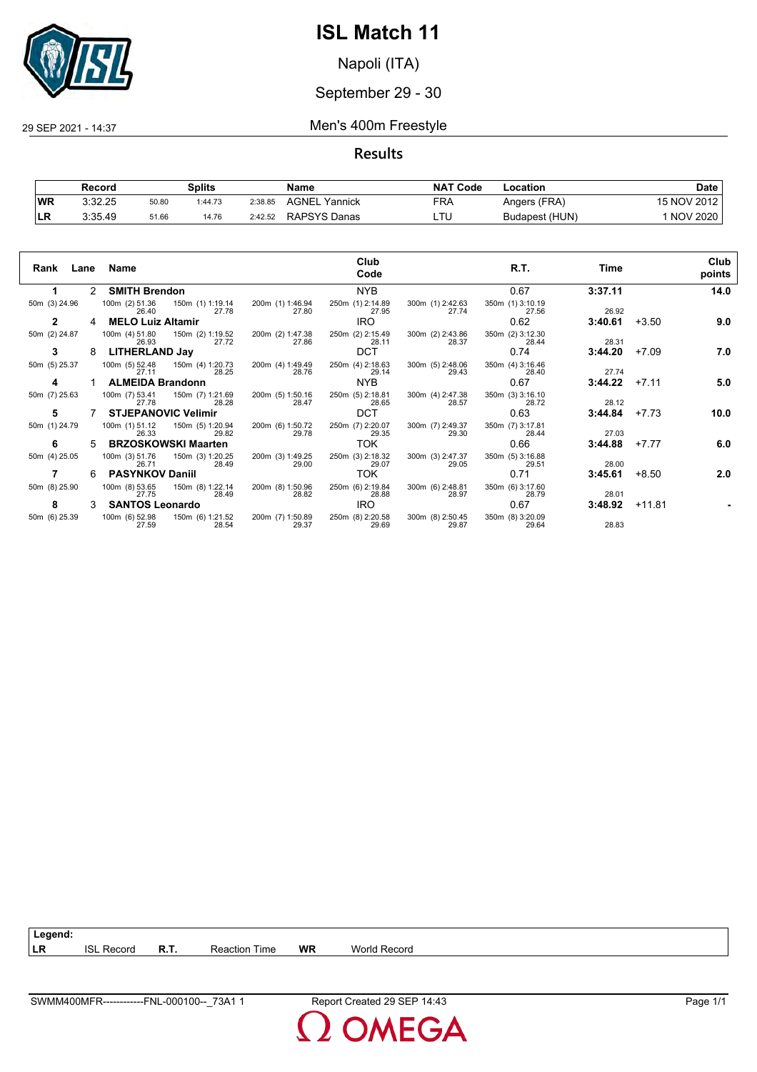

Napoli (ITA)

#### September 29 - 30

#### 29 SEP 2021 - 14:37 Men's 400m Freestyle

**Results**

|           | Record  |       | <b>Splits</b> |         | Name             | <b>NAT Code</b> | Location       | Date            |
|-----------|---------|-------|---------------|---------|------------------|-----------------|----------------|-----------------|
| WR        | 3:32.25 | 50.80 | 1:44.73       | 2:38.85 | AGNEL<br>Yannick | FRA             | Angers (FRA)   | 15 NOV 2012     |
| <b>LR</b> | 3:35.49 | 51.66 | 14.76         | 2:42.52 | RAPSYS Danas     | ᄂᆝ              | Budapest (HUN) | <b>NOV 2020</b> |

| Rank Lane Name |    |                          |                                                |                           | Club<br>Code              |                           | R.T.                      | Time    | Club<br>points |      |
|----------------|----|--------------------------|------------------------------------------------|---------------------------|---------------------------|---------------------------|---------------------------|---------|----------------|------|
|                |    | 2 SMITH Brendon          |                                                |                           | <b>NYB</b>                |                           | 0.67                      | 3:37.11 |                | 14.0 |
| 50m (3) 24.96  |    | 26.40                    | 100m (2) 51.36 150m (1) 1:19.14<br>27.78       | 200m (1) 1:46.94<br>27.80 | 250m (1) 2:14.89<br>27.95 | 300m (1) 2:42.63<br>27.74 | 350m (1) 3:10.19<br>27.56 | 26.92   |                |      |
| $\mathbf{2}$   | 4  | <b>MELO Luiz Altamir</b> |                                                |                           | IRO.                      |                           | 0.62                      | 3:40.61 | $+3.50$        | 9.0  |
| 50m (2) 24.87  |    |                          | 100m (4) 51.80 150m (2) 1:19.52<br>26.93 27.72 | 200m (2) 1:47.38<br>27.86 | 250m (2) 2:15.49<br>28.11 | 300m (2) 2:43.86<br>28.37 | 350m (2) 3:12.30<br>28.44 | 28.31   |                |      |
| 3              | 8  | LITHERLAND Jay           |                                                |                           | <b>DCT</b>                |                           | 0.74                      | 3:44.20 | $+7.09$        | 7.0  |
| 50m (5) 25.37  |    | 27.11                    | 100m (5) 52.48 150m (4) 1:20.73<br>28.25       | 200m (4) 1:49.49<br>28.76 | 250m (4) 2:18.63<br>29.14 | 300m (5) 2:48.06<br>29.43 | 350m (4) 3:16.46<br>28.40 | 27.74   |                |      |
| 4              |    | <b>ALMEIDA Brandonn</b>  |                                                |                           | NYB                       |                           | 0.67                      | 3:44.22 | $+7.11$        | 5.0  |
| 50m (7) 25.63  |    | 100m (7) 53.41<br>27.78  | 150m (7) 1:21.69<br>28.28                      | 200m (5) 1:50.16<br>28.47 | 250m (5) 2:18.81<br>28.65 | 300m (4) 2:47.38<br>28.57 | 350m (3) 3:16.10<br>28.72 | 28.12   |                |      |
| 5              |    |                          | <b>STJEPANOVIC Velimir</b>                     |                           | <b>DCT</b>                |                           | 0.63                      | 3:44.84 | $+7.73$        | 10.0 |
| 50m (1) 24.79  |    | 100m (1) 51.12<br>26.33  | 150m (5) 1:20.94<br>29.82                      | 200m (6) 1:50.72<br>29.78 | 250m (7) 2:20.07<br>29.35 | 300m (7) 2:49.37<br>29.30 | 350m (7) 3:17.81<br>28.44 | 27.03   |                |      |
| 6              | 5. |                          | <b>BRZOSKOWSKI Maarten</b>                     |                           | TOK                       |                           | 0.66                      | 3:44.88 | $+7.77$        | 6.0  |
| 50m (4) 25.05  |    | 100m (3) 51.76<br>26.71  | 150m (3) 1:20.25<br>28.49                      | 200m (3) 1:49.25<br>29.00 | 250m (3) 2:18.32<br>29.07 | 300m (3) 2:47.37<br>29.05 | 350m (5) 3:16.88<br>29.51 | 28.00   |                |      |
|                | 6  | <b>PASYNKOV Daniil</b>   |                                                |                           | <b>TOK</b>                |                           | 0.71                      | 3:45.61 | $+8.50$        | 2.0  |
| 50m (8) 25.90  |    | 100m (8) 53.65<br>27.75  | 150m (8) 1:22.14<br>28.49                      | 200m (8) 1:50.96<br>28.82 | 250m (6) 2:19.84<br>28.88 | 300m (6) 2:48.81<br>28.97 | 350m (6) 3:17.60<br>28.79 | 28.01   |                |      |
| 8              | 3  | <b>SANTOS Leonardo</b>   |                                                |                           | IRO.                      |                           | 0.67                      | 3:48.92 | +11.81         |      |
| 50m (6) 25.39  |    | 27.59                    | 100m (6) 52.98 150m (6) 1:21.52<br>28.54       | 200m (7) 1:50.89<br>29.37 | 250m (8) 2:20.58<br>29.69 | 300m (8) 2:50.45<br>29.87 | 350m (8) 3:20.09<br>29.64 | 28.83   |                |      |

**LR** ISL Record **R.T.** Reaction Time **WR** World Record

**Legend:**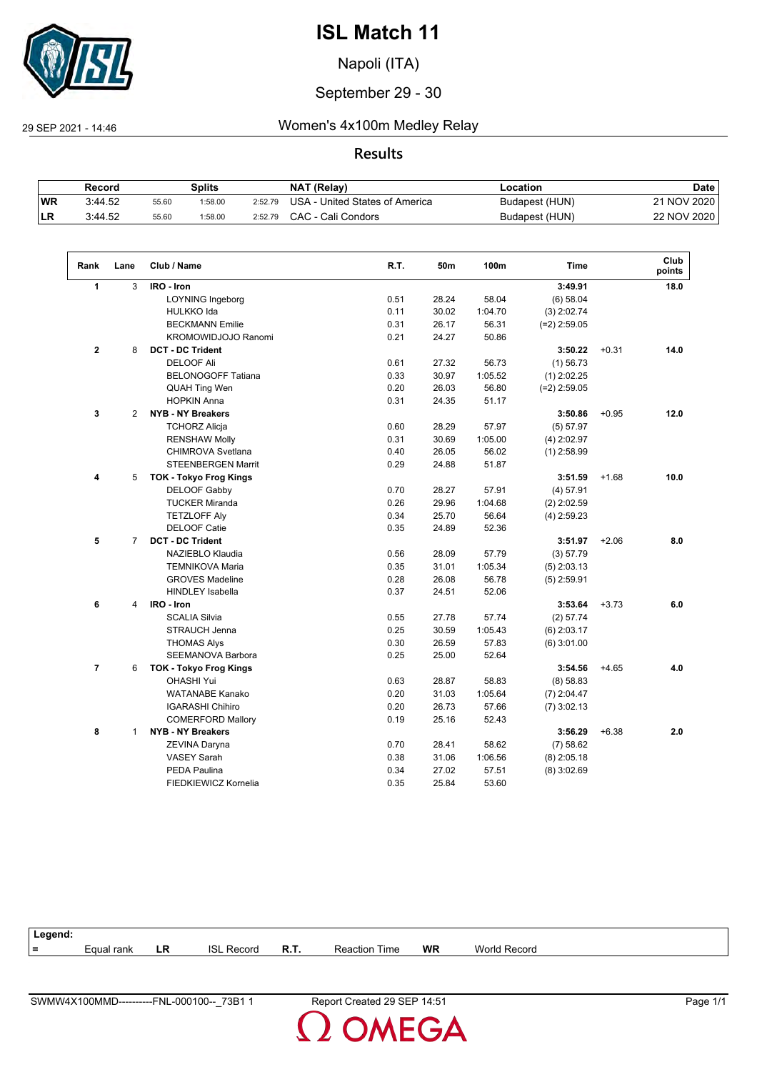

Napoli (ITA)

#### September 29 - 30

 $\sqrt{2}$ 

29 SEP 2021 - 14:46 Women's 4x100m Medley Relay

#### **Results**

|           | Record  |       | Splits |         | <b>NAT (Relav)</b>             | ∟ocation       | Date        |
|-----------|---------|-------|--------|---------|--------------------------------|----------------|-------------|
| <b>WR</b> | 3:44.52 | 55.60 | :58.00 | 2:52.79 | USA - United States of America | Budapest (HUN) | 21 NOV 2020 |
| !LR       | 3:44.52 | 55.60 | :58.00 | 2:52.79 | CAC - Cali Condors             | Budapest (HUN) | 22 NOV 2020 |

| Rank           | Lane           | Club / Name                   | R.T. | 50m   | 100m    | <b>Time</b>    |         | Club<br>points |
|----------------|----------------|-------------------------------|------|-------|---------|----------------|---------|----------------|
| 1              | 3              | IRO - Iron                    |      |       |         | 3:49.91        |         | 18.0           |
|                |                | <b>LOYNING Ingeborg</b>       | 0.51 | 28.24 | 58.04   | (6) 58.04      |         |                |
|                |                | <b>HULKKO</b> Ida             | 0.11 | 30.02 | 1:04.70 | $(3)$ 2:02.74  |         |                |
|                |                | <b>BECKMANN Emilie</b>        | 0.31 | 26.17 | 56.31   | $(=2)$ 2:59.05 |         |                |
|                |                | KROMOWIDJOJO Ranomi           | 0.21 | 24.27 | 50.86   |                |         |                |
| $\mathbf{2}$   | 8              | <b>DCT - DC Trident</b>       |      |       |         | 3:50.22        | $+0.31$ | 14.0           |
|                |                | <b>DELOOF Ali</b>             | 0.61 | 27.32 | 56.73   | $(1)$ 56.73    |         |                |
|                |                | <b>BELONOGOFF Tatiana</b>     | 0.33 | 30.97 | 1:05.52 | $(1)$ 2:02.25  |         |                |
|                |                | <b>QUAH Ting Wen</b>          | 0.20 | 26.03 | 56.80   | $(=2)$ 2:59.05 |         |                |
|                |                | <b>HOPKIN Anna</b>            | 0.31 | 24.35 | 51.17   |                |         |                |
| 3              | 2              | <b>NYB - NY Breakers</b>      |      |       |         | 3:50.86        | $+0.95$ | 12.0           |
|                |                | <b>TCHORZ Alicja</b>          | 0.60 | 28.29 | 57.97   | (5) 57.97      |         |                |
|                |                | <b>RENSHAW Molly</b>          | 0.31 | 30.69 | 1:05.00 | $(4)$ 2:02.97  |         |                |
|                |                | <b>CHIMROVA Svetlana</b>      | 0.40 | 26.05 | 56.02   | $(1)$ 2:58.99  |         |                |
|                |                | <b>STEENBERGEN Marrit</b>     | 0.29 | 24.88 | 51.87   |                |         |                |
| 4              | 5              | <b>TOK - Tokyo Frog Kings</b> |      |       |         | 3:51.59        | $+1.68$ | 10.0           |
|                |                | <b>DELOOF Gabby</b>           | 0.70 | 28.27 | 57.91   | (4) 57.91      |         |                |
|                |                | <b>TUCKER Miranda</b>         | 0.26 | 29.96 | 1:04.68 | $(2)$ 2:02.59  |         |                |
|                |                | <b>TETZLOFF Aly</b>           | 0.34 | 25.70 | 56.64   | $(4)$ 2:59.23  |         |                |
|                |                | <b>DELOOF Catie</b>           | 0.35 | 24.89 | 52.36   |                |         |                |
| 5              | $\overline{7}$ | <b>DCT - DC Trident</b>       |      |       |         | 3:51.97        | $+2.06$ | 8.0            |
|                |                | NAZIEBLO Klaudia              | 0.56 | 28.09 | 57.79   | (3) 57.79      |         |                |
|                |                | <b>TEMNIKOVA Maria</b>        | 0.35 | 31.01 | 1:05.34 | $(5)$ 2:03.13  |         |                |
|                |                | <b>GROVES Madeline</b>        | 0.28 | 26.08 | 56.78   | $(5)$ 2:59.91  |         |                |
|                |                | <b>HINDLEY Isabella</b>       | 0.37 | 24.51 | 52.06   |                |         |                |
| 6              | 4              | IRO - Iron                    |      |       |         | 3:53.64        | $+3.73$ | 6.0            |
|                |                | <b>SCALIA Silvia</b>          | 0.55 | 27.78 | 57.74   | (2) 57.74      |         |                |
|                |                | STRAUCH Jenna                 | 0.25 | 30.59 | 1:05.43 | $(6)$ 2:03.17  |         |                |
|                |                | <b>THOMAS Alys</b>            | 0.30 | 26.59 | 57.83   | $(6)$ 3:01.00  |         |                |
|                |                | <b>SEEMANOVA Barbora</b>      | 0.25 | 25.00 | 52.64   |                |         |                |
| $\overline{7}$ | 6              | <b>TOK - Tokyo Frog Kings</b> |      |       |         | 3:54.56        | $+4.65$ | 4.0            |
|                |                | <b>OHASHI Yui</b>             | 0.63 | 28.87 | 58.83   | (8) 58.83      |         |                |
|                |                | <b>WATANABE Kanako</b>        | 0.20 | 31.03 | 1:05.64 | $(7)$ 2:04.47  |         |                |
|                |                | <b>IGARASHI Chihiro</b>       | 0.20 | 26.73 | 57.66   | $(7)$ 3:02.13  |         |                |
|                |                | <b>COMERFORD Mallory</b>      | 0.19 | 25.16 | 52.43   |                |         |                |
| 8              | $\mathbf{1}$   | <b>NYB - NY Breakers</b>      |      |       |         | 3:56.29        | $+6.38$ | 2.0            |
|                |                | ZEVINA Daryna                 | 0.70 | 28.41 | 58.62   | (7) 58.62      |         |                |
|                |                | <b>VASEY Sarah</b>            | 0.38 | 31.06 | 1:06.56 | $(8)$ 2:05.18  |         |                |
|                |                | <b>PEDA Paulina</b>           | 0.34 | 27.02 | 57.51   | $(8)$ 3:02.69  |         |                |
|                |                | FIEDKIEWICZ Kornelia          | 0.35 | 25.84 | 53.60   |                |         |                |
|                |                |                               |      |       |         |                |         |                |

| Legend: |            |     |                        |      |                      |           |              |
|---------|------------|-----|------------------------|------|----------------------|-----------|--------------|
| $=$     | Equal rank | LR. | <b>ISL</b><br>. Record | R.T. | <b>Reaction Time</b> | <b>WR</b> | World Record |
|         |            |     |                        |      |                      |           |              |

OMEGA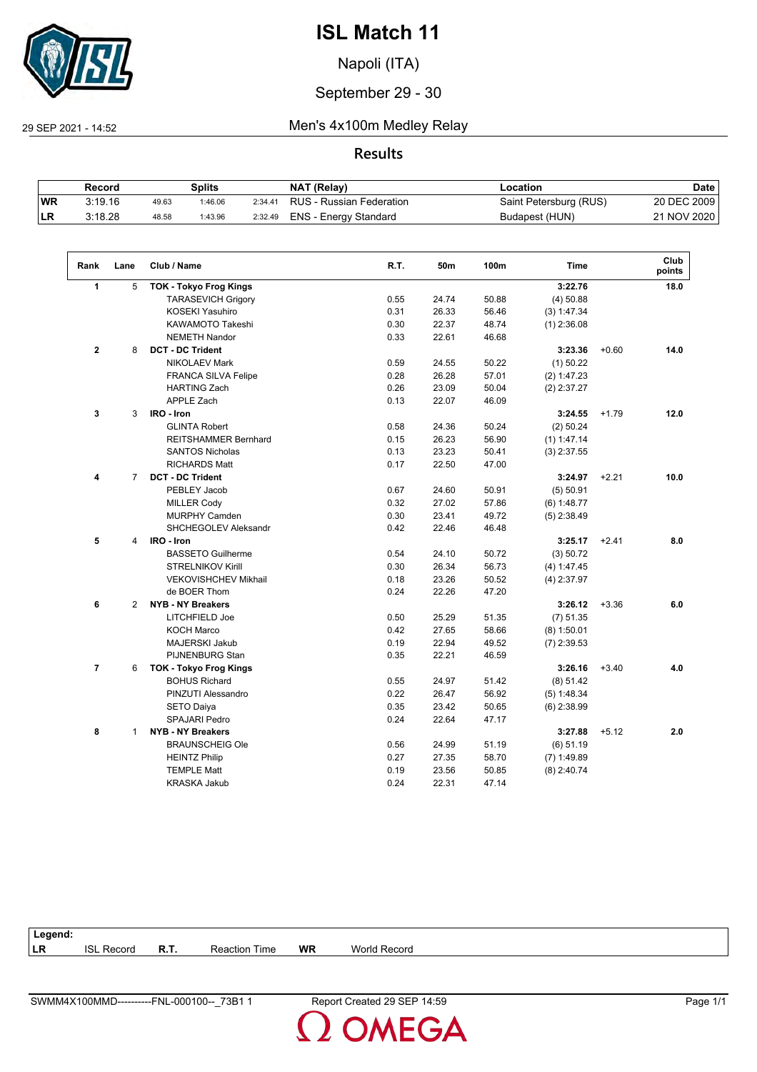

Napoli (ITA)

#### September 29 - 30

29 SEP 2021 - 14:52 Men's 4x100m Medley Relay

#### **Results**

|            | Record  |       | Splits  |         | NAT (Relay)              | Location               | <b>Date</b> |
|------------|---------|-------|---------|---------|--------------------------|------------------------|-------------|
| <b>WR</b>  | 3:19.16 | 49.63 | 1:46.06 | 2:34.41 | RUS - Russian Federation | Saint Petersburg (RUS) | 20 DEC 2009 |
| <b>ILR</b> | 3:18.28 | 48.58 | 1:43.96 | 2:32.49 | ENS - Energy Standard    | Budapest (HUN)         | 21 NOV 2020 |

| Rank           | Lane           | Club / Name                   | R.T. | 50m   | 100m  | <b>Time</b>   |         | Club<br>points |
|----------------|----------------|-------------------------------|------|-------|-------|---------------|---------|----------------|
| $\mathbf{1}$   | 5              | <b>TOK - Tokyo Frog Kings</b> |      |       |       | 3:22.76       |         | 18.0           |
|                |                | <b>TARASEVICH Grigory</b>     | 0.55 | 24.74 | 50.88 | (4) 50.88     |         |                |
|                |                | <b>KOSEKI Yasuhiro</b>        | 0.31 | 26.33 | 56.46 | (3) 1:47.34   |         |                |
|                |                | KAWAMOTO Takeshi              | 0.30 | 22.37 | 48.74 | $(1)$ 2:36.08 |         |                |
|                |                | <b>NEMETH Nandor</b>          | 0.33 | 22.61 | 46.68 |               |         |                |
| $\mathbf{2}$   | 8              | <b>DCT - DC Trident</b>       |      |       |       | 3:23.36       | $+0.60$ | 14.0           |
|                |                | <b>NIKOLAEV Mark</b>          | 0.59 | 24.55 | 50.22 | $(1)$ 50.22   |         |                |
|                |                | <b>FRANCA SILVA Felipe</b>    | 0.28 | 26.28 | 57.01 | (2) 1:47.23   |         |                |
|                |                | <b>HARTING Zach</b>           | 0.26 | 23.09 | 50.04 | $(2)$ 2:37.27 |         |                |
|                |                | <b>APPLE Zach</b>             | 0.13 | 22.07 | 46.09 |               |         |                |
| 3              | 3              | IRO - Iron                    |      |       |       | 3:24.55       | $+1.79$ | 12.0           |
|                |                | <b>GLINTA Robert</b>          | 0.58 | 24.36 | 50.24 | (2) 50.24     |         |                |
|                |                | REITSHAMMER Bernhard          | 0.15 | 26.23 | 56.90 | $(1)$ 1:47.14 |         |                |
|                |                | <b>SANTOS Nicholas</b>        | 0.13 | 23.23 | 50.41 | $(3)$ 2:37.55 |         |                |
|                |                | <b>RICHARDS Matt</b>          | 0.17 | 22.50 | 47.00 |               |         |                |
| 4              | $\overline{7}$ | <b>DCT - DC Trident</b>       |      |       |       | 3:24.97       | $+2.21$ | 10.0           |
|                |                | PEBLEY Jacob                  | 0.67 | 24.60 | 50.91 | (5) 50.91     |         |                |
|                |                | <b>MILLER Cody</b>            | 0.32 | 27.02 | 57.86 | $(6)$ 1:48.77 |         |                |
|                |                | <b>MURPHY Camden</b>          | 0.30 | 23.41 | 49.72 | $(5)$ 2:38.49 |         |                |
|                |                | <b>SHCHEGOLEV Aleksandr</b>   | 0.42 | 22.46 | 46.48 |               |         |                |
| 5              | 4              | IRO - Iron                    |      |       |       | 3:25.17       | $+2.41$ | 8.0            |
|                |                | <b>BASSETO Guilherme</b>      | 0.54 | 24.10 | 50.72 | (3) 50.72     |         |                |
|                |                | <b>STRELNIKOV Kirill</b>      | 0.30 | 26.34 | 56.73 | (4) 1:47.45   |         |                |
|                |                | <b>VEKOVISHCHEV Mikhail</b>   | 0.18 | 23.26 | 50.52 | $(4)$ 2:37.97 |         |                |
|                |                | de BOER Thom                  | 0.24 | 22.26 | 47.20 |               |         |                |
| 6              | $\overline{2}$ | <b>NYB - NY Breakers</b>      |      |       |       | 3:26.12       | $+3.36$ | 6.0            |
|                |                | LITCHFIELD Joe                | 0.50 | 25.29 | 51.35 | (7) 51.35     |         |                |
|                |                | <b>KOCH Marco</b>             | 0.42 | 27.65 | 58.66 | $(8)$ 1:50.01 |         |                |
|                |                | <b>MAJERSKI Jakub</b>         | 0.19 | 22.94 | 49.52 | $(7)$ 2:39.53 |         |                |
|                |                | PIJNENBURG Stan               | 0.35 | 22.21 | 46.59 |               |         |                |
| $\overline{7}$ | 6              | <b>TOK - Tokyo Frog Kings</b> |      |       |       | 3:26.16       | $+3.40$ | 4.0            |
|                |                | <b>BOHUS Richard</b>          | 0.55 | 24.97 | 51.42 | (8) 51.42     |         |                |
|                |                | PINZUTI Alessandro            | 0.22 | 26.47 | 56.92 | (5) 1:48.34   |         |                |
|                |                | <b>SETO Daiya</b>             | 0.35 | 23.42 | 50.65 | $(6)$ 2:38.99 |         |                |
|                |                | <b>SPAJARI Pedro</b>          | 0.24 | 22.64 | 47.17 |               |         |                |
| 8              | $\mathbf{1}$   | <b>NYB - NY Breakers</b>      |      |       |       | 3:27.88       | $+5.12$ | 2.0            |
|                |                | <b>BRAUNSCHEIG Ole</b>        | 0.56 | 24.99 | 51.19 | $(6)$ 51.19   |         |                |
|                |                | <b>HEINTZ Philip</b>          | 0.27 | 27.35 | 58.70 | $(7)$ 1:49.89 |         |                |
|                |                | <b>TEMPLE Matt</b>            | 0.19 | 23.56 | 50.85 | $(8)$ 2:40.74 |         |                |
|                |                | <b>KRASKA Jakub</b>           | 0.24 | 22.31 | 47.14 |               |         |                |

| Legend:   |                   |      |                  |           |              |  |  |
|-----------|-------------------|------|------------------|-----------|--------------|--|--|
| <b>LR</b> | <b>ISL Record</b> | R.T. | Time<br>Reaction | <b>WR</b> | World Record |  |  |

**OMEGA**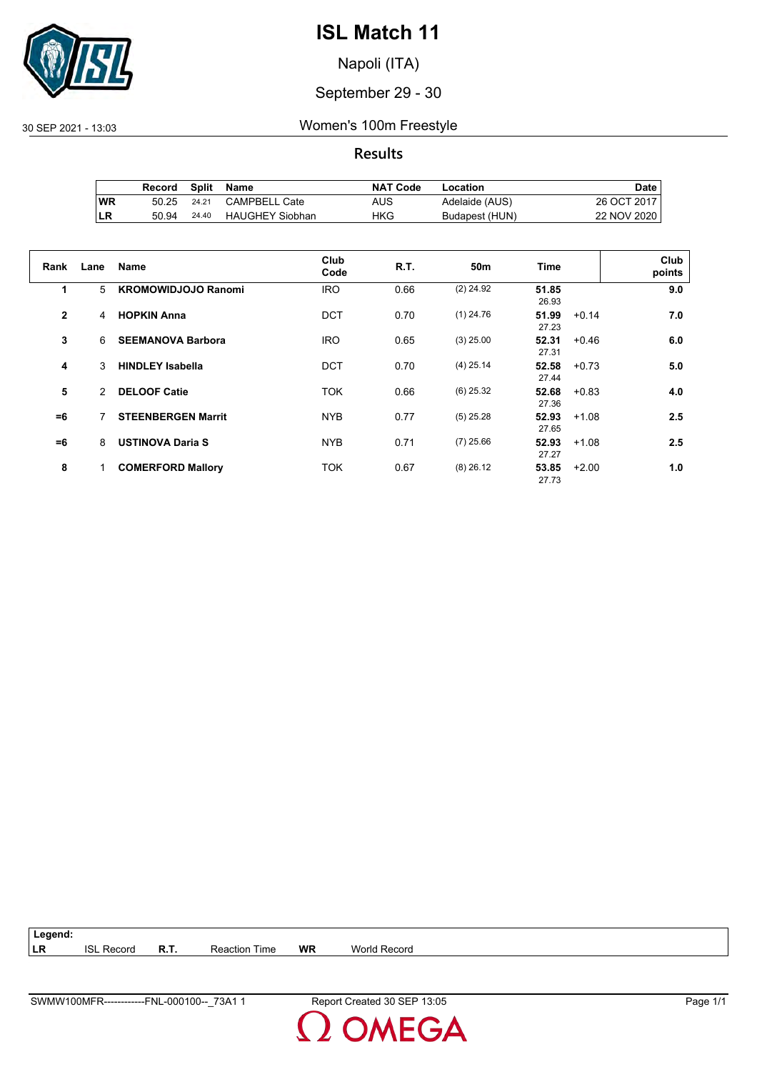

Napoli (ITA)

#### September 29 - 30

#### 30 SEP 2021 - 13:03 Women's 100m Freestyle

**Results**

|           | Record | Split | Name                   | <b>NAT Code</b> | Location       | Date .      |
|-----------|--------|-------|------------------------|-----------------|----------------|-------------|
| <b>WR</b> | 50.25  | 24.21 | <b>CAMPBELL Cate</b>   | AUS             | Adelaide (AUS) | 26 OCT 2017 |
| ILR       | 50.94  | 24.40 | <b>HAUGHEY Siobhan</b> | HKG             | Budapest (HUN) | 22 NOV 2020 |

| Rank           | Lane          | <b>Name</b>                | Club<br>Code | <b>R.T.</b> | 50 <sub>m</sub> | <b>Time</b>    |         | Club<br>points |
|----------------|---------------|----------------------------|--------------|-------------|-----------------|----------------|---------|----------------|
| 1              | 5             | <b>KROMOWIDJOJO Ranomi</b> | <b>IRO</b>   | 0.66        | $(2)$ 24.92     | 51.85<br>26.93 |         | 9.0            |
| $\overline{2}$ | 4             | <b>HOPKIN Anna</b>         | DCT          | 0.70        | $(1)$ 24.76     | 51.99<br>27.23 | $+0.14$ | 7.0            |
| 3              | 6             | <b>SEEMANOVA Barbora</b>   | <b>IRO</b>   | 0.65        | $(3)$ 25.00     | 52.31<br>27.31 | $+0.46$ | 6.0            |
| 4              | 3             | <b>HINDLEY Isabella</b>    | DCT          | 0.70        | $(4)$ 25.14     | 52.58<br>27.44 | $+0.73$ | 5.0            |
| 5              | $\mathcal{P}$ | <b>DELOOF Catie</b>        | <b>TOK</b>   | 0.66        | $(6)$ 25.32     | 52.68<br>27.36 | $+0.83$ | 4.0            |
| $=6$           | 7             | <b>STEENBERGEN Marrit</b>  | <b>NYB</b>   | 0.77        | $(5)$ 25.28     | 52.93<br>27.65 | $+1.08$ | 2.5            |
| $=6$           | 8             | <b>USTINOVA Daria S</b>    | <b>NYB</b>   | 0.71        | $(7)$ 25.66     | 52.93<br>27.27 | $+1.08$ | 2.5            |
| 8              |               | <b>COMERFORD Mallory</b>   | <b>TOK</b>   | 0.67        | $(8)$ 26.12     | 53.85<br>27.73 | $+2.00$ | 1.0            |

**Legend: LR** ISL Record **R.T.** Reaction Time **WR** World Record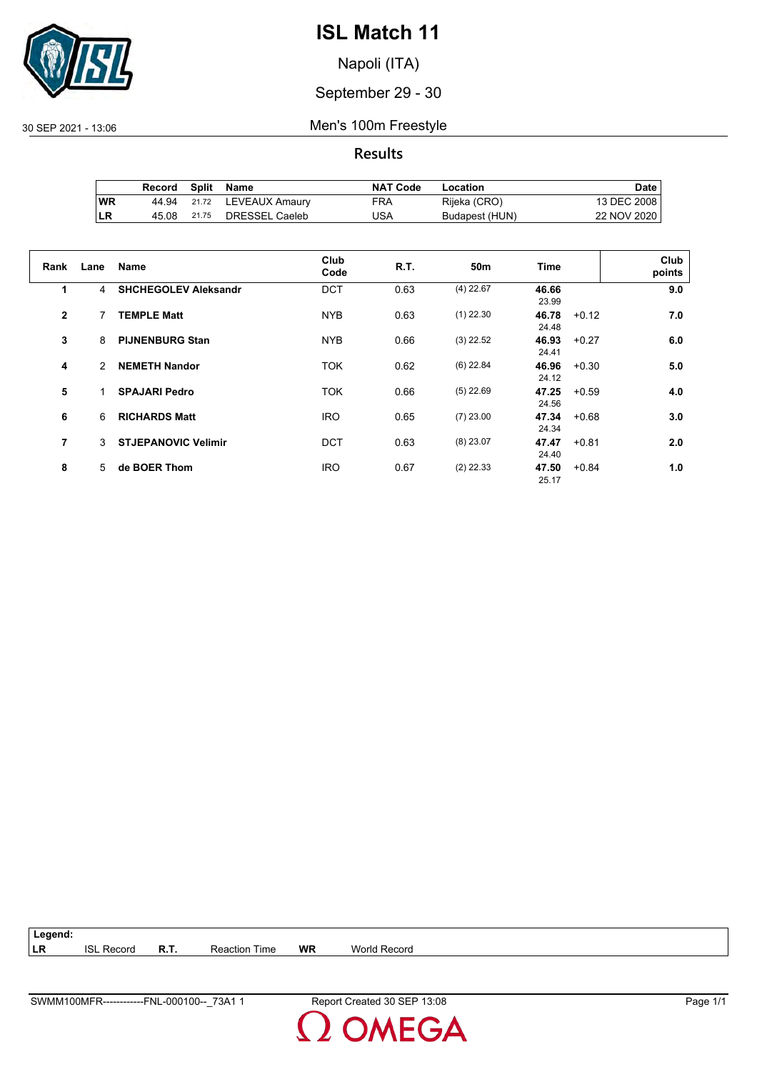

Napoli (ITA)

#### September 29 - 30

30 SEP 2021 - 13:06 Men's 100m Freestyle

**Results**

|            | Record | Split | Name           | <b>NAT Code</b> | Location       | Date i      |
|------------|--------|-------|----------------|-----------------|----------------|-------------|
| ∣WR        | 44.94  | 21.72 | LEVEAUX Amaury | FRA             | Rijeka (CRO)   | 13 DEC 2008 |
| <b>ILR</b> | 45.08  | 21.75 | DRESSEL Caeleb | USA             | Budapest (HUN) | 22 NOV 2020 |

| Rank           | Lane | Name                        | Club<br>Code | <b>R.T.</b> | 50 <sub>m</sub> | Time                    |         | Club<br>points |
|----------------|------|-----------------------------|--------------|-------------|-----------------|-------------------------|---------|----------------|
| 1              | 4    | <b>SHCHEGOLEV Aleksandr</b> | <b>DCT</b>   | 0.63        | $(4)$ 22.67     | 46.66<br>23.99          |         | 9.0            |
| $\overline{2}$ | 7    | <b>TEMPLE Matt</b>          | <b>NYB</b>   | 0.63        | $(1)$ 22.30     | 46.78<br>24.48          | $+0.12$ | 7.0            |
| 3              | 8    | <b>PIJNENBURG Stan</b>      | <b>NYB</b>   | 0.66        | $(3)$ 22.52     | 46.93<br>24.41          | $+0.27$ | 6.0            |
| 4              | 2    | <b>NEMETH Nandor</b>        | <b>TOK</b>   | 0.62        | $(6)$ 22.84     | 46.96<br>24.12          | $+0.30$ | 5.0            |
| 5              | 1    | <b>SPAJARI Pedro</b>        | <b>TOK</b>   | 0.66        | $(5)$ 22.69     | 47.25<br>24.56          | $+0.59$ | 4.0            |
| 6              | 6    | <b>RICHARDS Matt</b>        | <b>IRO</b>   | 0.65        | $(7)$ 23.00     | $47.34 + 0.68$<br>24.34 |         | 3.0            |
| 7              | 3    | <b>STJEPANOVIC Velimir</b>  | DCT          | 0.63        | $(8)$ 23.07     | 47.47<br>24.40          | $+0.81$ | 2.0            |
| 8              | 5.   | de BOER Thom                | <b>IRO</b>   | 0.67        | $(2)$ 22.33     | 47.50<br>25.17          | $+0.84$ | 1.0            |

**Legend: LR** ISL Record **R.T.** Reaction Time **WR** World Record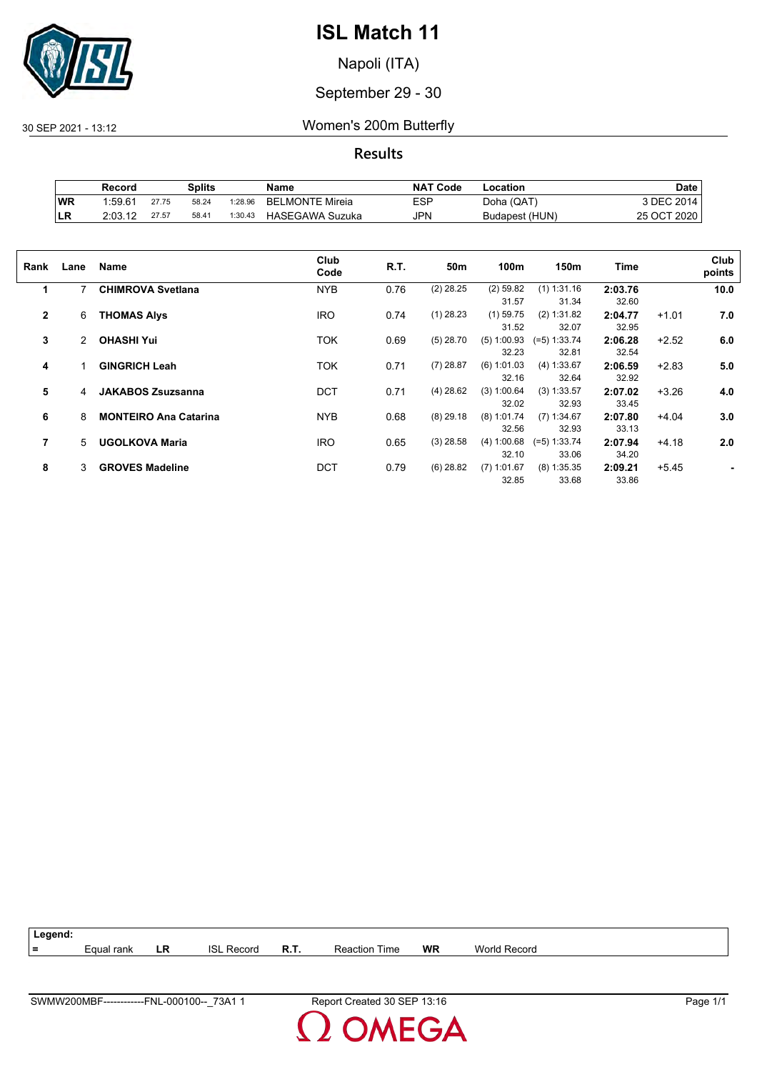

Napoli (ITA)

#### September 29 - 30

30 SEP 2021 - 13:12 Women's 200m Butterfly

**Results**

|            | Record              |       | Splits |         | Name                   | <b>NAT Code</b> | Location       | Date        |
|------------|---------------------|-------|--------|---------|------------------------|-----------------|----------------|-------------|
| <b>WR</b>  | 1.59.6 <sup>4</sup> | 27.75 | 58.24  | 1:28.96 | <b>BELMONTE Mireia</b> | <b>ESP</b>      | Doha (QAT)     | 3 DEC 2014. |
| <b>ILR</b> | 2:03.12             | 27.57 | 58.41  | 1:30.43 | <b>HASEGAWA Suzuka</b> | JPN             | Budapest (HUN) | 25 OCT 2020 |

| Rank         | Lane           | Name                         | Club<br>Code | R.T. | 50m         | 100m          | 150m           | <b>Time</b> |         | Club<br>points |
|--------------|----------------|------------------------------|--------------|------|-------------|---------------|----------------|-------------|---------|----------------|
| 1            | 7              | <b>CHIMROVA Svetlana</b>     | <b>NYB</b>   | 0.76 | $(2)$ 28.25 | $(2)$ 59.82   | $(1)$ 1:31.16  | 2:03.76     |         | 10.0           |
|              |                |                              |              |      |             | 31.57         | 31.34          | 32.60       |         |                |
| $\mathbf{2}$ | 6              | <b>THOMAS Alys</b>           | <b>IRO</b>   | 0.74 | $(1)$ 28.23 | $(1)$ 59.75   | (2) 1:31.82    | 2:04.77     | $+1.01$ | 7.0            |
|              |                |                              |              |      |             | 31.52         | 32.07          | 32.95       |         |                |
| 3            | $\overline{2}$ | <b>OHASHI Yui</b>            | <b>TOK</b>   | 0.69 | $(5)$ 28.70 | (5) 1:00.93   | $(=5)$ 1:33.74 | 2:06.28     | $+2.52$ | 6.0            |
|              |                |                              |              |      |             | 32.23         | 32.81          | 32.54       |         |                |
| 4            | 1              | <b>GINGRICH Leah</b>         | <b>TOK</b>   | 0.71 | $(7)$ 28.87 | $(6)$ 1:01.03 | (4) 1:33.67    | 2:06.59     | $+2.83$ | 5.0            |
|              |                |                              |              |      |             | 32.16         | 32.64          | 32.92       |         |                |
| 5            | 4              | <b>JAKABOS Zsuzsanna</b>     | <b>DCT</b>   | 0.71 | $(4)$ 28.62 | (3) 1:00.64   | $(3)$ 1:33.57  | 2:07.02     | $+3.26$ | 4.0            |
|              |                |                              |              |      |             | 32.02         | 32.93          | 33.45       |         |                |
| 6            | 8              | <b>MONTEIRO Ana Catarina</b> | <b>NYB</b>   | 0.68 | $(8)$ 29.18 | $(8)$ 1:01.74 | $(7)$ 1:34.67  | 2:07.80     | $+4.04$ | 3.0            |
|              |                |                              |              |      |             | 32.56         | 32.93          | 33.13       |         |                |
| 7            | 5              | <b>UGOLKOVA Maria</b>        | <b>IRO</b>   | 0.65 | $(3)$ 28.58 | (4) 1:00.68   | $(=5)$ 1:33.74 | 2:07.94     | $+4.18$ | 2.0            |
|              |                |                              |              |      |             | 32.10         | 33.06          | 34.20       |         |                |
| 8            | 3              | <b>GROVES Madeline</b>       | DCT          | 0.79 | $(6)$ 28.82 | $(7)$ 1:01.67 | $(8)$ 1:35.35  | 2:09.21     | $+5.45$ |                |
|              |                |                              |              |      |             | 32.85         | 33.68          | 33.86       |         |                |

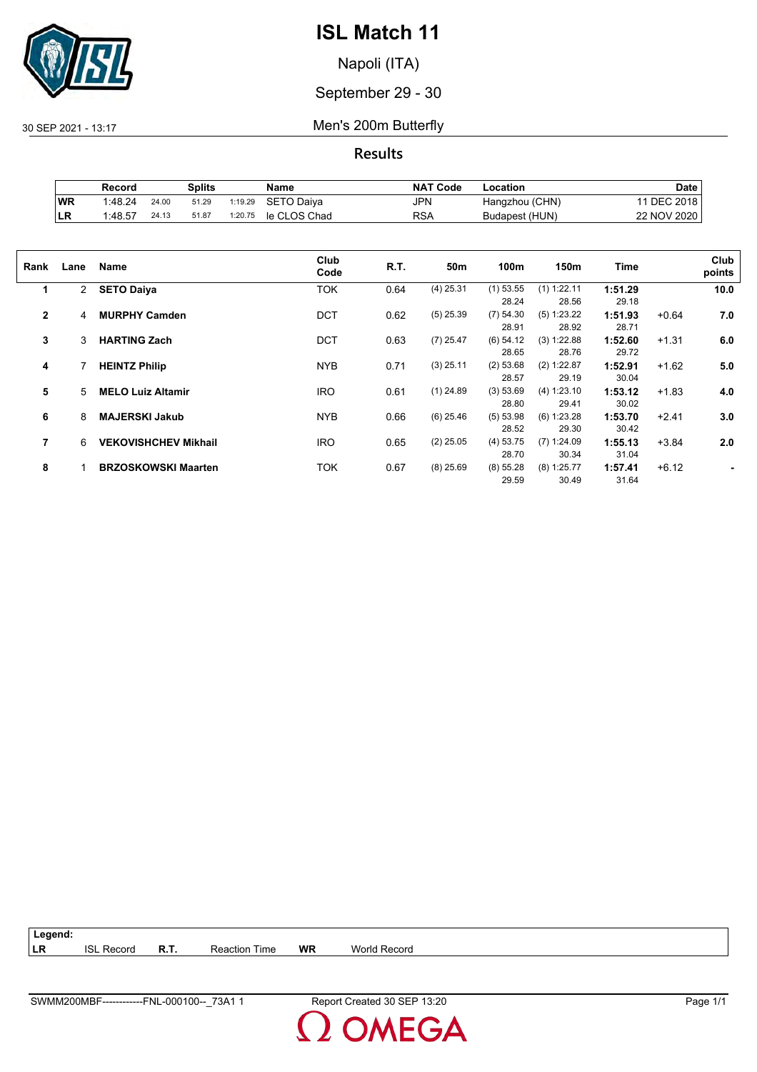

Napoli (ITA)

September 29 - 30

30 SEP 2021 - 13:17 Men's 200m Butterfly

**Results**

|           | Record  |       | Splits |         | Name         | <b>NAT Code</b> | -ocation       | Date        |
|-----------|---------|-------|--------|---------|--------------|-----------------|----------------|-------------|
| <b>WR</b> | 1:48.24 | 24.00 | 51.29  | 1:19.29 | SETO Daiva   | JPN             | Hangzhou (CHN) | DEC 2018    |
| LR        | 1:48.57 | 24.13 | 51.87  | 1:20.75 | le CLOS Chad | RSA             | Budapest (HUN) | 22 NOV 2020 |

| Rank         | Lane           | Name                        | Club<br>Code | R.T. | 50m         | 100m        | 150m          | Time    |         | Club<br>points |
|--------------|----------------|-----------------------------|--------------|------|-------------|-------------|---------------|---------|---------|----------------|
| 1            | $\overline{2}$ | <b>SETO Daiya</b>           | TOK          | 0.64 | $(4)$ 25.31 | $(1)$ 53.55 | $(1)$ 1:22.11 | 1:51.29 |         | 10.0           |
|              |                |                             |              |      |             | 28.24       | 28.56         | 29.18   |         |                |
| $\mathbf{2}$ | 4              | <b>MURPHY Camden</b>        | <b>DCT</b>   | 0.62 | $(5)$ 25.39 | (7) 54.30   | (5) 1:23.22   | 1:51.93 | $+0.64$ | 7.0            |
|              |                |                             |              |      |             | 28.91       | 28.92         | 28.71   |         |                |
| 3            | 3              | <b>HARTING Zach</b>         | <b>DCT</b>   | 0.63 | $(7)$ 25.47 | $(6)$ 54.12 | (3) 1:22.88   | 1:52.60 | $+1.31$ | 6.0            |
|              |                |                             |              |      |             | 28.65       | 28.76         | 29.72   |         |                |
| 4            |                | <b>HEINTZ Philip</b>        | <b>NYB</b>   | 0.71 | $(3)$ 25.11 | (2) 53.68   | (2) 1:22.87   | 1:52.91 | $+1.62$ | 5.0            |
|              |                |                             |              |      |             | 28.57       | 29.19         | 30.04   |         |                |
| 5            | 5              | <b>MELO Luiz Altamir</b>    | <b>IRO</b>   | 0.61 | $(1)$ 24.89 | (3) 53.69   | (4) 1:23.10   | 1:53.12 | $+1.83$ | 4.0            |
|              |                |                             |              |      |             | 28.80       | 29.41         | 30.02   |         |                |
| 6            | 8              | <b>MAJERSKI Jakub</b>       | <b>NYB</b>   | 0.66 | $(6)$ 25.46 | (5) 53.98   | $(6)$ 1:23.28 | 1:53.70 | $+2.41$ | 3.0            |
|              |                |                             |              |      |             | 28.52       | 29.30         | 30.42   |         |                |
| 7            | 6              | <b>VEKOVISHCHEV Mikhail</b> | <b>IRO</b>   | 0.65 | $(2)$ 25.05 | (4) 53.75   | $(7)$ 1:24.09 | 1:55.13 | $+3.84$ | 2.0            |
|              |                |                             |              |      |             | 28.70       | 30.34         | 31.04   |         |                |
| 8            |                | <b>BRZOSKOWSKI Maarten</b>  | TOK          | 0.67 | $(8)$ 25.69 | (8) 55.28   | $(8)$ 1:25.77 | 1:57.41 | $+6.12$ |                |
|              |                |                             |              |      |             | 29.59       | 30.49         | 31.64   |         |                |
|              |                |                             |              |      |             |             |               |         |         |                |

| Legend: |                   |             |                      |           |              |
|---------|-------------------|-------------|----------------------|-----------|--------------|
| LR      | <b>ISL Record</b> | <b>R.T.</b> | <b>Reaction Time</b> | <b>WR</b> | World Record |

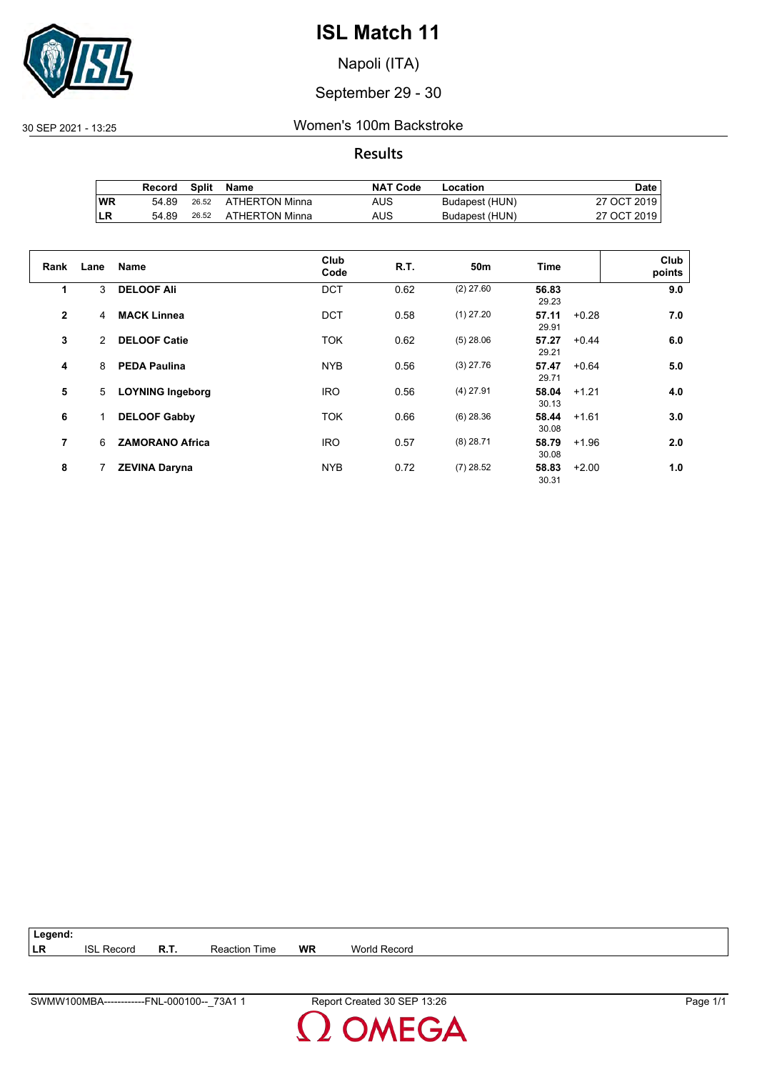

Napoli (ITA)

September 29 - 30

30 SEP 2021 - 13:25 Women's 100m Backstroke

**Results**

|     | Record |       | Split Name           | <b>NAT Code</b> | Location       | Date        |
|-----|--------|-------|----------------------|-----------------|----------------|-------------|
| ∣WR | 54.89  |       | 26.52 ATHERTON Minna | AUS             | Budapest (HUN) | 27 OCT 2019 |
| ∣LR | 54.89  | 26.52 | ATHERTON Minna       | AUS             | Budapest (HUN) | 27 OCT 2019 |

| Rank         | Lane | <b>Name</b>             | Club<br>Code | R.T. | 50m         | Time           |         | Club<br>points |
|--------------|------|-------------------------|--------------|------|-------------|----------------|---------|----------------|
| 1            | 3    | <b>DELOOF Ali</b>       | <b>DCT</b>   | 0.62 | $(2)$ 27.60 | 56.83<br>29.23 |         | 9.0            |
| $\mathbf{2}$ | 4    | <b>MACK Linnea</b>      | <b>DCT</b>   | 0.58 | $(1)$ 27.20 | 57.11<br>29.91 | $+0.28$ | 7.0            |
| 3            | 2    | <b>DELOOF Catie</b>     | <b>TOK</b>   | 0.62 | $(5)$ 28.06 | 57.27<br>29.21 | $+0.44$ | 6.0            |
| 4            | 8    | <b>PEDA Paulina</b>     | <b>NYB</b>   | 0.56 | $(3)$ 27.76 | 57.47<br>29.71 | $+0.64$ | 5.0            |
| 5            | 5    | <b>LOYNING Ingeborg</b> | <b>IRO</b>   | 0.56 | $(4)$ 27.91 | 58.04<br>30.13 | $+1.21$ | 4.0            |
| 6            |      | <b>DELOOF Gabby</b>     | <b>TOK</b>   | 0.66 | $(6)$ 28.36 | 58.44<br>30.08 | $+1.61$ | 3.0            |
| 7            | 6    | <b>ZAMORANO Africa</b>  | <b>IRO</b>   | 0.57 | $(8)$ 28.71 | 58.79<br>30.08 | $+1.96$ | 2.0            |
| 8            |      | <b>ZEVINA Daryna</b>    | <b>NYB</b>   | 0.72 | $(7)$ 28.52 | 58.83<br>30.31 | $+2.00$ | 1.0            |

**Legend: LR** ISL Record **R.T.** Reaction Time **WR** World Record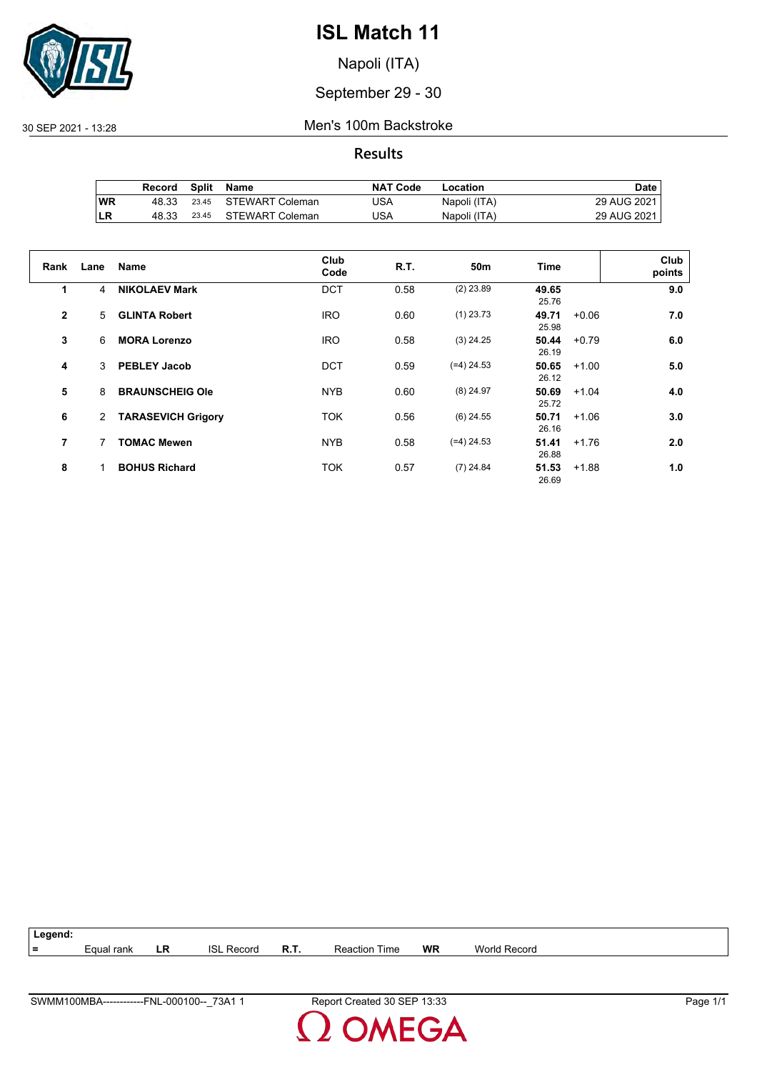

Napoli (ITA)

#### September 29 - 30

30 SEP 2021 - 13:28 Men's 100m Backstroke

**Results**

|           | Record | Split | Name                  | <b>NAT Code</b> | Location     | Date        |
|-----------|--------|-------|-----------------------|-----------------|--------------|-------------|
| <b>WR</b> | 48.33  |       | 23.45 STEWART Coleman | JSA             | Napoli (ITA) | 29 AUG 2021 |
| LR        | 48.33  | 23.45 | STEWART Coleman       | JSA             | Napoli (ITA) | 29 AUG 2021 |

| Rank         | Lane | <b>Name</b>               | Club<br>Code | R.T. | 50m          | Time           |         | Club<br>points |
|--------------|------|---------------------------|--------------|------|--------------|----------------|---------|----------------|
| 1            | 4    | <b>NIKOLAEV Mark</b>      | <b>DCT</b>   | 0.58 | $(2)$ 23.89  | 49.65<br>25.76 |         | 9.0            |
| $\mathbf{2}$ | 5    | <b>GLINTA Robert</b>      | <b>IRO</b>   | 0.60 | $(1)$ 23.73  | 49.71<br>25.98 | $+0.06$ | 7.0            |
| 3            | 6    | <b>MORA Lorenzo</b>       | <b>IRO</b>   | 0.58 | $(3)$ 24.25  | 50.44<br>26.19 | $+0.79$ | 6.0            |
| 4            | 3    | <b>PEBLEY Jacob</b>       | <b>DCT</b>   | 0.59 | $(=4)$ 24.53 | 50.65<br>26.12 | $+1.00$ | 5.0            |
| 5            | 8    | <b>BRAUNSCHEIG Ole</b>    | <b>NYB</b>   | 0.60 | $(8)$ 24.97  | 50.69<br>25.72 | $+1.04$ | 4.0            |
| 6            | 2    | <b>TARASEVICH Grigory</b> | <b>TOK</b>   | 0.56 | $(6)$ 24.55  | 50.71<br>26.16 | $+1.06$ | 3.0            |
| 7            | 7    | <b>TOMAC Mewen</b>        | <b>NYB</b>   | 0.58 | $(=4)$ 24.53 | 51.41<br>26.88 | $+1.76$ | 2.0            |
| 8            |      | <b>BOHUS Richard</b>      | <b>TOK</b>   | 0.57 | $(7)$ 24.84  | 51.53<br>26.69 | $+1.88$ | 1.0            |

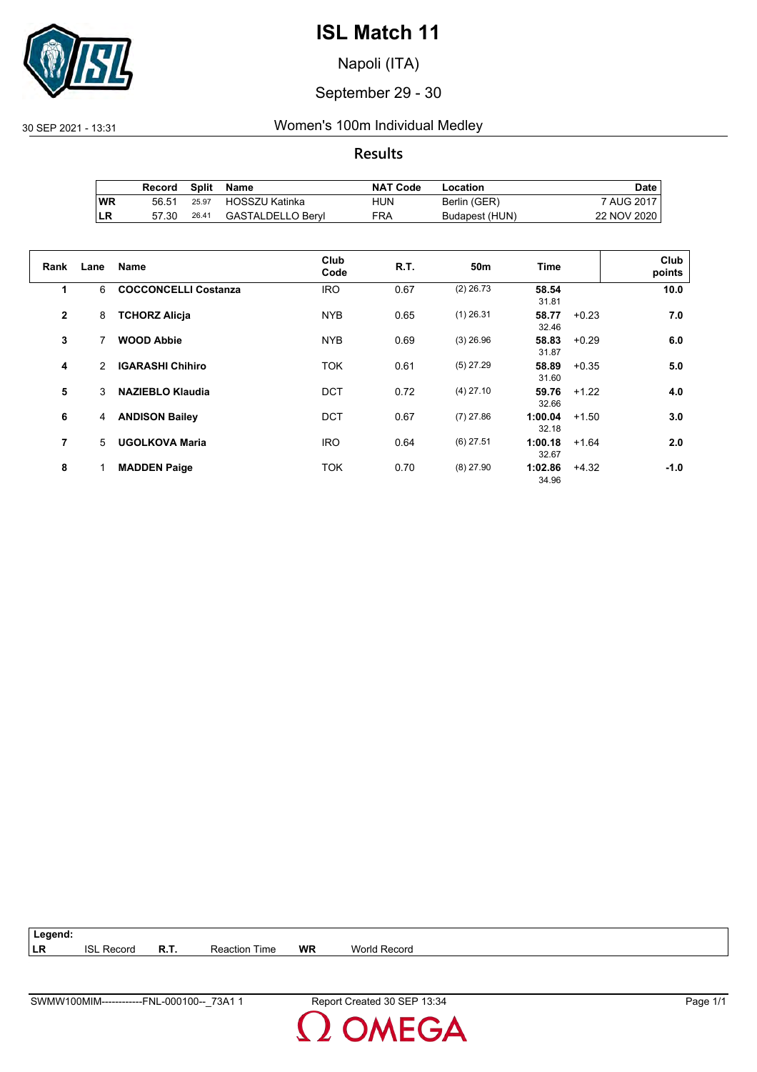

Napoli (ITA)

#### September 29 - 30

30 SEP 2021 - 13:31 Women's 100m Individual Medley

#### **Results**

|           | Record |       | Split Name        | <b>NAT Code</b> | Location       | Date        |
|-----------|--------|-------|-------------------|-----------------|----------------|-------------|
| <b>WR</b> | 56.51  | 25.97 | HOSSZU Katinka    | HUN             | Berlin (GER)   | 7 AUG 2017  |
| ILR       | 57.30  | 26.41 | GASTALDELLO Beryl | <b>FRA</b>      | Budapest (HUN) | 22 NOV 2020 |

| Rank           | Lane          | <b>Name</b>                 | Club<br>Code | R.T. | 50 <sub>m</sub> | <b>Time</b>      |         | Club<br>points |
|----------------|---------------|-----------------------------|--------------|------|-----------------|------------------|---------|----------------|
| 1              | 6             | <b>COCCONCELLI Costanza</b> | <b>IRO</b>   | 0.67 | $(2)$ 26.73     | 58.54<br>31.81   |         | 10.0           |
| $\overline{2}$ | 8             | <b>TCHORZ Alicja</b>        | <b>NYB</b>   | 0.65 | $(1)$ 26.31     | 58.77<br>32.46   | $+0.23$ | 7.0            |
| 3              | 7             | <b>WOOD Abbie</b>           | <b>NYB</b>   | 0.69 | $(3)$ 26.96     | 58.83<br>31.87   | $+0.29$ | 6.0            |
| 4              | $\mathcal{P}$ | <b>IGARASHI Chihiro</b>     | <b>TOK</b>   | 0.61 | $(5)$ 27.29     | 58.89<br>31.60   | $+0.35$ | 5.0            |
| 5              | 3             | <b>NAZIEBLO Klaudia</b>     | <b>DCT</b>   | 0.72 | $(4)$ 27.10     | 59.76<br>32.66   | $+1.22$ | 4.0            |
| 6              | 4             | <b>ANDISON Bailey</b>       | <b>DCT</b>   | 0.67 | $(7)$ 27.86     | 1:00.04<br>32.18 | $+1.50$ | 3.0            |
| $\overline{7}$ | 5.            | <b>UGOLKOVA Maria</b>       | <b>IRO</b>   | 0.64 | $(6)$ 27.51     | 1:00.18<br>32.67 | $+1.64$ | 2.0            |
| 8              |               | <b>MADDEN Paige</b>         | <b>TOK</b>   | 0.70 | $(8)$ 27.90     | 1:02.86<br>34.96 | $+4.32$ | $-1.0$         |

**Legend: LR** ISL Record **R.T.** Reaction Time **WR** World Record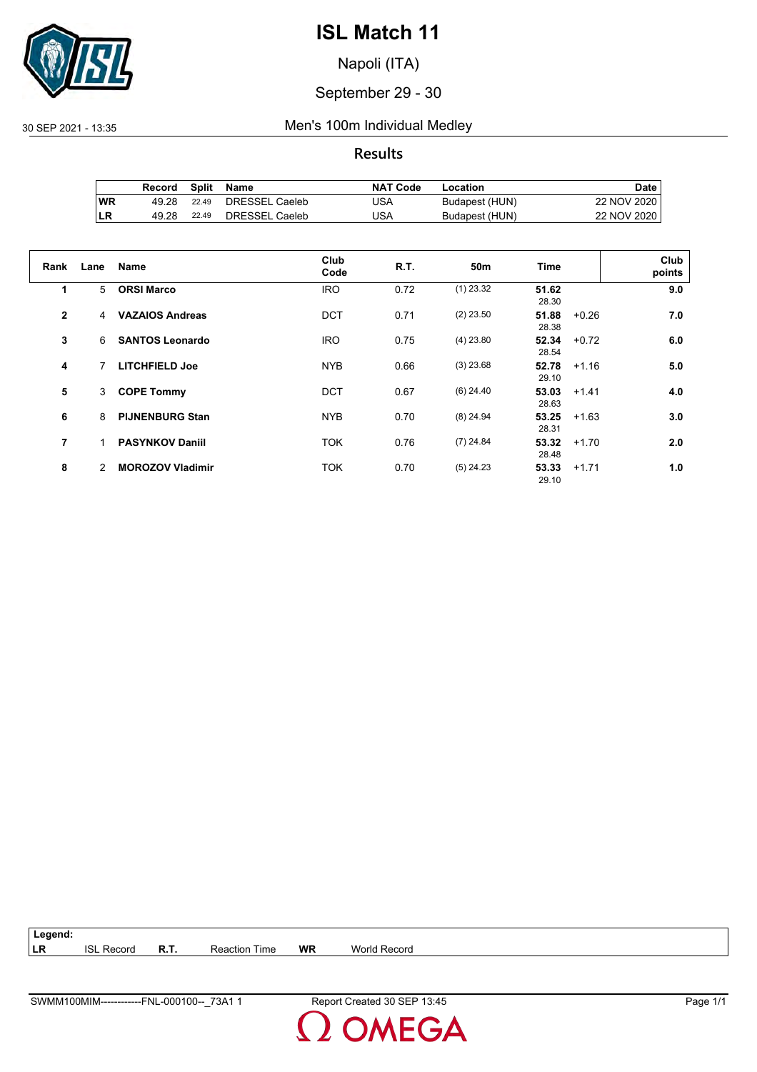

Napoli (ITA)

#### September 29 - 30

#### 30 SEP 2021 - 13:35 Men's 100m Individual Medley

#### **Results**

|           | Record | Split | Name           | <b>NAT Code</b> | Location       | Date        |
|-----------|--------|-------|----------------|-----------------|----------------|-------------|
| <b>WR</b> | 49.28  | 22.49 | DRESSEL Caeleb | USA             | Budapest (HUN) | 22 NOV 2020 |
| LR        | 49.28  | 22.49 | DRESSEL Caeleb | USA             | Budapest (HUN) | 22 NOV 2020 |

| Rank         | Lane | <b>Name</b>             | Club<br>Code | <b>R.T.</b> | 50m         | Time                      | Club<br>points |
|--------------|------|-------------------------|--------------|-------------|-------------|---------------------------|----------------|
| 1            | 5    | <b>ORSI Marco</b>       | <b>IRO</b>   | 0.72        | $(1)$ 23.32 | 51.62<br>28.30            | 9.0            |
| $\mathbf{2}$ | 4    | <b>VAZAIOS Andreas</b>  | <b>DCT</b>   | 0.71        | $(2)$ 23.50 | 51.88<br>$+0.26$<br>28.38 | 7.0            |
| 3            | 6    | <b>SANTOS Leonardo</b>  | <b>IRO</b>   | 0.75        | $(4)$ 23.80 | 52.34<br>$+0.72$<br>28.54 | 6.0            |
| 4            |      | <b>LITCHFIELD Joe</b>   | <b>NYB</b>   | 0.66        | $(3)$ 23.68 | 52.78<br>$+1.16$<br>29.10 | 5.0            |
| 5            | 3    | <b>COPE Tommy</b>       | <b>DCT</b>   | 0.67        | $(6)$ 24.40 | 53.03<br>$+1.41$<br>28.63 | 4.0            |
| 6            | 8    | <b>PIJNENBURG Stan</b>  | <b>NYB</b>   | 0.70        | $(8)$ 24.94 | 53.25<br>$+1.63$<br>28.31 | 3.0            |
| 7            |      | <b>PASYNKOV Daniil</b>  | <b>TOK</b>   | 0.76        | $(7)$ 24.84 | 53.32<br>$+1.70$<br>28.48 | 2.0            |
| 8            | 2    | <b>MOROZOV Vladimir</b> | <b>TOK</b>   | 0.70        | $(5)$ 24.23 | 53.33<br>$+1.71$<br>29.10 | 1.0            |

**Legend: LR** ISL Record **R.T.** Reaction Time **WR** World Record

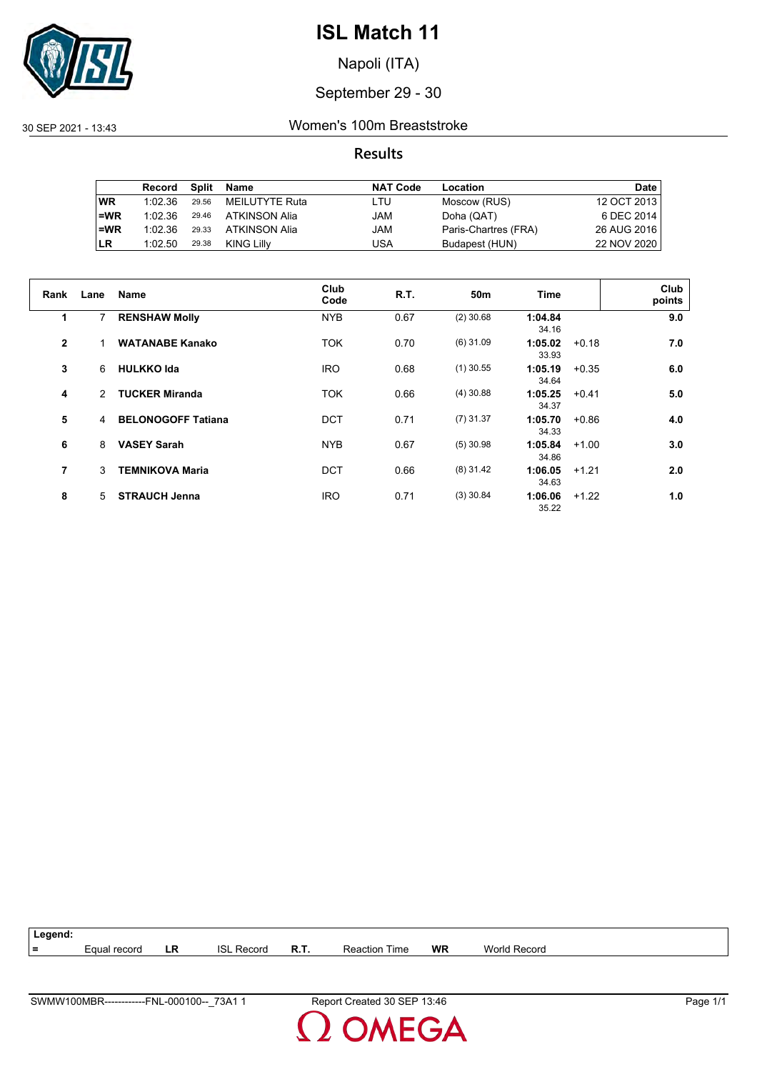

Napoli (ITA)

#### September 29 - 30

30 SEP 2021 - 13:43 Women's 100m Breaststroke

#### **Results**

|           | Record  | Split | Name           | <b>NAT Code</b> | Location             | Date        |
|-----------|---------|-------|----------------|-----------------|----------------------|-------------|
| <b>WR</b> | 1:02.36 | 29.56 | MEILUTYTE Ruta | LTU             | Moscow (RUS)         | 12 OCT 2013 |
| $=WR$     | 1:02.36 | 29.46 | ATKINSON Alia  | JAM             | Doha (QAT)           | 6 DEC 2014  |
| $=WR$     | 1:02.36 | 29.33 | ATKINSON Alia  | JAM             | Paris-Chartres (FRA) | 26 AUG 2016 |
| <b>LR</b> | 1:02.50 | 29.38 | KING Lilly     | USA             | Budapest (HUN)       | 22 NOV 2020 |

| Rank           | Lane           | <b>Name</b>               | Club       | R.T. | 50 <sub>m</sub> | Time             |         | Club   |
|----------------|----------------|---------------------------|------------|------|-----------------|------------------|---------|--------|
|                |                |                           | Code       |      |                 |                  |         | points |
| 1              | 7              | <b>RENSHAW Molly</b>      | <b>NYB</b> | 0.67 | $(2)$ 30.68     | 1:04.84<br>34.16 |         | 9.0    |
| $\overline{2}$ |                | <b>WATANABE Kanako</b>    | <b>TOK</b> | 0.70 | $(6)$ 31.09     | 1:05.02<br>33.93 | $+0.18$ | 7.0    |
| 3              | 6              | <b>HULKKO Ida</b>         | <b>IRO</b> | 0.68 | $(1)$ 30.55     | 1:05.19<br>34.64 | $+0.35$ | 6.0    |
| 4              | 2              | <b>TUCKER Miranda</b>     | <b>TOK</b> | 0.66 | $(4)$ 30.88     | 1:05.25<br>34.37 | $+0.41$ | 5.0    |
| 5              | $\overline{4}$ | <b>BELONOGOFF Tatiana</b> | <b>DCT</b> | 0.71 | $(7)$ 31.37     | 1:05.70<br>34.33 | $+0.86$ | 4.0    |
| 6              | 8              | <b>VASEY Sarah</b>        | <b>NYB</b> | 0.67 | $(5)$ 30.98     | 1:05.84<br>34.86 | $+1.00$ | 3.0    |
| 7              | 3              | <b>TEMNIKOVA Maria</b>    | <b>DCT</b> | 0.66 | $(8)$ 31.42     | 1:06.05<br>34.63 | $+1.21$ | 2.0    |
| 8              | 5.             | <b>STRAUCH Jenna</b>      | <b>IRO</b> | 0.71 | $(3)$ 30.84     | 1:06.06<br>35.22 | $+1.22$ | 1.0    |

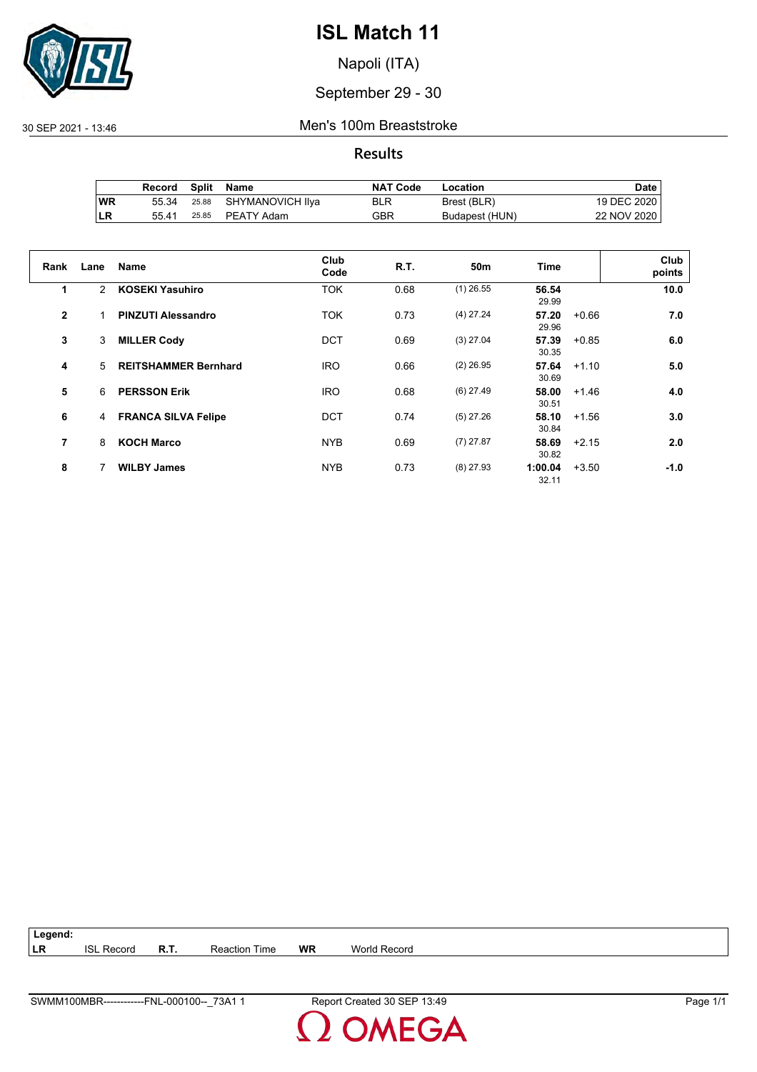

Napoli (ITA)

### September 29 - 30

30 SEP 2021 - 13:46 Men's 100m Breaststroke

#### **Results**

|           | Record | Split | Name                   | <b>NAT Code</b> | Location       | Date        |
|-----------|--------|-------|------------------------|-----------------|----------------|-------------|
| <b>WR</b> | 55.34  |       | 25.88 SHYMANOVICH IIya | BLR             | Brest (BLR)    | 19 DEC 2020 |
| ∣LR       | 55.41  |       | 25.85 PEATY Adam       | GBR             | Budapest (HUN) | 22 NOV 2020 |

| Rank           | Lane           | <b>Name</b>                 | Club<br>Code | <b>R.T.</b> | 50m         | <b>Time</b>      |         | Club<br>points |
|----------------|----------------|-----------------------------|--------------|-------------|-------------|------------------|---------|----------------|
| 1              | $\overline{2}$ | <b>KOSEKI Yasuhiro</b>      | <b>TOK</b>   | 0.68        | $(1)$ 26.55 | 56.54<br>29.99   |         | 10.0           |
| $\overline{2}$ |                | <b>PINZUTI Alessandro</b>   | <b>TOK</b>   | 0.73        | $(4)$ 27.24 | 57.20<br>29.96   | $+0.66$ | 7.0            |
| 3              | 3              | <b>MILLER Cody</b>          | <b>DCT</b>   | 0.69        | $(3)$ 27.04 | 57.39<br>30.35   | $+0.85$ | 6.0            |
| 4              | 5              | <b>REITSHAMMER Bernhard</b> | <b>IRO</b>   | 0.66        | $(2)$ 26.95 | 57.64<br>30.69   | $+1.10$ | 5.0            |
| 5              | 6              | <b>PERSSON Erik</b>         | <b>IRO</b>   | 0.68        | $(6)$ 27.49 | 58.00<br>30.51   | $+1.46$ | 4.0            |
| 6              | 4              | <b>FRANCA SILVA Felipe</b>  | <b>DCT</b>   | 0.74        | $(5)$ 27.26 | 58.10<br>30.84   | $+1.56$ | 3.0            |
| 7              | 8              | <b>KOCH Marco</b>           | <b>NYB</b>   | 0.69        | $(7)$ 27.87 | 58.69<br>30.82   | $+2.15$ | 2.0            |
| 8              |                | <b>WILBY James</b>          | <b>NYB</b>   | 0.73        | $(8)$ 27.93 | 1:00.04<br>32.11 | $+3.50$ | -1.0           |

| $\vert$ Legend: |                   |             |                      |    |                     |
|-----------------|-------------------|-------------|----------------------|----|---------------------|
| <b>ILR</b>      | <b>ISL Record</b> | <b>R.T.</b> | <b>Reaction Time</b> | WR | <b>World Record</b> |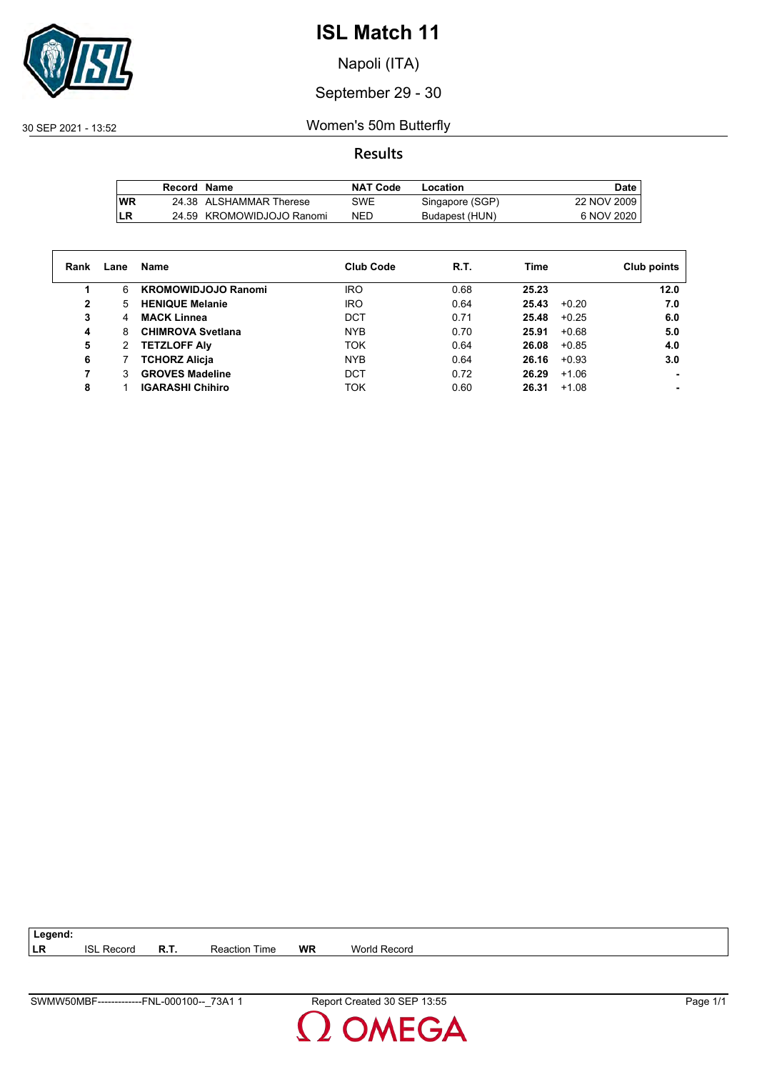

Napoli (ITA)

#### September 29 - 30

30 SEP 2021 - 13:52 Women's 50m Butterfly

#### **Results**

|           | Record Name |                           | NAT Code   | Location        | Date        |
|-----------|-------------|---------------------------|------------|-----------------|-------------|
| <b>WR</b> |             | 24.38 ALSHAMMAR Therese   | SWE        | Singapore (SGP) | 22 NOV 2009 |
| LR        |             | 24.59 KROMOWIDJOJO Ranomi | <b>NED</b> | Budapest (HUN)  | 6 NOV 2020  |

| Rank         | Lane | Name                       | <b>Club Code</b> | R.T. | Time             | Club points |
|--------------|------|----------------------------|------------------|------|------------------|-------------|
|              | 6    | <b>KROMOWIDJOJO Ranomi</b> | <b>IRO</b>       | 0.68 | 25.23            | 12.0        |
| $\mathbf{2}$ | 5.   | <b>HENIQUE Melanie</b>     | <b>IRO</b>       | 0.64 | 25.43<br>$+0.20$ | 7.0         |
| 3            | 4    | <b>MACK Linnea</b>         | DCT              | 0.71 | 25.48<br>$+0.25$ | 6.0         |
| 4            | 8    | <b>CHIMROVA Svetlana</b>   | <b>NYB</b>       | 0.70 | 25.91<br>$+0.68$ | 5.0         |
| 5            | 2    | <b>TETZLOFF Alv</b>        | <b>TOK</b>       | 0.64 | 26.08<br>$+0.85$ | 4.0         |
| 6            |      | <b>TCHORZ Alicja</b>       | <b>NYB</b>       | 0.64 | $+0.93$<br>26.16 | 3.0         |
|              | 3    | <b>GROVES Madeline</b>     | DCT              | 0.72 | 26.29<br>$+1.06$ |             |
| 8            |      | <b>IGARASHI Chihiro</b>    | <b>TOK</b>       | 0.60 | 26.31<br>$+1.08$ |             |

**LR** ISL Record **R.T.** Reaction Time **WR** World Record

**Legend:**

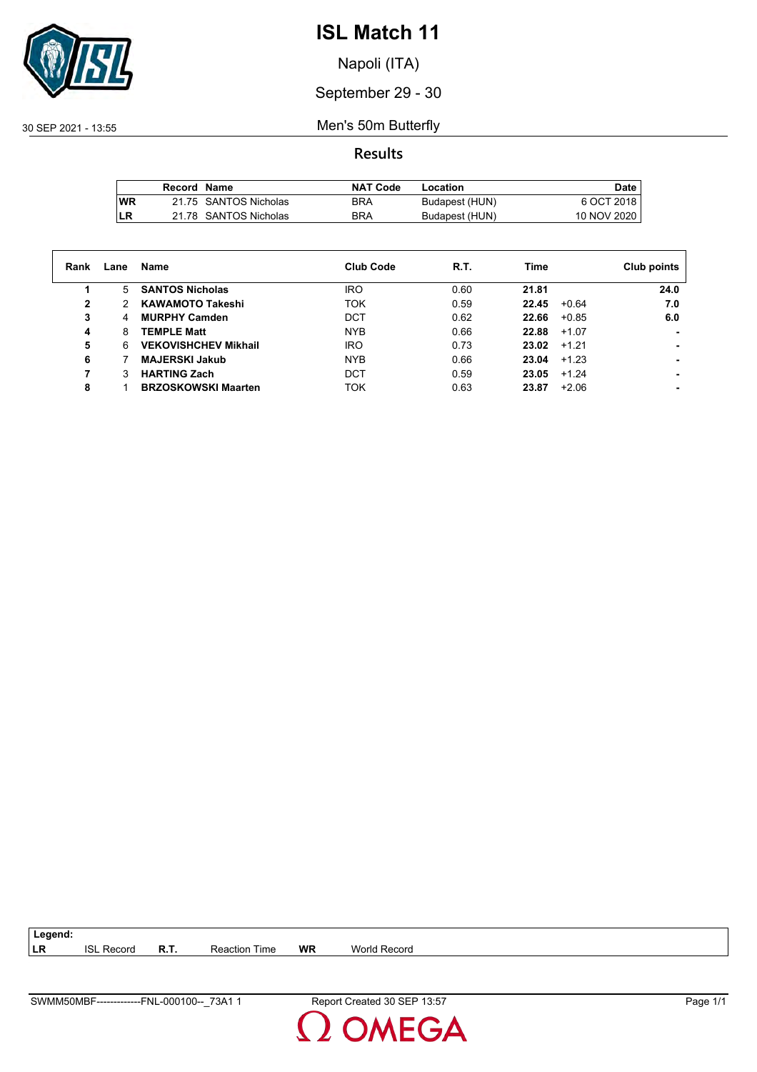

Napoli (ITA)

September 29 - 30

30 SEP 2021 - 13:55 Men's 50m Butterfly

**Results**

|           | Record Name |                       | <b>NAT Code</b> | Location       | Date        |
|-----------|-------------|-----------------------|-----------------|----------------|-------------|
| <b>WR</b> |             | 21.75 SANTOS Nicholas | BRA             | Budapest (HUN) | 6 OCT 2018  |
| LR        |             | 21.78 SANTOS Nicholas | <b>BRA</b>      | Budapest (HUN) | 10 NOV 2020 |

| Rank         | Lane | Name                        | <b>Club Code</b> | R.T. | Time  | Club points    |
|--------------|------|-----------------------------|------------------|------|-------|----------------|
| 1            | 5.   | <b>SANTOS Nicholas</b>      | <b>IRO</b>       | 0.60 | 21.81 | 24.0           |
| $\mathbf{2}$ | 2    | <b>KAWAMOTO Takeshi</b>     | <b>TOK</b>       | 0.59 | 22.45 | 7.0<br>$+0.64$ |
| 3            | 4    | <b>MURPHY Camden</b>        | <b>DCT</b>       | 0.62 | 22.66 | 6.0<br>$+0.85$ |
| 4            | 8    | <b>TEMPLE Matt</b>          | <b>NYB</b>       | 0.66 | 22.88 | $+1.07$        |
| 5            | 6    | <b>VEKOVISHCHEV Mikhail</b> | <b>IRO</b>       | 0.73 | 23.02 | $+1.21$        |
| 6            |      | <b>MAJERSKI Jakub</b>       | <b>NYB</b>       | 0.66 | 23.04 | $+1.23$        |
| 7            | 3    | <b>HARTING Zach</b>         | DCT              | 0.59 | 23.05 | $+1.24$        |
| 8            |      | <b>BRZOSKOWSKI Maarten</b>  | <b>TOK</b>       | 0.63 | 23.87 | $+2.06$        |

**LR** ISL Record **R.T.** Reaction Time **WR** World Record

**Legend:**

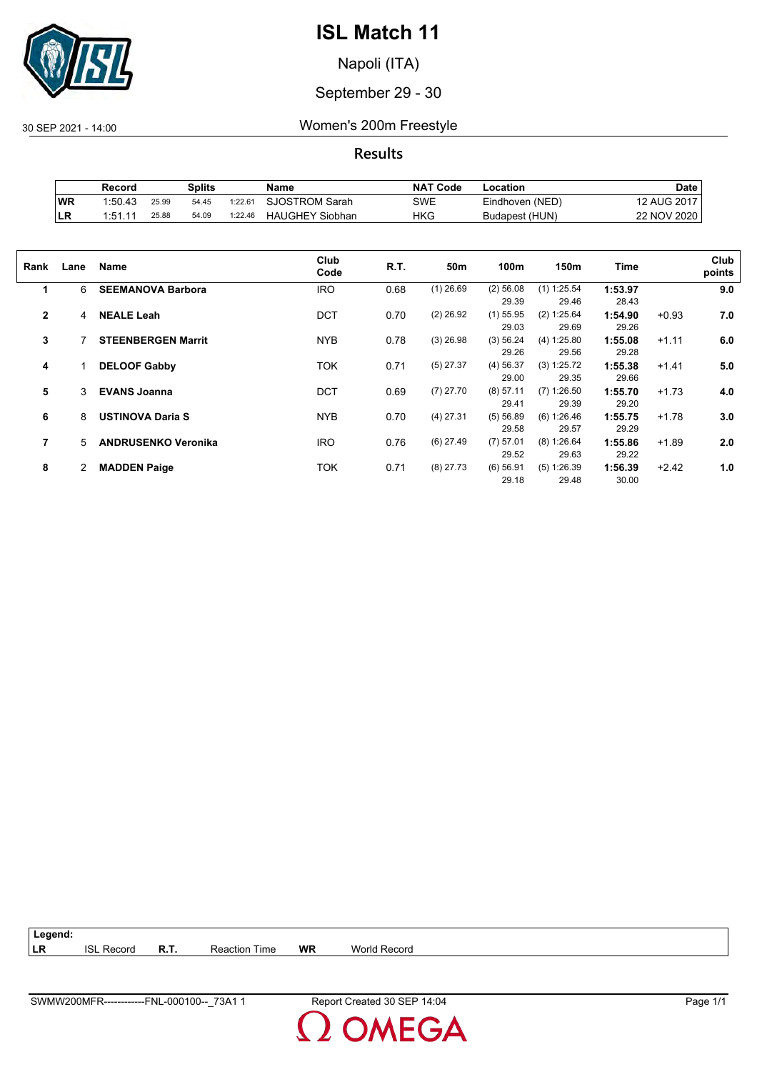

Napoli (ITA)

#### September 29 - 30

30 SEP 2021 - 14:00 Women's 200m Freestyle

**Results**

|           | Record  |       | <b>Splits</b> |         | Name                   | <b>NAT Code</b> | ∟ocation        | Date        |
|-----------|---------|-------|---------------|---------|------------------------|-----------------|-----------------|-------------|
| <b>WR</b> | 1:50.43 | 25.99 | 54.45         | 1:22.61 | <b>SJOSTROM Sarah</b>  | SWE             | Eindhoven (NED) | 12 AUG 2017 |
| ILR       | 1:51.11 | 25.88 | 54.09         | 1:22.46 | <b>HAUGHEY Siobhan</b> | HKG             | Budapest (HUN)  | 22 NOV 2020 |

| Rank           | Lane | Name                       | Club<br>Code | R.T. | 50 <sub>m</sub> | 100m                 | 150m                   | Time             |         | Club<br>points |
|----------------|------|----------------------------|--------------|------|-----------------|----------------------|------------------------|------------------|---------|----------------|
| 1              | 6    | <b>SEEMANOVA Barbora</b>   | <b>IRO</b>   | 0.68 | $(1)$ 26.69     | $(2)$ 56.08<br>29.39 | $(1)$ 1:25.54<br>29.46 | 1:53.97<br>28.43 |         | 9.0            |
| $\overline{2}$ | 4    | <b>NEALE Leah</b>          | <b>DCT</b>   | 0.70 | $(2)$ 26.92     | $(1)$ 55.95<br>29.03 | (2) 1:25.64<br>29.69   | 1:54.90<br>29.26 | $+0.93$ | 7.0            |
| 3              |      | <b>STEENBERGEN Marrit</b>  | <b>NYB</b>   | 0.78 | $(3)$ 26.98     | (3) 56.24<br>29.26   | (4) 1:25.80<br>29.56   | 1:55.08<br>29.28 | $+1.11$ | 6.0            |
| 4              |      | <b>DELOOF Gabby</b>        | <b>TOK</b>   | 0.71 | $(5)$ 27.37     | $(4)$ 56.37<br>29.00 | (3) 1:25.72<br>29.35   | 1:55.38<br>29.66 | $+1.41$ | 5.0            |
| 5              | 3    | <b>EVANS Joanna</b>        | <b>DCT</b>   | 0.69 | $(7)$ 27.70     | $(8)$ 57.11<br>29.41 | $(7)$ 1:26.50<br>29.39 | 1:55.70<br>29.20 | $+1.73$ | 4.0            |
| 6              | 8    | <b>USTINOVA Daria S</b>    | <b>NYB</b>   | 0.70 | $(4)$ 27.31     | (5) 56.89<br>29.58   | (6) 1:26.46<br>29.57   | 1:55.75<br>29.29 | $+1.78$ | 3.0            |
| 7              | 5    | <b>ANDRUSENKO Veronika</b> | <b>IRO</b>   | 0.76 | $(6)$ 27.49     | $(7)$ 57.01<br>29.52 | (8) 1:26.64<br>29.63   | 1:55.86<br>29.22 | $+1.89$ | 2.0            |
| 8              | 2    | <b>MADDEN Paige</b>        | TOK          | 0.71 | $(8)$ 27.73     | $(6)$ 56.91<br>29.18 | (5) 1:26.39<br>29.48   | 1:56.39<br>30.00 | $+2.42$ | 1.0            |

| $\vert$ Legend: |                   |               |    |              |
|-----------------|-------------------|---------------|----|--------------|
| LR              | <b>ISL Record</b> | Reaction Time | WR | World Record |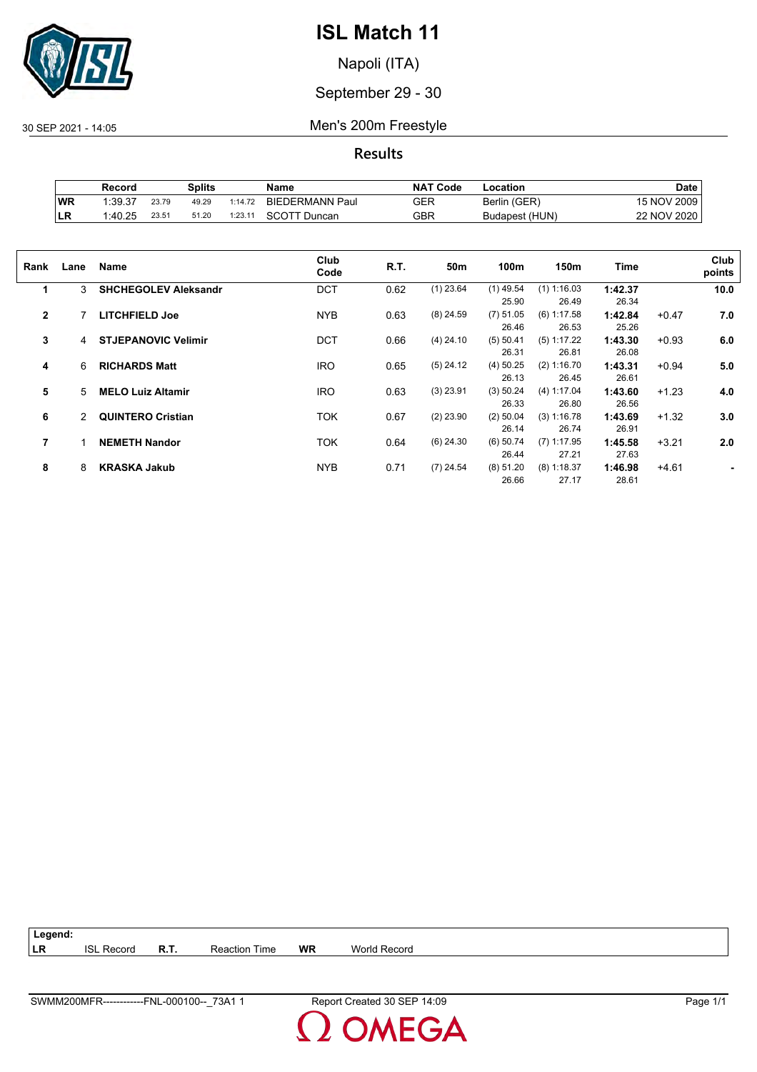

Napoli (ITA)

September 29 - 30

30 SEP 2021 - 14:05 Men's 200m Freestyle

**Results**

|           | Record  |       | Splits |         | Name                   | <b>NAT Code</b> | -ocation       | Date        |
|-----------|---------|-------|--------|---------|------------------------|-----------------|----------------|-------------|
| WR        | 1:39.37 | 23.79 | 49.29  | 1:14.72 | <b>BIEDERMANN Paul</b> | GER             | Berlin (GER)   | 15 NOV 2009 |
| <b>LR</b> | 1:40.25 | 23.51 | 51.20  | 1:23.11 | SCOTT Duncan           | GBR             | Budapest (HUN) | 22 NOV 2020 |

| Rank         | Lane | Name                        | Club<br>Code | R.T. | 50m         | 100m                 | 150m                   | Time             |         | Club<br>points |
|--------------|------|-----------------------------|--------------|------|-------------|----------------------|------------------------|------------------|---------|----------------|
| 1            | 3    | <b>SHCHEGOLEV Aleksandr</b> | <b>DCT</b>   | 0.62 | $(1)$ 23.64 | $(1)$ 49.54<br>25.90 | $(1)$ 1:16.03<br>26.49 | 1:42.37<br>26.34 |         | 10.0           |
| $\mathbf{2}$ |      | <b>LITCHFIELD Joe</b>       | <b>NYB</b>   | 0.63 | $(8)$ 24.59 | $(7)$ 51.05<br>26.46 | $(6)$ 1:17.58<br>26.53 | 1:42.84<br>25.26 | $+0.47$ | 7.0            |
| 3            | 4    | <b>STJEPANOVIC Velimir</b>  | <b>DCT</b>   | 0.66 | $(4)$ 24.10 | (5) 50.41<br>26.31   | $(5)$ 1:17.22<br>26.81 | 1:43.30<br>26.08 | $+0.93$ | 6.0            |
| 4            | 6    | <b>RICHARDS Matt</b>        | <b>IRO</b>   | 0.65 | $(5)$ 24.12 | $(4)$ 50.25<br>26.13 | (2) 1:16.70<br>26.45   | 1:43.31<br>26.61 | $+0.94$ | 5.0            |
| 5            | 5    | <b>MELO Luiz Altamir</b>    | <b>IRO</b>   | 0.63 | $(3)$ 23.91 | (3) 50.24<br>26.33   | (4) 1:17.04<br>26.80   | 1:43.60<br>26.56 | $+1.23$ | 4.0            |
| 6            | 2    | <b>QUINTERO Cristian</b>    | TOK          | 0.67 | $(2)$ 23.90 | $(2)$ 50.04<br>26.14 | (3) 1:16.78<br>26.74   | 1:43.69<br>26.91 | $+1.32$ | 3.0            |
| 7            |      | <b>NEMETH Nandor</b>        | <b>TOK</b>   | 0.64 | $(6)$ 24.30 | $(6)$ 50.74<br>26.44 | $(7)$ 1:17.95<br>27.21 | 1:45.58<br>27.63 | $+3.21$ | 2.0            |
| 8            | 8    | <b>KRASKA Jakub</b>         | <b>NYB</b>   | 0.71 | $(7)$ 24.54 | (8) 51.20<br>26.66   | $(8)$ 1:18.37<br>27.17 | 1:46.98<br>28.61 | $+4.61$ |                |

| Legend: |                   |      |                      |    |              |
|---------|-------------------|------|----------------------|----|--------------|
| LR      | <b>ISL Record</b> | R.T. | <b>Reaction Time</b> | WR | World Record |

**OMEGA**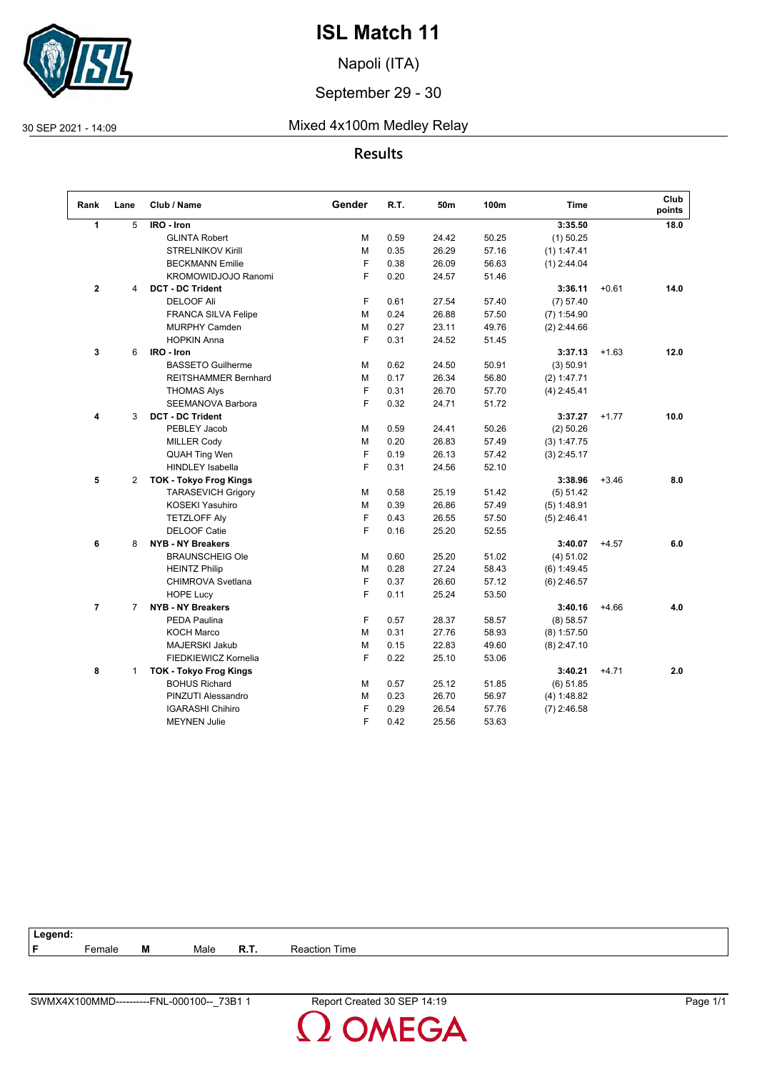

Napoli (ITA)

#### September 29 - 30

30 SEP 2021 - 14:09 Mixed 4x100m Medley Relay

#### **Results**

| Rank           | Lane           | Club / Name                   | Gender | R.T. | 50m   | 100m  | <b>Time</b>   |         | Club<br>points |
|----------------|----------------|-------------------------------|--------|------|-------|-------|---------------|---------|----------------|
| 1              | 5              | IRO - Iron                    |        |      |       |       | 3:35.50       |         | 18.0           |
|                |                | <b>GLINTA Robert</b>          | м      | 0.59 | 24.42 | 50.25 | $(1)$ 50.25   |         |                |
|                |                | <b>STRELNIKOV Kirill</b>      | M      | 0.35 | 26.29 | 57.16 | $(1)$ 1:47.41 |         |                |
|                |                | <b>BECKMANN Emilie</b>        | F      | 0.38 | 26.09 | 56.63 | $(1)$ 2:44.04 |         |                |
|                |                | <b>KROMOWIDJOJO Ranomi</b>    | F      | 0.20 | 24.57 | 51.46 |               |         |                |
| $\overline{2}$ | 4              | <b>DCT - DC Trident</b>       |        |      |       |       | 3:36.11       | $+0.61$ | 14.0           |
|                |                | <b>DELOOF Ali</b>             | F      | 0.61 | 27.54 | 57.40 | (7) 57.40     |         |                |
|                |                | <b>FRANCA SILVA Felipe</b>    | м      | 0.24 | 26.88 | 57.50 | $(7)$ 1:54.90 |         |                |
|                |                | <b>MURPHY Camden</b>          | м      | 0.27 | 23.11 | 49.76 | $(2)$ 2:44.66 |         |                |
|                |                | <b>HOPKIN Anna</b>            | F      | 0.31 | 24.52 | 51.45 |               |         |                |
| 3              | 6              | IRO - Iron                    |        |      |       |       | 3:37.13       | $+1.63$ | 12.0           |
|                |                | <b>BASSETO Guilherme</b>      | м      | 0.62 | 24.50 | 50.91 | (3) 50.91     |         |                |
|                |                | <b>REITSHAMMER Bernhard</b>   | М      | 0.17 | 26.34 | 56.80 | (2) 1:47.71   |         |                |
|                |                | <b>THOMAS Alys</b>            | F      | 0.31 | 26.70 | 57.70 | $(4)$ 2:45.41 |         |                |
|                |                | <b>SEEMANOVA Barbora</b>      | F      | 0.32 | 24.71 | 51.72 |               |         |                |
| 4              | 3              | <b>DCT - DC Trident</b>       |        |      |       |       | 3:37.27       | $+1.77$ | 10.0           |
|                |                | PEBLEY Jacob                  | M      | 0.59 | 24.41 | 50.26 | $(2)$ 50.26   |         |                |
|                |                | <b>MILLER Cody</b>            | м      | 0.20 | 26.83 | 57.49 | (3) 1:47.75   |         |                |
|                |                | <b>QUAH Ting Wen</b>          | F      | 0.19 | 26.13 | 57.42 | $(3)$ 2:45.17 |         |                |
|                |                | <b>HINDLEY Isabella</b>       | F      | 0.31 | 24.56 | 52.10 |               |         |                |
| 5              | $\overline{2}$ | <b>TOK - Tokyo Frog Kings</b> |        |      |       |       | 3:38.96       | $+3.46$ | 8.0            |
|                |                | <b>TARASEVICH Grigory</b>     | м      | 0.58 | 25.19 | 51.42 | (5) 51.42     |         |                |
|                |                | <b>KOSEKI Yasuhiro</b>        | M      | 0.39 | 26.86 | 57.49 | (5) 1:48.91   |         |                |
|                |                | <b>TETZLOFF Aly</b>           | F      | 0.43 | 26.55 | 57.50 | $(5)$ 2:46.41 |         |                |
|                |                | <b>DELOOF Catie</b>           | F      | 0.16 | 25.20 | 52.55 |               |         |                |
| 6              | 8              | <b>NYB - NY Breakers</b>      |        |      |       |       | 3:40.07       | $+4.57$ | 6.0            |
|                |                | <b>BRAUNSCHEIG Ole</b>        | М      | 0.60 | 25.20 | 51.02 | (4) 51.02     |         |                |
|                |                | <b>HEINTZ Philip</b>          | м      | 0.28 | 27.24 | 58.43 | $(6)$ 1:49.45 |         |                |
|                |                | <b>CHIMROVA Svetlana</b>      | F      | 0.37 | 26.60 | 57.12 | $(6)$ 2:46.57 |         |                |
|                |                | <b>HOPE Lucy</b>              | F      | 0.11 | 25.24 | 53.50 |               |         |                |
| $\overline{7}$ | $\overline{7}$ | <b>NYB - NY Breakers</b>      |        |      |       |       | 3:40.16       | $+4.66$ | 4.0            |
|                |                | <b>PEDA Paulina</b>           | F      | 0.57 | 28.37 | 58.57 | (8) 58.57     |         |                |
|                |                | <b>KOCH Marco</b>             | М      | 0.31 | 27.76 | 58.93 | $(8)$ 1:57.50 |         |                |
|                |                | MAJERSKI Jakub                | м      | 0.15 | 22.83 | 49.60 | $(8)$ 2:47.10 |         |                |
|                |                | FIEDKIEWICZ Kornelia          | E      | 0.22 | 25.10 | 53.06 |               |         |                |
| 8              | 1              | <b>TOK - Tokyo Frog Kings</b> |        |      |       |       | 3:40.21       | $+4.71$ | 2.0            |
|                |                | <b>BOHUS Richard</b>          | М      | 0.57 | 25.12 | 51.85 | $(6)$ 51.85   |         |                |
|                |                | PINZUTI Alessandro            | M      | 0.23 | 26.70 | 56.97 | (4) 1:48.82   |         |                |
|                |                | <b>IGARASHI Chihiro</b>       | F      | 0.29 | 26.54 | 57.76 | $(7)$ 2:46.58 |         |                |
|                |                | <b>MEYNEN Julie</b>           | F      | 0.42 | 25.56 | 53.63 |               |         |                |

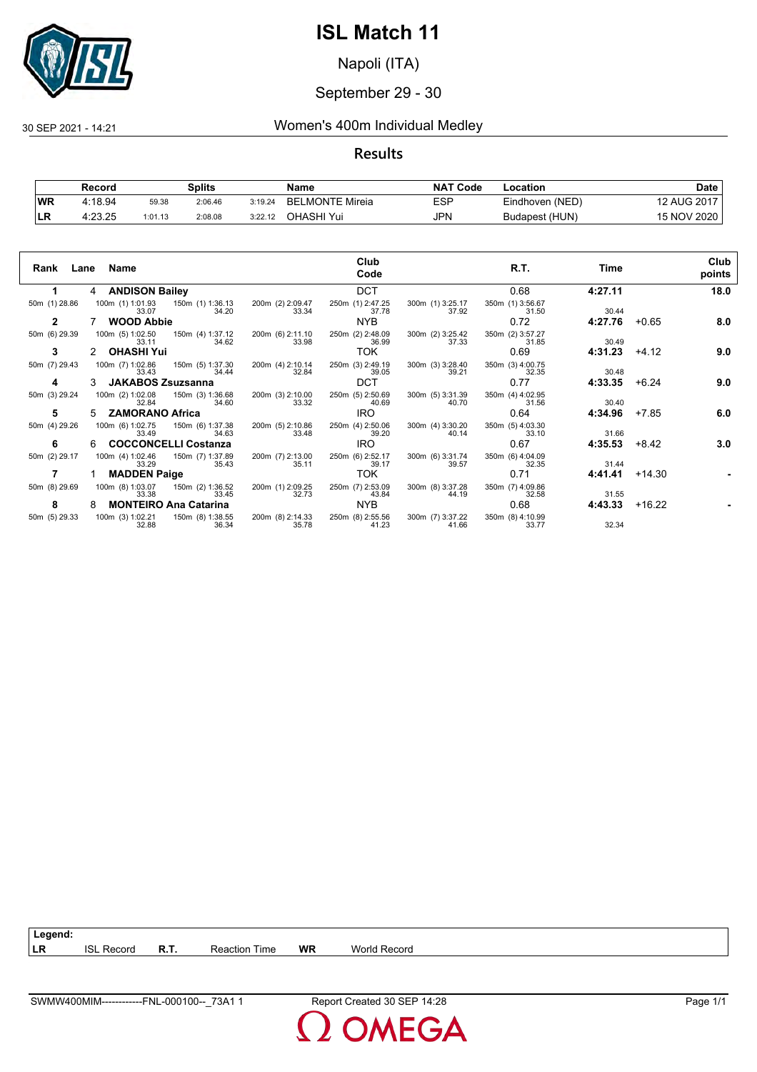

Napoli (ITA)

#### September 29 - 30

#### 30 SEP 2021 - 14:21 Women's 400m Individual Medley

#### **Results**

|            | Record  |         | Splits  |         | Name                   | <b>NAT</b><br>' Code | Location        | Date        |
|------------|---------|---------|---------|---------|------------------------|----------------------|-----------------|-------------|
| <b>WR</b>  | 4:18.94 | 59.38   | 2:06.46 | 3:19.24 | <b>BELMONTE Mireia</b> | ESP                  | Eindhoven (NED) | 12 AUG 2017 |
| <b>ILR</b> | 4:23.25 | 1:01.13 | 2:08.08 | 3:22.12 | OHASHI Yui             | JPN                  | Budapest (HUN)  | 15 NOV 2020 |

|               | Rank Lane Name                                         | Club                                                   | R.T.                                                   | Time              | Club           |
|---------------|--------------------------------------------------------|--------------------------------------------------------|--------------------------------------------------------|-------------------|----------------|
|               |                                                        | Code                                                   |                                                        |                   | points         |
|               | 4 ANDISON Bailey                                       | <b>DCT</b>                                             | 0.68                                                   | 4:27.11           | 18.0           |
| 50m (1) 28.86 | 100m (1) 1:01.93   150m (1) 1:36.13<br>34.20<br>33.07  | 200m (2) 2:09.47<br>250m (1) 2:47.25<br>33.34<br>37.78 | 300m (1) 3:25.17<br>350m (1) 3:56.67<br>37.92<br>31.50 | 30.44             |                |
| $\mathbf{2}$  | <b>WOOD Abbie</b>                                      | NYB.                                                   | 0.72                                                   | 4:27.76           | 8.0<br>$+0.65$ |
| 50m (6) 29.39 | 100m (5) 1:02.50   150m (4) 1:37.12<br>34.62<br>33.11  | 200m (6) 2:11.10<br>33.98<br>250m (2) 2:48.09<br>36.99 | 300m (2) 3:25.42<br>350m (2) 3:57.27<br>37.33<br>31.85 | 30.49             |                |
| 3             | 2 OHASHI Yui                                           | <b>TOK</b>                                             | 0.69                                                   | 4:31.23           | $+4.12$<br>9.0 |
| 50m (7) 29.43 | 100m (7) 1:02.86 150m (5) 1:37.30<br>34.44<br>33.43    | 200m (4) 2:10.14<br>250m (3) 2:49.19<br>32.84<br>39.05 | 300m (3) 3:28.40<br>350m (3) 4:00.75<br>39.21<br>32.35 | 30.48             |                |
| 4             | 3 JAKABOS Zsuzsanna                                    | <b>DCT</b>                                             | 0.77                                                   | 4:33.35           | 9.0<br>$+6.24$ |
| 50m (3) 29.24 | 100m (2) 1:02.08<br>150m (3) 1:36.68<br>34.60<br>32.84 | 200m (3) 2:10.00<br>33.32<br>250m (5) 2:50.69<br>40.69 | 300m (5) 3:31.39<br>350m (4) 4:02.95<br>40.70<br>31.56 | 30.40             |                |
| 5             | 5 ZAMORANO Africa                                      | IRO.                                                   | 0.64                                                   | 4:34.96           | 6.0<br>+7.85   |
| 50m (4) 29.26 | 100m (6) 1:02.75<br>150m (6) 1:37.38<br>34.63<br>33.49 | 200m (5) 2:10.86<br>250m (4) 2:50.06<br>33.48<br>39.20 | 300m (4) 3:30.20<br>350m (5) 4:03.30<br>40.14<br>33.10 | 31.66             |                |
| 6             | 6 COCCONCELLI Costanza                                 | IRO.                                                   | 0.67                                                   | 4:35.53           | 3.0<br>+8.42   |
| 50m (2) 29.17 | 100m (4) 1:02.46<br>150m (7) 1:37.89<br>35.43<br>33.29 | 200m (7) 2:13.00<br>250m (6) 2:52.17<br>35.11<br>39.17 | 300m (6) 3:31.74<br>350m (6) 4:04.09<br>39.57<br>32.35 | 31.44             |                |
| 7             | 1 MADDEN Paige                                         | TOK                                                    | 0.71                                                   | 4:41.41           | +14.30         |
| 50m (8) 29.69 | 100m (8) 1:03.07  150m (2) 1:36.52<br>33.45<br>33.38   | 200m (1) 2:09.25<br>250m (7) 2:53.09<br>32.73<br>43.84 | 300m (8) 3:37.28<br>350m (7) 4:09.86<br>44.19<br>32.58 | 31.55             |                |
| 8             | <b>MONTEIRO Ana Catarina</b><br>8                      | NYB.                                                   | 0.68                                                   | $4:43.33 + 16.22$ |                |
| 50m (5) 29.33 | 100m (3) 1:02.21 150m (8) 1:38.55<br>36.34<br>32.88    | 200m (8) 2:14.33<br>250m (8) 2:55.56<br>35.78<br>41.23 | 300m (7) 3:37.22 350m (8) 4:10.99<br>41.66<br>33.77    | 32.34             |                |

**DMEGA**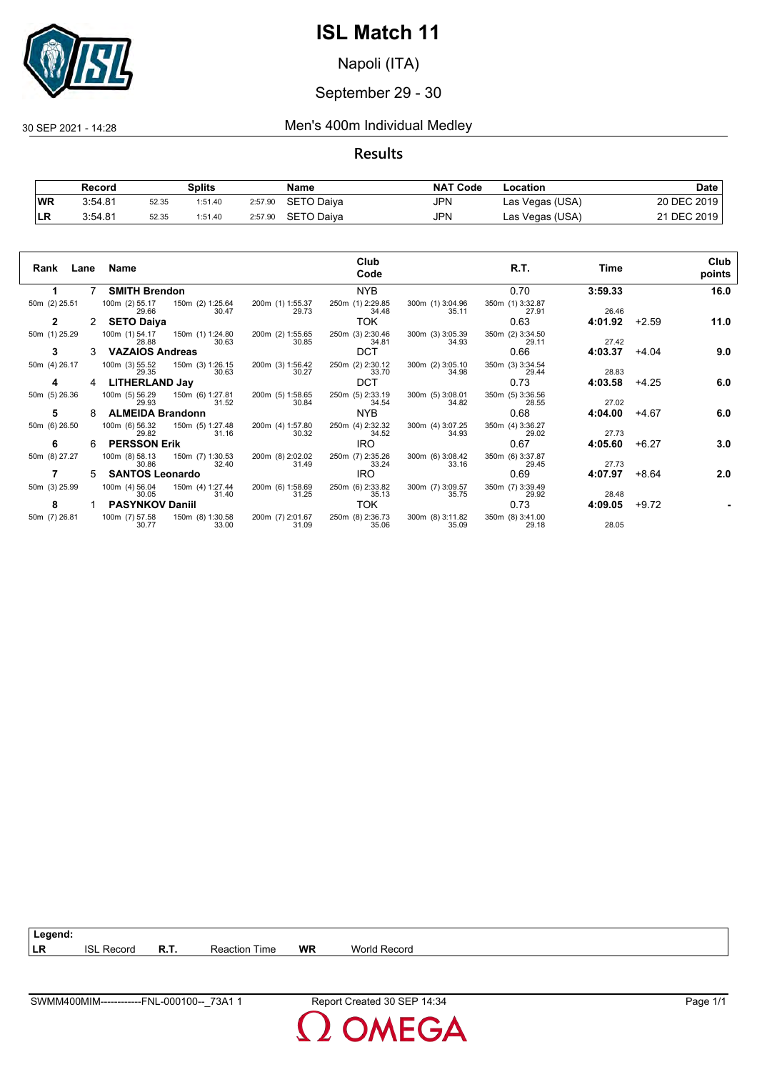

Napoli (ITA)

#### September 29 - 30

30 SEP 2021 - 14:28 Men's 400m Individual Medley

#### **Results**

|            | Record  |       | Splits  |         | Name       | <b>NAT Code</b> | Location        | Date        |
|------------|---------|-------|---------|---------|------------|-----------------|-----------------|-------------|
| <b>WR</b>  | 3:54.81 | 52.35 | 1:51.40 | 2:57.90 | SETO Daiva | JPN             | Las Vegas (USA) | 20 DEC 2019 |
| <b>ILR</b> | 3:54.81 | 52.35 | 1:51.40 | 2:57.90 | SETO Daiya | JPN             | Las Vegas (USA) | 21 DEC 2019 |

| Rank          |             | Lane Name               |                                          |                           | Club<br>Code              |                           | R.T.                      | Time    |         | Club<br>points |
|---------------|-------------|-------------------------|------------------------------------------|---------------------------|---------------------------|---------------------------|---------------------------|---------|---------|----------------|
| 1.            | $7^{\circ}$ | <b>SMITH Brendon</b>    |                                          |                           | <b>NYB</b>                |                           | 0.70                      | 3:59.33 |         | 16.0           |
| 50m (2) 25.51 |             | 29.66                   | 100m (2) 55.17 150m (2) 1:25.64<br>30.47 | 200m (1) 1:55.37<br>29.73 | 250m (1) 2:29.85<br>34.48 | 300m (1) 3:04.96<br>35.11 | 350m (1) 3:32.87<br>27.91 | 26.46   |         |                |
| $\mathbf{2}$  | 2           | <b>SETO Daiya</b>       |                                          |                           | TOK.                      |                           | 0.63                      | 4:01.92 | $+2.59$ | 11.0           |
| 50m (1) 25.29 |             | 100m (1) 54.17<br>28.88 | 150m (1) 1:24.80<br>30.63                | 200m (2) 1:55.65<br>30.85 | 250m (3) 2:30.46<br>34.81 | 300m (3) 3:05.39<br>34.93 | 350m (2) 3:34.50<br>29.11 | 27.42   |         |                |
| 3             |             | <b>VAZAIOS Andreas</b>  |                                          |                           | <b>DCT</b>                |                           | 0.66                      | 4:03.37 | $+4.04$ | 9.0            |
| 50m (4) 26.17 |             | 100m (3) 55.52<br>29.35 | 150m (3) 1:26.15<br>30.63                | 200m (3) 1:56.42<br>30.27 | 250m (2) 2:30.12<br>33.70 | 300m (2) 3:05.10<br>34.98 | 350m (3) 3:34.54<br>29.44 | 28.83   |         |                |
| 4             | 4           | <b>LITHERLAND Jay</b>   |                                          |                           | DCT.                      |                           | 0.73                      | 4:03.58 | $+4.25$ | 6.0            |
| 50m (5) 26.36 |             | 100m (5) 56.29<br>29.93 | 150m (6) 1:27.81<br>31.52                | 200m (5) 1:58.65<br>30.84 | 250m (5) 2:33.19<br>34.54 | 300m (5) 3:08.01<br>34.82 | 350m (5) 3:36.56<br>28.55 | 27.02   |         |                |
| 5             | 8           | <b>ALMEIDA Brandonn</b> |                                          |                           | NYB.                      |                           | 0.68                      | 4:04.00 | +4.67   | 6.0            |
| 50m (6) 26.50 |             | 100m (6) 56.32<br>29.82 | 150m (5) 1:27.48<br>31.16                | 200m (4) 1:57.80<br>30.32 | 250m (4) 2:32.32<br>34.52 | 300m (4) 3:07.25<br>34.93 | 350m (4) 3:36.27<br>29.02 | 27.73   |         |                |
| 6             | 6.          | <b>PERSSON Erik</b>     |                                          |                           | <b>IRO</b>                |                           | 0.67                      | 4:05.60 | $+6.27$ | 3.0            |
| 50m (8) 27.27 |             | 100m (8) 58.13<br>30.86 | 150m (7) 1:30.53<br>32.40                | 200m (8) 2:02.02<br>31.49 | 250m (7) 2:35.26<br>33.24 | 300m (6) 3:08.42<br>33.16 | 350m (6) 3:37.87<br>29.45 | 27.73   |         |                |
| 7             | 5.          | <b>SANTOS Leonardo</b>  |                                          |                           | <b>IRO</b>                |                           | 0.69                      | 4:07.97 | +8.64   | 2.0            |
| 50m (3) 25.99 |             | 100m (4) 56.04<br>30.05 | 150m (4) 1:27.44<br>31.40                | 200m (6) 1:58.69<br>31.25 | 250m (6) 2:33.82<br>35.13 | 300m (7) 3:09.57<br>35.75 | 350m (7) 3:39.49<br>29.92 | 28.48   |         |                |
| 8             |             | <b>PASYNKOV Daniil</b>  |                                          |                           | TOK                       |                           | 0.73                      | 4:09.05 | $+9.72$ |                |
| 50m (7) 26.81 |             | 100m (7) 57.58<br>30.77 | 150m (8) 1:30.58<br>33.00                | 200m (7) 2:01.67<br>31.09 | 250m (8) 2:36.73<br>35.06 | 300m (8) 3:11.82<br>35.09 | 350m (8) 3:41.00<br>29.18 | 28.05   |         |                |

**LR** ISL Record **R.T.** Reaction Time **WR** World Record

**Legend:**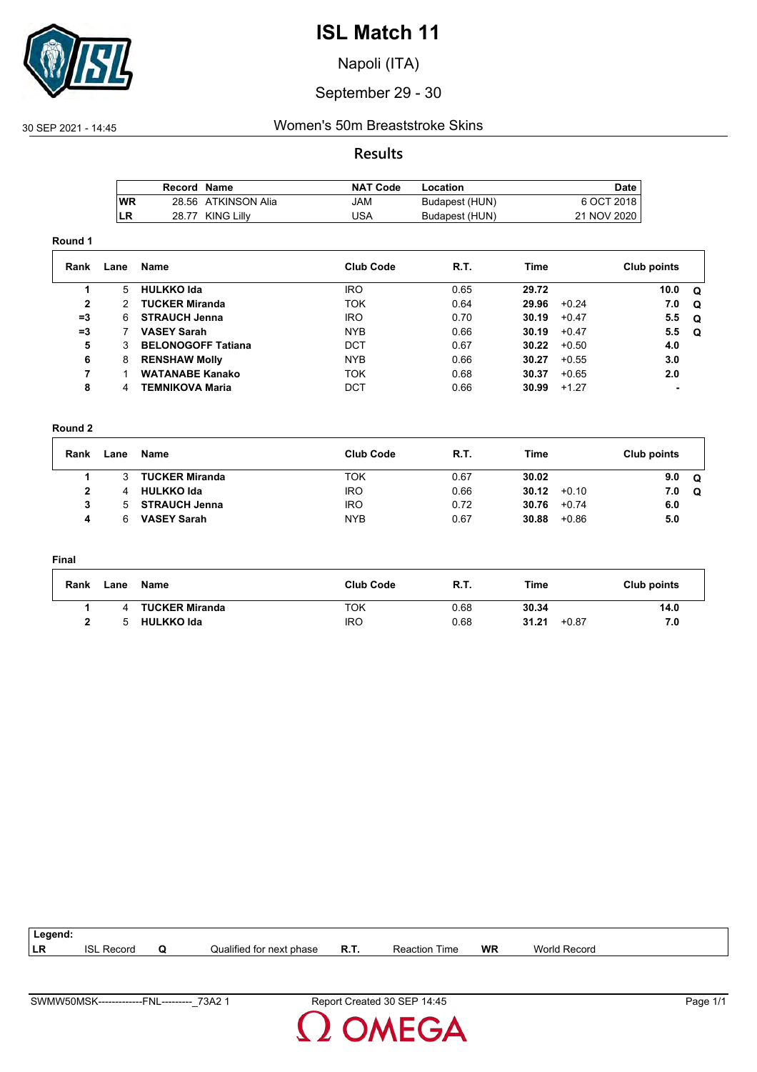

Napoli (ITA)

#### September 29 - 30

#### 30 SEP 2021 - 14:45 Women's 50m Breaststroke Skins

#### **Results**

|           | Record Name |                     | NAT Code | Location       | Date        |
|-----------|-------------|---------------------|----------|----------------|-------------|
| <b>WR</b> |             | 28.56 ATKINSON Alia | JAM      | Budapest (HUN) | 6 OCT 2018  |
| LR        |             | 28.77 KING Lilly    | JSA      | Budapest (HUN) | 21 NOV 2020 |

#### **Round 1**

| Rank         | Lane | Name                      | <b>Club Code</b> | R.T. | Time  |         | Club points |     |
|--------------|------|---------------------------|------------------|------|-------|---------|-------------|-----|
|              | 5.   | <b>HULKKO Ida</b>         | <b>IRO</b>       | 0.65 | 29.72 |         | 10.0        | . വ |
| $\mathbf{2}$ | 2.   | <b>TUCKER Miranda</b>     | <b>TOK</b>       | 0.64 | 29.96 | $+0.24$ | 7.0         | O   |
| $=3$         | 6.   | <b>STRAUCH Jenna</b>      | <b>IRO</b>       | 0.70 | 30.19 | $+0.47$ | 5.5         | . വ |
| $=3$         |      | <b>VASEY Sarah</b>        | <b>NYB</b>       | 0.66 | 30.19 | $+0.47$ | 5.5         | . വ |
| 5            |      | <b>BELONOGOFF Tatiana</b> | DCT              | 0.67 | 30.22 | $+0.50$ | 4.0         |     |
| 6            | 8    | <b>RENSHAW Molly</b>      | NYB.             | 0.66 | 30.27 | $+0.55$ | 3.0         |     |
| 7            |      | <b>WATANABE Kanako</b>    | <b>TOK</b>       | 0.68 | 30.37 | $+0.65$ | 2.0         |     |
| 8            | 4    | <b>TEMNIKOVA Maria</b>    | DCT              | 0.66 | 30.99 | $+1.27$ |             |     |

#### **Round 2**

| Rank | Lane | Name                  | <b>Club Code</b> | <b>R.T.</b> | Time  |         | Club points |   |
|------|------|-----------------------|------------------|-------------|-------|---------|-------------|---|
|      |      | <b>TUCKER Miranda</b> | ток              | 0.67        | 30.02 |         | 9.0         | Q |
| 2    |      | <b>HULKKO Ida</b>     | <b>IRO</b>       | 0.66        | 30.12 | $+0.10$ | 7.0         | Q |
| 3    | h.   | <b>STRAUCH Jenna</b>  | <b>IRO</b>       | 0.72        | 30.76 | $+0.74$ | 6.0         |   |
| 4    |      | <b>VASEY Sarah</b>    | <b>NYB</b>       | 0.67        | 30.88 | $+0.86$ | 5.0         |   |

#### **Final**

| Rank | Lane | Name                  | <b>Club Code</b> | R.T. | Time           | Club points |
|------|------|-----------------------|------------------|------|----------------|-------------|
|      | Δ    | <b>TUCKER Miranda</b> | ток              | 0.68 | 30.34          | 14.0        |
|      | ҕ    | <b>HULKKO Ida</b>     | IRC              | 0.68 | 31.21<br>+0.87 | 7.0         |

| Legend: |               |                              |             |                  |           |              |  |
|---------|---------------|------------------------------|-------------|------------------|-----------|--------------|--|
| LR      | ISL<br>Recoro | <br>Qualified for next phase | <b>R.T.</b> | Reaction<br>Time | <b>WR</b> | World Record |  |
|         |               |                              |             |                  |           |              |  |

**OMEGA**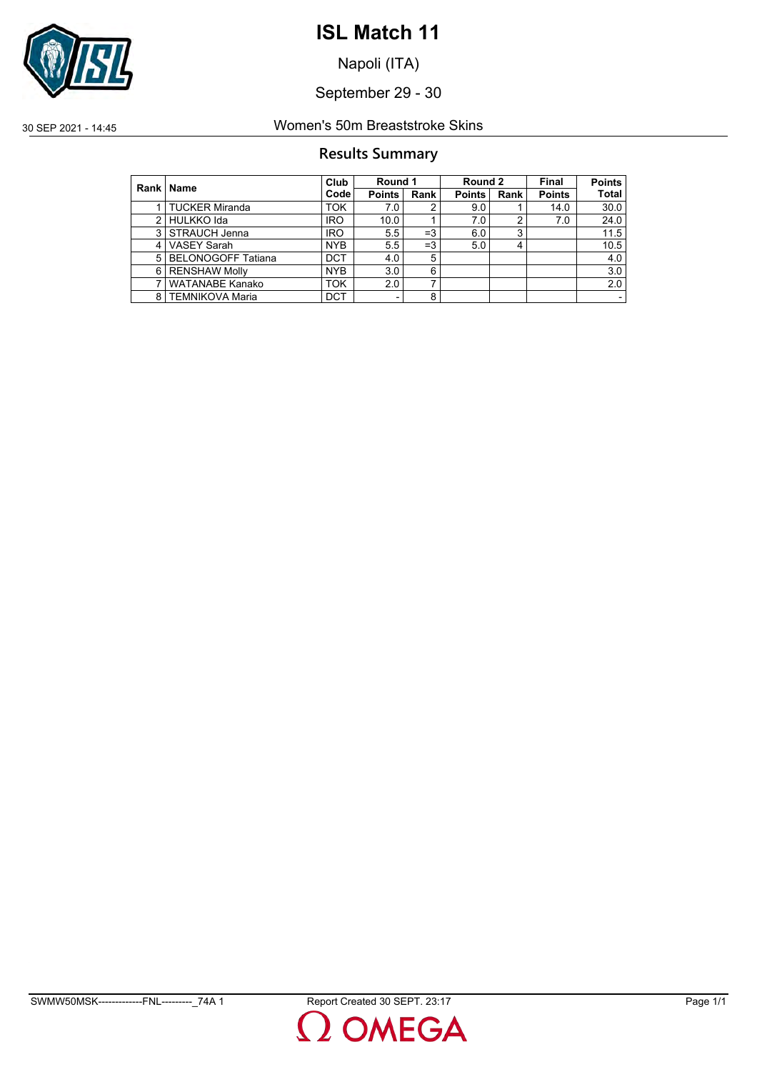

Napoli (ITA)

September 29 - 30

### 30 SEP 2021 - 14:45 Women's 50m Breaststroke Skins

#### **Results Summary**

|               | Rank   Name               | Club              | Round 1       |      | Round 2       |      | Final         | <b>Points</b> |
|---------------|---------------------------|-------------------|---------------|------|---------------|------|---------------|---------------|
|               |                           | Code <sup>l</sup> | <b>Points</b> | Rank | <b>Points</b> | Rank | <b>Points</b> | <b>Total</b>  |
|               | TUCKER Miranda            | <b>TOK</b>        | 7.0           | 2    | 9.0           |      | 14.0          | 30.0          |
| $\mathcal{P}$ | HULKKO Ida                | <b>IRO</b>        | 10.0          |      | 7.0           | 2    | 7.0           | 24.0          |
| 3             | STRAUCH Jenna             | <b>IRO</b>        | 5.5           | $=3$ | 6.0           | 3    |               | 11.5          |
| 4             | <b>VASEY Sarah</b>        | <b>NYB</b>        | 5.5           | $=3$ | 5.0           |      |               | 10.5          |
| 5             | <b>BELONOGOFF Tatiana</b> | <b>DCT</b>        | 4.0           | 5    |               |      |               | 4.0           |
| 6             | <b>RENSHAW Molly</b>      | <b>NYB</b>        | 3.0           | 6    |               |      |               | 3.0           |
|               | <b>WATANABE Kanako</b>    | <b>TOK</b>        | 2.0           | ⇁    |               |      |               | 2.0           |
|               | 8   TEMNIKOVA Maria       | <b>DCT</b>        |               | 8    |               |      |               |               |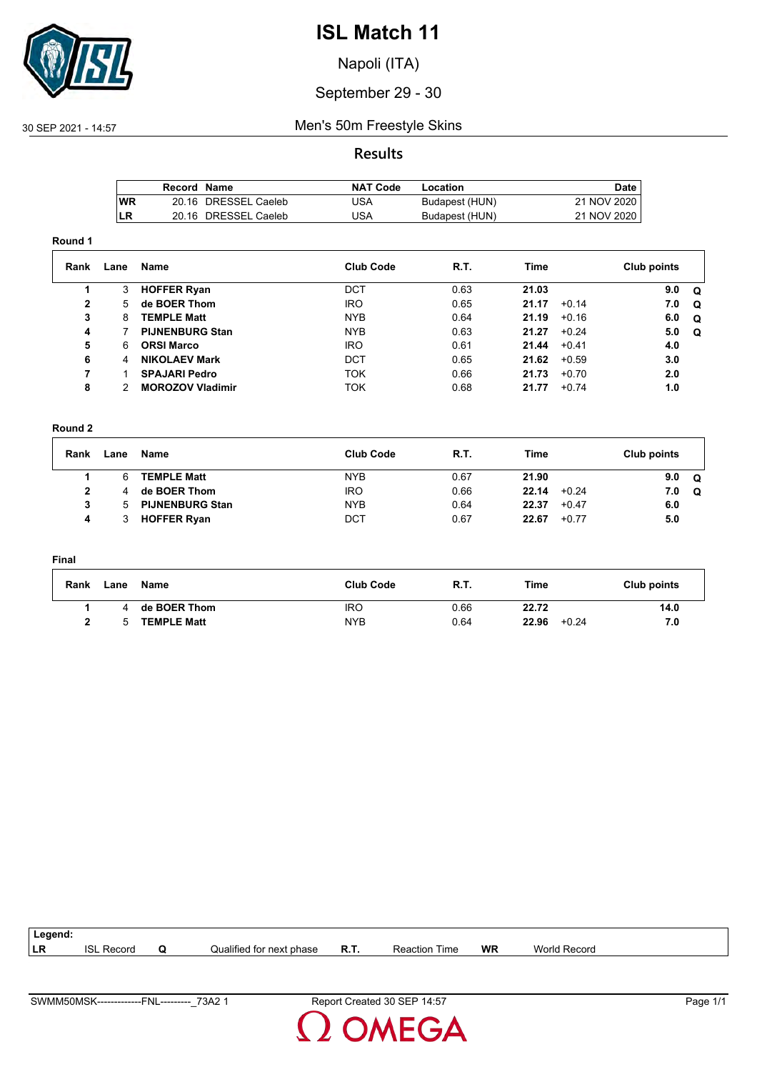

Napoli (ITA)

#### September 29 - 30

#### 30 SEP 2021 - 14:57 Men's 50m Freestyle Skins

#### **Results**

|     | Record Name |                      | <b>NAT Code</b> | Location       | Date        |
|-----|-------------|----------------------|-----------------|----------------|-------------|
| lWR |             | 20.16 DRESSEL Caeleb | JSA             | Budapest (HUN) | 21 NOV 2020 |
| ILR |             | 20.16 DRESSEL Caeleb | USA             | Budapest (HUN) | 21 NOV 2020 |

#### **Round 1**

| Rank         | Lane | Name                    | <b>Club Code</b> | R.T. | Time  |         | Club points |          |
|--------------|------|-------------------------|------------------|------|-------|---------|-------------|----------|
|              | 3    | <b>HOFFER Ryan</b>      | DCT              | 0.63 | 21.03 |         | 9.0         | O        |
| $\mathbf{2}$ | 5.   | de BOER Thom            | <b>IRO</b>       | 0.65 | 21.17 | $+0.14$ | 7.0         | $\Omega$ |
| 3            | 8    | <b>TEMPLE Matt</b>      | <b>NYB</b>       | 0.64 | 21.19 | $+0.16$ | 6.0         | $\Omega$ |
| 4            |      | <b>PIJNENBURG Stan</b>  | <b>NYB</b>       | 0.63 | 21.27 | $+0.24$ | 5.0         | Q        |
| 5            | 6    | <b>ORSI Marco</b>       | <b>IRO</b>       | 0.61 | 21.44 | $+0.41$ | 4.0         |          |
| 6            | 4    | <b>NIKOLAEV Mark</b>    | <b>DCT</b>       | 0.65 | 21.62 | $+0.59$ | 3.0         |          |
| 7            |      | <b>SPAJARI Pedro</b>    | <b>TOK</b>       | 0.66 | 21.73 | $+0.70$ | 2.0         |          |
| 8            |      | <b>MOROZOV Vladimir</b> | TOK              | 0.68 | 21.77 | $+0.74$ | 1.0         |          |

#### **Round 2**

| Rank | Lane | Name                   | <b>Club Code</b> | <b>R.T.</b> | Time  |         | Club points |   |
|------|------|------------------------|------------------|-------------|-------|---------|-------------|---|
|      |      | <b>TEMPLE Matt</b>     | <b>NYB</b>       | 0.67        | 21.90 |         | 9.0         | Q |
| 2    |      | de BOER Thom           | <b>IRO</b>       | 0.66        | 22.14 | $+0.24$ | 7.0         | Q |
| 3    |      | <b>PIJNENBURG Stan</b> | <b>NYB</b>       | 0.64        | 22.37 | $+0.47$ | 6.0         |   |
| 4    |      | <b>HOFFER Ryan</b>     | DCT              | 0.67        | 22.67 | $+0.77$ | 5.0         |   |

#### **Final**

| Rank | Lane         | Name               | <b>Club Code</b> | <b>R.T.</b> | Time             | Club points |
|------|--------------|--------------------|------------------|-------------|------------------|-------------|
|      |              | de BOER Thom       | <b>IRO</b>       | 0.66        | 22.72            | 14.0        |
|      | $\mathbf{h}$ | <b>TEMPLE Matt</b> | <b>NYB</b>       | 0.64        | 22.96<br>$+0.24$ | 7.0         |

| Legend: |               |   |                          |      |                      |           |                     |  |
|---------|---------------|---|--------------------------|------|----------------------|-----------|---------------------|--|
| LR      | ISL<br>Record | u | Qualified for next phase | R.T. | <b>Reaction Time</b> | <b>WR</b> | <b>World Record</b> |  |
|         |               |   |                          |      |                      |           |                     |  |

**OMEGA**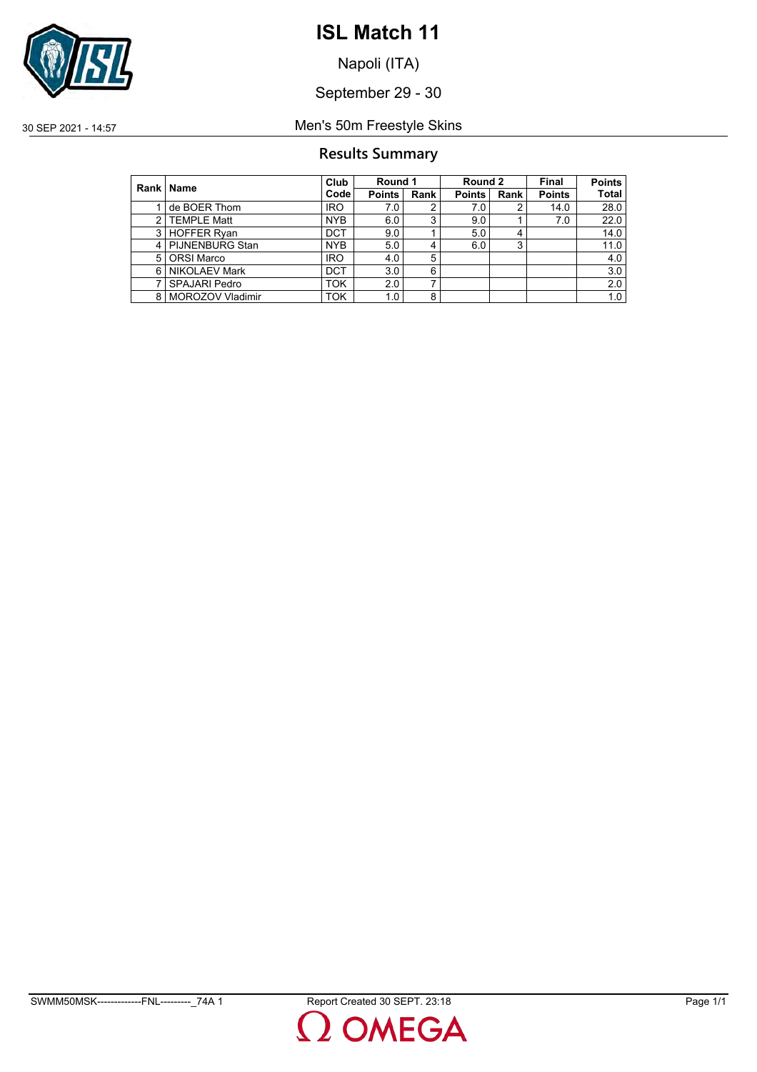

Napoli (ITA)

September 29 - 30

30 SEP 2021 - 14:57 Men's 50m Freestyle Skins

#### **Results Summary**

|   | Rank   Name          | Club       | Round 1       |      | Round 2       |      | Final         | <b>Points</b> |
|---|----------------------|------------|---------------|------|---------------|------|---------------|---------------|
|   |                      | Code       | <b>Points</b> | Rank | <b>Points</b> | Rank | <b>Points</b> | <b>Total</b>  |
|   | de BOER Thom         | <b>IRO</b> | 7.0           | 2    | 7.0           |      | 14.0          | 28.0          |
| 2 | <b>TEMPLE Matt</b>   | <b>NYB</b> | 6.0           | 3    | 9.0           |      | 7.0           | 22.0          |
|   | 3 HOFFER Ryan        | <b>DCT</b> | 9.0           |      | 5.0           |      |               | 14.0          |
|   | 4   PIJNENBURG Stan  | <b>NYB</b> | 5.0           | 4    | 6.0           | 3    |               | 11.0          |
| 5 | <b>ORSI Marco</b>    | <b>IRO</b> | 4.0           | 5    |               |      |               | 4.0           |
| 6 | <b>NIKOLAEV Mark</b> | <b>DCT</b> | 3.0           | 6    |               |      |               | 3.0           |
|   | <b>SPAJARI Pedro</b> | ток        | 2.0           | ⇁    |               |      |               | 2.0           |
| 8 | MOROZOV Vladimir     | <b>TOK</b> | 1.0           | 8    |               |      |               | 1.0           |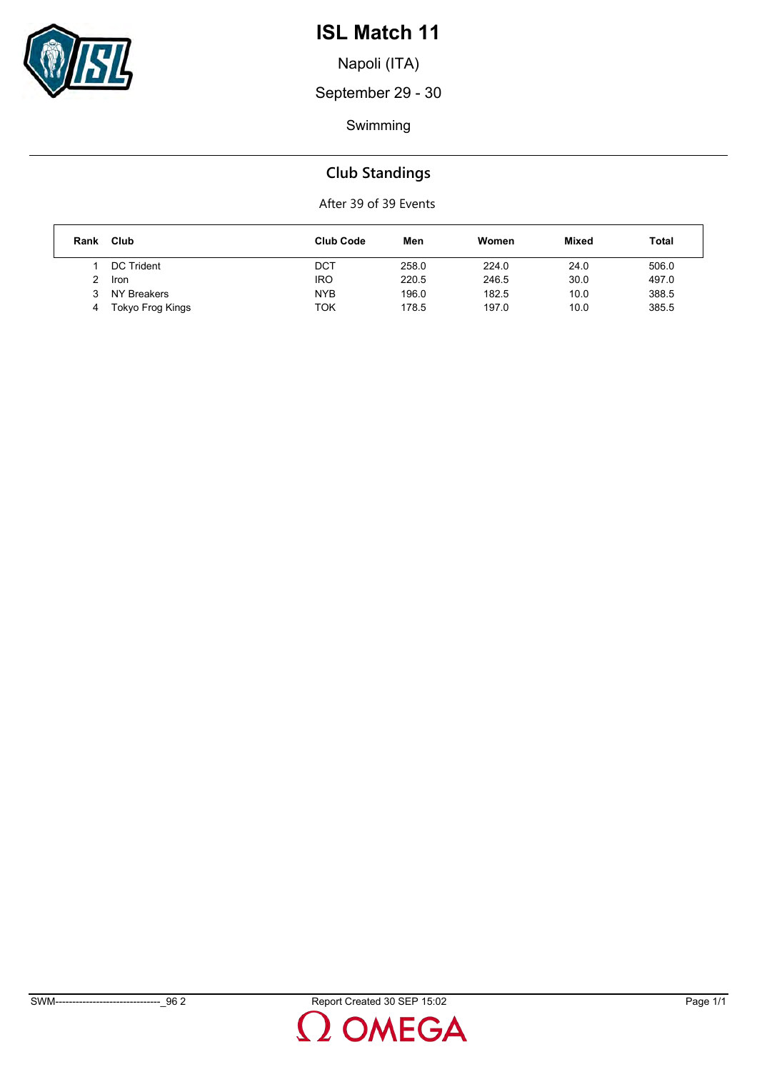

Napoli (ITA)

September 29 - 30

Swimming

### **Club Standings**

| Rank | Club              | <b>Club Code</b> | Men   | Women | Mixed | Total |
|------|-------------------|------------------|-------|-------|-------|-------|
|      | <b>DC Trident</b> | DCT              | 258.0 | 224.0 | 24.0  | 506.0 |
|      | <b>Iron</b>       | <b>IRO</b>       | 220.5 | 246.5 | 30.0  | 497.0 |
|      | NY Breakers       | <b>NYB</b>       | 196.0 | 182.5 | 10.0  | 388.5 |
| 4    | Tokyo Frog Kings  | TOK              | 178.5 | 197.0 | 10.0  | 385.5 |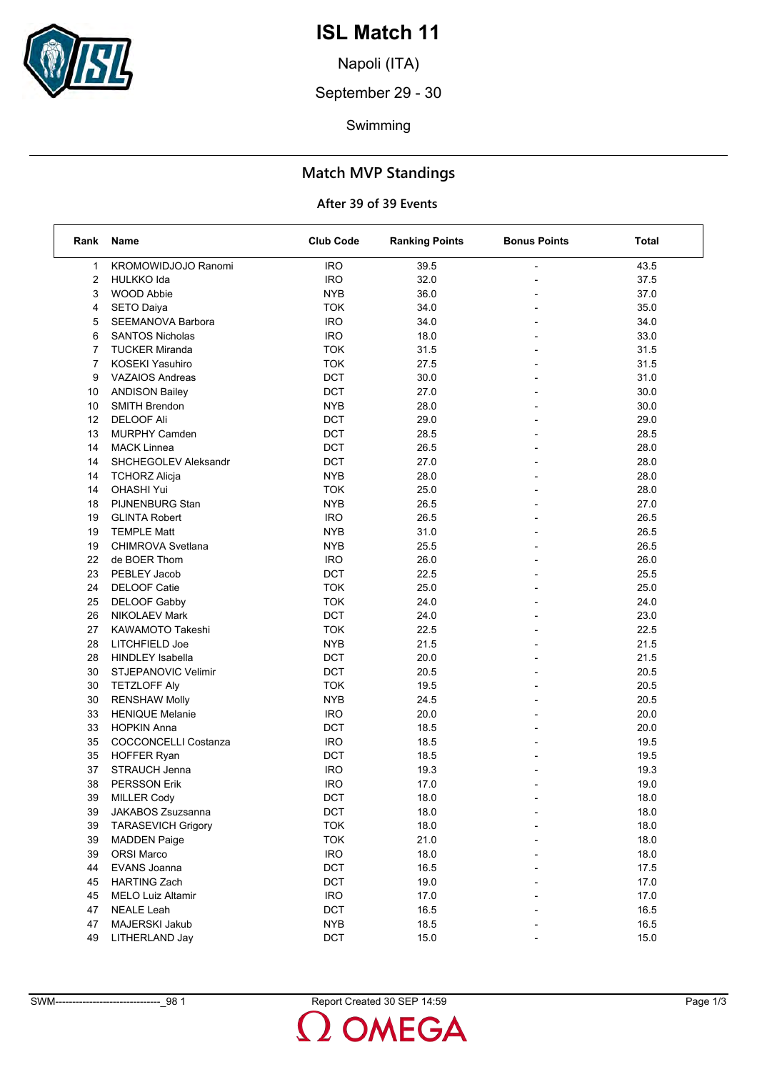

Napoli (ITA)

September 29 - 30

Swimming

### **Match MVP Standings**

| Rank           | Name                        | <b>Club Code</b> | <b>Ranking Points</b> | <b>Bonus Points</b>      | Total |
|----------------|-----------------------------|------------------|-----------------------|--------------------------|-------|
| 1              | <b>KROMOWIDJOJO Ranomi</b>  | <b>IRO</b>       | 39.5                  |                          | 43.5  |
| 2              | <b>HULKKO Ida</b>           | <b>IRO</b>       | 32.0                  |                          | 37.5  |
| 3              | <b>WOOD Abbie</b>           | <b>NYB</b>       | 36.0                  |                          | 37.0  |
| 4              | <b>SETO Daiya</b>           | <b>TOK</b>       | 34.0                  | $\overline{a}$           | 35.0  |
| 5              | SEEMANOVA Barbora           | <b>IRO</b>       | 34.0                  |                          | 34.0  |
| 6              | <b>SANTOS Nicholas</b>      | <b>IRO</b>       | 18.0                  |                          | 33.0  |
| 7              | <b>TUCKER Miranda</b>       | <b>TOK</b>       | 31.5                  | $\overline{a}$           | 31.5  |
| $\overline{7}$ | <b>KOSEKI Yasuhiro</b>      | <b>TOK</b>       | 27.5                  |                          | 31.5  |
| 9              | <b>VAZAIOS Andreas</b>      | DCT              | 30.0                  |                          | 31.0  |
| 10             | <b>ANDISON Bailey</b>       | <b>DCT</b>       | 27.0                  | $\overline{\phantom{a}}$ | 30.0  |
| 10             | <b>SMITH Brendon</b>        | <b>NYB</b>       | 28.0                  |                          | 30.0  |
| 12             | <b>DELOOF Ali</b>           | DCT              | 29.0                  |                          | 29.0  |
| 13             | <b>MURPHY Camden</b>        | DCT              | 28.5                  |                          | 28.5  |
| 14             | <b>MACK Linnea</b>          | DCT              | 26.5                  |                          | 28.0  |
| 14             | SHCHEGOLEV Aleksandr        | DCT              | 27.0                  |                          | 28.0  |
| 14             | <b>TCHORZ Alicja</b>        | <b>NYB</b>       | 28.0                  | $\overline{\phantom{a}}$ | 28.0  |
| 14             | <b>OHASHI Yui</b>           | <b>TOK</b>       | 25.0                  |                          | 28.0  |
| 18             | PIJNENBURG Stan             | <b>NYB</b>       | 26.5                  |                          | 27.0  |
| 19             | <b>GLINTA Robert</b>        | <b>IRO</b>       | 26.5                  | $\overline{a}$           | 26.5  |
| 19             | <b>TEMPLE Matt</b>          | <b>NYB</b>       | 31.0                  |                          | 26.5  |
| 19             | CHIMROVA Svetlana           | <b>NYB</b>       | 25.5                  |                          | 26.5  |
| 22             | de BOER Thom                | <b>IRO</b>       | 26.0                  | $\overline{\phantom{a}}$ | 26.0  |
| 23             | PEBLEY Jacob                | DCT              | 22.5                  |                          | 25.5  |
| 24             | <b>DELOOF Catie</b>         | <b>TOK</b>       | 25.0                  |                          | 25.0  |
| 25             | <b>DELOOF Gabby</b>         | <b>TOK</b>       | 24.0                  |                          | 24.0  |
| 26             | <b>NIKOLAEV Mark</b>        | DCT              | 24.0                  |                          | 23.0  |
| 27             | KAWAMOTO Takeshi            | <b>TOK</b>       | 22.5                  |                          | 22.5  |
| 28             | LITCHFIELD Joe              | <b>NYB</b>       | 21.5                  | $\overline{\phantom{a}}$ | 21.5  |
| 28             | <b>HINDLEY Isabella</b>     | DCT              | 20.0                  |                          | 21.5  |
| 30             | STJEPANOVIC Velimir         | DCT              | 20.5                  |                          | 20.5  |
| 30             | <b>TETZLOFF Aly</b>         | <b>TOK</b>       | 19.5                  | $\overline{a}$           | 20.5  |
| 30             | <b>RENSHAW Molly</b>        | <b>NYB</b>       | 24.5                  |                          | 20.5  |
| 33             | <b>HENIQUE Melanie</b>      | <b>IRO</b>       | 20.0                  |                          | 20.0  |
| 33             | <b>HOPKIN Anna</b>          | DCT              | 18.5                  | $\overline{\phantom{a}}$ | 20.0  |
| 35             | <b>COCCONCELLI Costanza</b> | <b>IRO</b>       | 18.5                  |                          | 19.5  |
| 35             | <b>HOFFER Ryan</b>          | DCT              | 18.5                  |                          | 19.5  |
| 37             | STRAUCH Jenna               | <b>IRO</b>       | 19.3                  |                          | 19.3  |
| 38             | <b>PERSSON Erik</b>         | <b>IRO</b>       | 17.0                  |                          | 19.0  |
| 39             | <b>MILLER Cody</b>          | DCT              | 18.0                  |                          | 18.0  |
| 39             | JAKABOS Zsuzsanna           | <b>DCT</b>       | 18.0                  |                          | 18.0  |
| 39             | <b>TARASEVICH Grigory</b>   | <b>TOK</b>       | 18.0                  |                          | 18.0  |
| 39             | <b>MADDEN Paige</b>         | <b>TOK</b>       | 21.0                  |                          | 18.0  |
| 39             | <b>ORSI Marco</b>           | <b>IRO</b>       | 18.0                  |                          | 18.0  |
| 44             | EVANS Joanna                | DCT              | 16.5                  |                          | 17.5  |
| 45             | <b>HARTING Zach</b>         | DCT              | 19.0                  |                          | 17.0  |
| 45             | <b>MELO Luiz Altamir</b>    | <b>IRO</b>       | 17.0                  |                          | 17.0  |
| 47             | <b>NEALE Leah</b>           | DCT              | 16.5                  |                          | 16.5  |
| 47             | MAJERSKI Jakub              | <b>NYB</b>       | 18.5                  |                          | 16.5  |
| 49             | LITHERLAND Jay              | DCT              | 15.0                  |                          | 15.0  |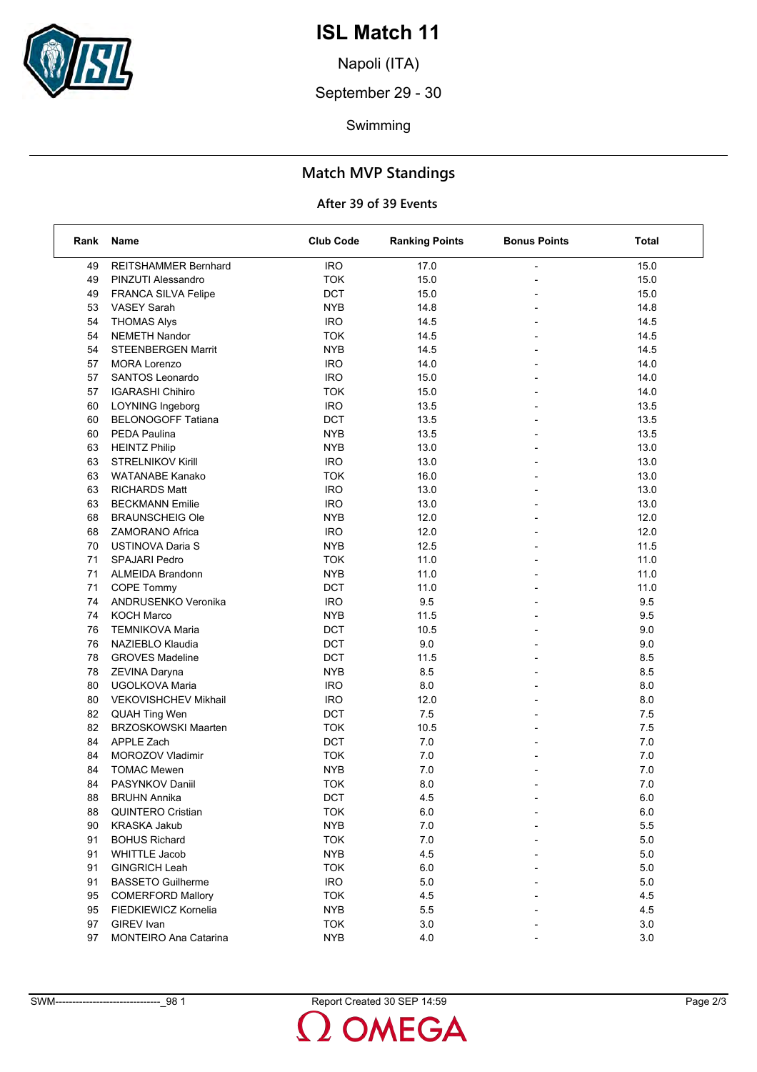

Napoli (ITA)

September 29 - 30

Swimming

### **Match MVP Standings**

| Rank | Name                        | <b>Club Code</b> | <b>Ranking Points</b> | <b>Bonus Points</b>      | Total   |
|------|-----------------------------|------------------|-----------------------|--------------------------|---------|
| 49   | <b>REITSHAMMER Bernhard</b> | <b>IRO</b>       | 17.0                  |                          | 15.0    |
| 49   | PINZUTI Alessandro          | <b>TOK</b>       | 15.0                  |                          | 15.0    |
| 49   | FRANCA SILVA Felipe         | <b>DCT</b>       | 15.0                  |                          | 15.0    |
| 53   | <b>VASEY Sarah</b>          | <b>NYB</b>       | 14.8                  |                          | 14.8    |
| 54   | <b>THOMAS Alys</b>          | <b>IRO</b>       | 14.5                  | $\blacksquare$           | 14.5    |
| 54   | <b>NEMETH Nandor</b>        | <b>TOK</b>       | 14.5                  |                          | 14.5    |
| 54   | <b>STEENBERGEN Marrit</b>   | <b>NYB</b>       | 14.5                  |                          | 14.5    |
| 57   | <b>MORA Lorenzo</b>         | <b>IRO</b>       | 14.0                  | $\overline{\phantom{0}}$ | 14.0    |
| 57   | SANTOS Leonardo             | <b>IRO</b>       | 15.0                  | $\overline{a}$           | 14.0    |
| 57   | <b>IGARASHI Chihiro</b>     | <b>TOK</b>       | 15.0                  |                          | 14.0    |
| 60   | <b>LOYNING Ingeborg</b>     | <b>IRO</b>       | 13.5                  | $\overline{\phantom{a}}$ | 13.5    |
| 60   | <b>BELONOGOFF Tatiana</b>   | DCT              | 13.5                  | $\overline{a}$           | 13.5    |
| 60   | PEDA Paulina                | <b>NYB</b>       | 13.5                  |                          | 13.5    |
| 63   | <b>HEINTZ Philip</b>        | <b>NYB</b>       | 13.0                  |                          | 13.0    |
| 63   | <b>STRELNIKOV Kirill</b>    | <b>IRO</b>       | 13.0                  |                          | 13.0    |
| 63   | <b>WATANABE Kanako</b>      | <b>TOK</b>       | 16.0                  |                          | 13.0    |
| 63   | <b>RICHARDS Matt</b>        | <b>IRO</b>       | 13.0                  | $\blacksquare$           | 13.0    |
| 63   | <b>BECKMANN Emilie</b>      | <b>IRO</b>       | 13.0                  |                          | 13.0    |
| 68   | <b>BRAUNSCHEIG Ole</b>      | <b>NYB</b>       | 12.0                  |                          | 12.0    |
| 68   | <b>ZAMORANO Africa</b>      | <b>IRO</b>       | 12.0                  | $\overline{\phantom{a}}$ | 12.0    |
| 70   | <b>USTINOVA Daria S</b>     | <b>NYB</b>       | 12.5                  | $\overline{a}$           | 11.5    |
| 71   | <b>SPAJARI Pedro</b>        | <b>TOK</b>       | 11.0                  |                          | 11.0    |
| 71   | <b>ALMEIDA Brandonn</b>     | <b>NYB</b>       | 11.0                  | $\overline{\phantom{a}}$ | 11.0    |
| 71   | COPE Tommy                  | <b>DCT</b>       | 11.0                  |                          | 11.0    |
| 74   | ANDRUSENKO Veronika         | <b>IRO</b>       | 9.5                   |                          | 9.5     |
| 74   | <b>KOCH Marco</b>           | <b>NYB</b>       | 11.5                  | $\overline{\phantom{0}}$ | 9.5     |
| 76   | <b>TEMNIKOVA Maria</b>      | <b>DCT</b>       | 10.5                  |                          | 9.0     |
| 76   | NAZIEBLO Klaudia            | <b>DCT</b>       | 9.0                   |                          | 9.0     |
| 78   | <b>GROVES Madeline</b>      | <b>DCT</b>       | 11.5                  | $\blacksquare$           | 8.5     |
| 78   | ZEVINA Daryna               | <b>NYB</b>       | 8.5                   |                          | 8.5     |
| 80   | UGOLKOVA Maria              | <b>IRO</b>       | 8.0                   |                          | 8.0     |
| 80   | VEKOVISHCHEV Mikhail        | <b>IRO</b>       | 12.0                  | $\overline{\phantom{0}}$ | 8.0     |
| 82   | <b>QUAH Ting Wen</b>        | <b>DCT</b>       | 7.5                   | $\overline{\phantom{a}}$ | 7.5     |
| 82   | <b>BRZOSKOWSKI Maarten</b>  | <b>TOK</b>       | 10.5                  |                          | 7.5     |
| 84   | APPLE Zach                  | <b>DCT</b>       | 7.0                   | $\overline{\phantom{a}}$ | 7.0     |
| 84   | MOROZOV Vladimir            | <b>TOK</b>       | 7.0                   |                          | 7.0     |
| 84   | <b>TOMAC Mewen</b>          | <b>NYB</b>       | 7.0                   |                          | 7.0     |
| 84   | PASYNKOV Daniil             | <b>TOK</b>       | 8.0                   | $\overline{a}$           | 7.0     |
| 88   | <b>BRUHN Annika</b>         | DCT              | 4.5                   |                          | $6.0\,$ |
| 88   | <b>QUINTERO Cristian</b>    | <b>TOK</b>       | 6.0                   |                          | 6.0     |
| 90   | <b>KRASKA Jakub</b>         | <b>NYB</b>       | 7.0                   |                          | 5.5     |
| 91   | <b>BOHUS Richard</b>        | <b>TOK</b>       | 7.0                   |                          | 5.0     |
| 91   | <b>WHITTLE Jacob</b>        | <b>NYB</b>       | 4.5                   |                          | 5.0     |
| 91   | <b>GINGRICH Leah</b>        | <b>TOK</b>       | 6.0                   |                          | $5.0\,$ |
| 91   | <b>BASSETO Guilherme</b>    | <b>IRO</b>       | 5.0                   |                          | $5.0$   |
| 95   | <b>COMERFORD Mallory</b>    | <b>TOK</b>       | 4.5                   |                          | 4.5     |
| 95   | FIEDKIEWICZ Kornelia        | <b>NYB</b>       | 5.5                   |                          | 4.5     |
| 97   | GIREV Ivan                  | <b>TOK</b>       | 3.0                   |                          | 3.0     |
| 97   | MONTEIRO Ana Catarina       | <b>NYB</b>       | 4.0                   |                          | 3.0     |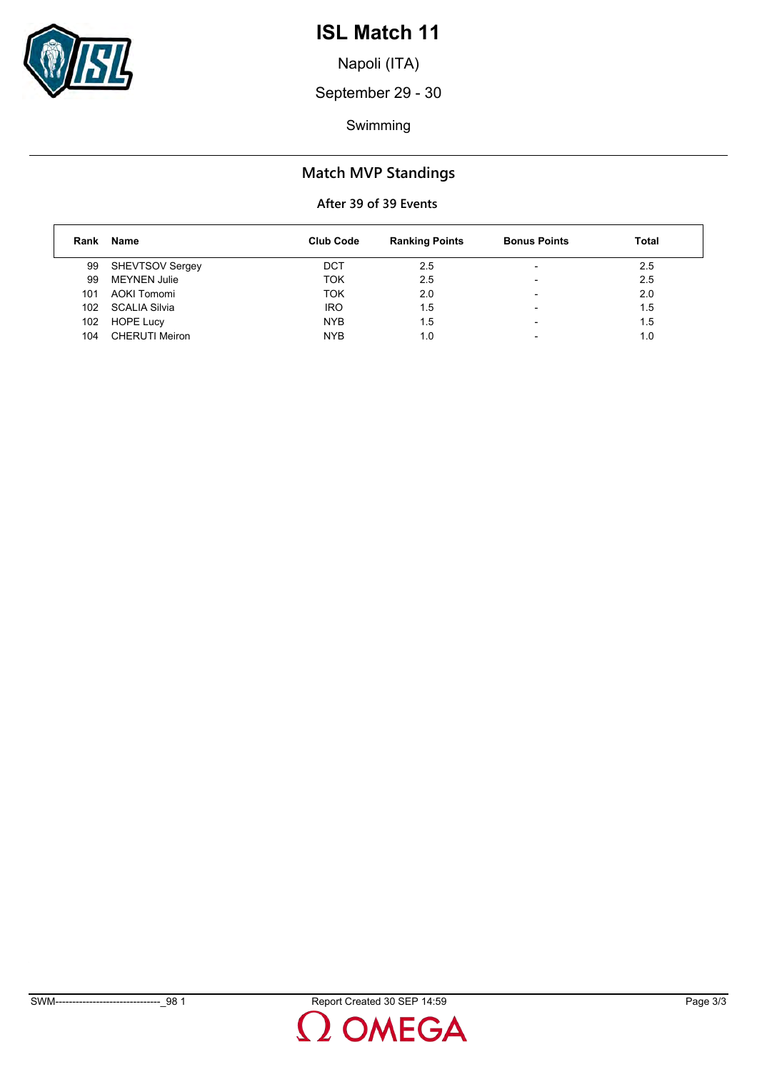

Napoli (ITA)

September 29 - 30

Swimming

### **Match MVP Standings**

| Rank | Name                  | <b>Club Code</b> | <b>Ranking Points</b> | <b>Bonus Points</b>      | <b>Total</b> |
|------|-----------------------|------------------|-----------------------|--------------------------|--------------|
| 99   | SHEVTSOV Sergey       | <b>DCT</b>       | 2.5                   | -                        | 2.5          |
| 99   | <b>MEYNEN Julie</b>   | TOK              | 2.5                   | $\overline{\phantom{0}}$ | 2.5          |
| 101  | AOKI Tomomi           | <b>TOK</b>       | 2.0                   | $\overline{\phantom{0}}$ | 2.0          |
| 102  | SCALIA Silvia         | <b>IRO</b>       | 1.5                   | -                        | 1.5          |
| 102  | <b>HOPE Lucy</b>      | <b>NYB</b>       | 1.5                   | -                        | 1.5          |
| 104  | <b>CHERUTI Meiron</b> | <b>NYB</b>       | 1.0                   | $\overline{\phantom{0}}$ | 1.0          |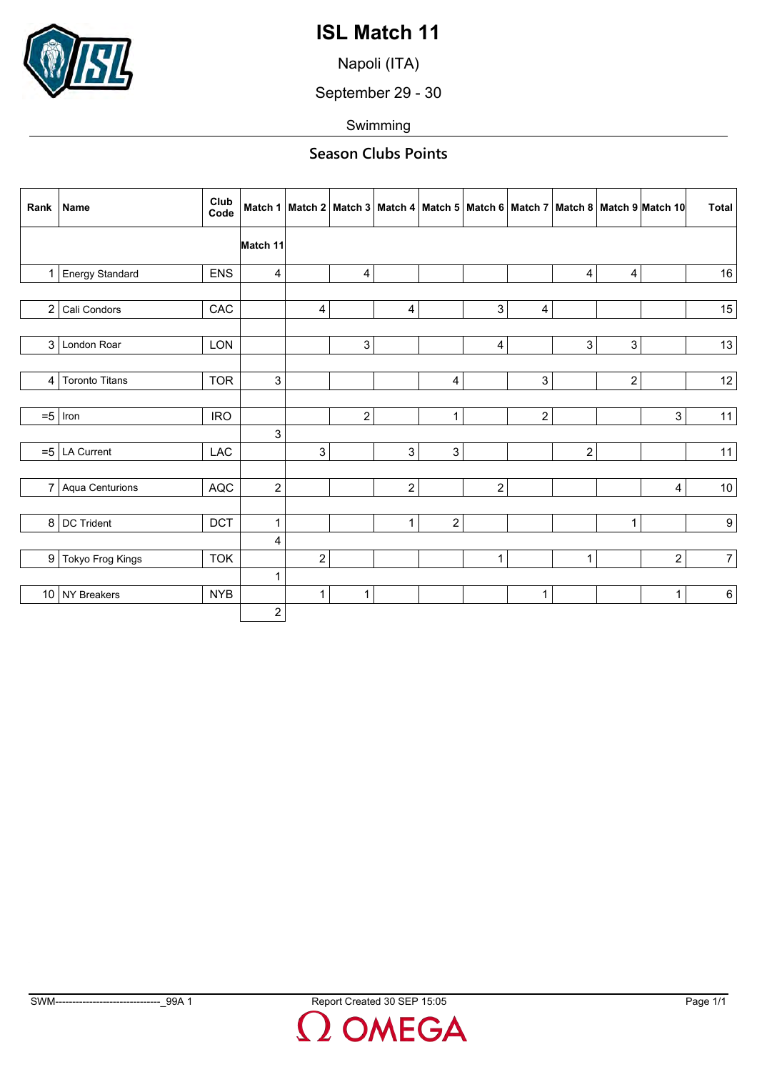

Napoli (ITA)

September 29 - 30

Swimming

### **Season Clubs Points**

|                | Rank   Name           | Club<br>Code | Match 1                 |                         |                |                |                           |                |                  |                         |                         | Match 2   Match 3   Match 4   Match 5   Match 6   Match 7   Match 8   Match 9  Match 10 | <b>Total</b>    |
|----------------|-----------------------|--------------|-------------------------|-------------------------|----------------|----------------|---------------------------|----------------|------------------|-------------------------|-------------------------|-----------------------------------------------------------------------------------------|-----------------|
|                |                       |              | Match 11                |                         |                |                |                           |                |                  |                         |                         |                                                                                         |                 |
| 1              | Energy Standard       | ENS          | 4                       |                         | 4              |                |                           |                |                  | $\overline{\mathbf{4}}$ | $\overline{\mathbf{4}}$ |                                                                                         | $16\,$          |
|                |                       |              |                         |                         |                |                |                           |                |                  |                         |                         |                                                                                         |                 |
| $\overline{2}$ | Cali Condors          | CAC          |                         | 4                       |                | $\overline{4}$ |                           | 3 <sup>1</sup> | $\overline{4}$   |                         |                         |                                                                                         | 15              |
|                |                       |              |                         |                         |                |                |                           |                |                  |                         |                         |                                                                                         |                 |
| $\mathbf{3}$   | London Roar           | LON          |                         |                         | 3              |                |                           | $\overline{4}$ |                  | 3                       | $\mathbf{3}$            |                                                                                         | 13              |
|                |                       |              |                         |                         |                |                |                           |                |                  |                         |                         |                                                                                         |                 |
| 4              | <b>Toronto Titans</b> | <b>TOR</b>   | 3                       |                         |                |                | 4                         |                | $\mathbf{3}$     |                         | $\overline{2}$          |                                                                                         | 12              |
|                |                       |              |                         |                         |                |                |                           |                |                  |                         |                         |                                                                                         |                 |
| $= 5$          | Iron                  | <b>IRO</b>   |                         |                         | $\overline{c}$ |                | 1                         |                | $\boldsymbol{2}$ |                         |                         | 3                                                                                       | 11              |
|                |                       |              | 3                       |                         |                |                |                           |                |                  |                         |                         |                                                                                         |                 |
|                | $= 5$ LA Current      | LAC          |                         | 3                       |                | $\sqrt{3}$     | $\ensuremath{\mathsf{3}}$ |                |                  | $\overline{c}$          |                         |                                                                                         | 11              |
|                |                       |              |                         |                         |                |                |                           |                |                  |                         |                         |                                                                                         |                 |
| $\overline{7}$ | Aqua Centurions       | AQC          | $\overline{c}$          |                         |                | $\sqrt{2}$     |                           | $\overline{c}$ |                  |                         |                         | 4                                                                                       | 10 <sup>°</sup> |
|                |                       |              |                         |                         |                |                |                           |                |                  |                         |                         |                                                                                         |                 |
| 8              | DC Trident            | DCT          | $\mathbf{1}$            |                         |                | $\mathbf{1}$   | $\boldsymbol{2}$          |                |                  |                         | $\mathbf{1}$            |                                                                                         | 9 <sup>1</sup>  |
|                |                       |              | 4                       |                         |                |                |                           |                |                  |                         |                         |                                                                                         |                 |
| 9              | Tokyo Frog Kings      | <b>TOK</b>   |                         | $\overline{\mathbf{c}}$ |                |                |                           | $\mathbf{1}$   |                  | $\mathbf{1}$            |                         | $\overline{c}$                                                                          | $7\vert$        |
|                |                       |              | 1                       |                         |                |                |                           |                |                  |                         |                         |                                                                                         |                 |
|                | 10 NY Breakers        | <b>NYB</b>   |                         | $\mathbf{1}$            | $\mathbf{1}$   |                |                           |                | $\mathbf{1}$     |                         |                         | $\mathbf{1}$                                                                            | $6 \mid$        |
|                |                       |              | $\overline{\mathbf{c}}$ |                         |                |                |                           |                |                  |                         |                         |                                                                                         |                 |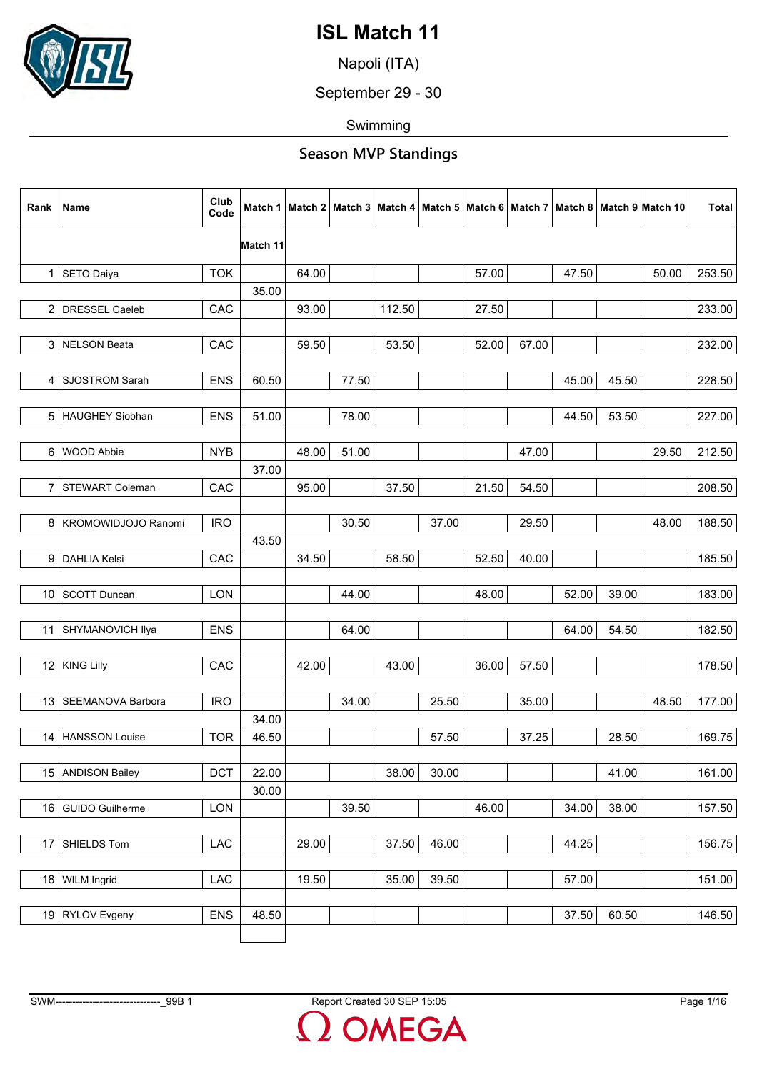

Napoli (ITA)

September 29 - 30

Swimming

| Rank            | Name                    | Club<br>Code | Match 1  |       |       |        |       |       |       |       |       | Match 2   Match 3   Match 4   Match 5   Match 6   Match 7   Match 8   Match 9   Match 10 | <b>Total</b> |
|-----------------|-------------------------|--------------|----------|-------|-------|--------|-------|-------|-------|-------|-------|------------------------------------------------------------------------------------------|--------------|
|                 |                         |              | Match 11 |       |       |        |       |       |       |       |       |                                                                                          |              |
|                 | 1 SETO Daiya            | <b>TOK</b>   |          | 64.00 |       |        |       | 57.00 |       | 47.50 |       | 50.00                                                                                    | 253.50       |
|                 |                         |              | 35.00    |       |       |        |       |       |       |       |       |                                                                                          |              |
| $\overline{2}$  | DRESSEL Caeleb          | CAC          |          | 93.00 |       | 112.50 |       | 27.50 |       |       |       |                                                                                          | 233.00       |
|                 |                         |              |          |       |       |        |       |       |       |       |       |                                                                                          |              |
|                 | 3 NELSON Beata          | CAC          |          | 59.50 |       | 53.50  |       | 52.00 | 67.00 |       |       |                                                                                          | 232.00       |
|                 |                         |              |          |       |       |        |       |       |       |       |       |                                                                                          |              |
| 4               | <b>SJOSTROM Sarah</b>   | <b>ENS</b>   | 60.50    |       | 77.50 |        |       |       |       | 45.00 | 45.50 |                                                                                          | 228.50       |
|                 |                         |              |          |       |       |        |       |       |       |       |       |                                                                                          |              |
|                 | 5 HAUGHEY Siobhan       | <b>ENS</b>   | 51.00    |       | 78.00 |        |       |       |       | 44.50 | 53.50 |                                                                                          | 227.00       |
|                 |                         |              |          |       |       |        |       |       |       |       |       |                                                                                          |              |
| 6               | <b>WOOD Abbie</b>       | <b>NYB</b>   | 37.00    | 48.00 | 51.00 |        |       |       | 47.00 |       |       | 29.50                                                                                    | 212.50       |
| 7               | <b>STEWART Coleman</b>  | CAC          |          | 95.00 |       | 37.50  |       | 21.50 | 54.50 |       |       |                                                                                          | 208.50       |
|                 |                         |              |          |       |       |        |       |       |       |       |       |                                                                                          |              |
|                 | 8   KROMOWIDJOJO Ranomi | <b>IRO</b>   |          |       | 30.50 |        | 37.00 |       | 29.50 |       |       | 48.00                                                                                    | 188.50       |
|                 |                         |              | 43.50    |       |       |        |       |       |       |       |       |                                                                                          |              |
| 9               | <b>DAHLIA Kelsi</b>     | CAC          |          | 34.50 |       | 58.50  |       | 52.50 | 40.00 |       |       |                                                                                          | 185.50       |
|                 |                         |              |          |       |       |        |       |       |       |       |       |                                                                                          |              |
| 10 <sup>°</sup> | <b>SCOTT Duncan</b>     | LON          |          |       | 44.00 |        |       | 48.00 |       | 52.00 | 39.00 |                                                                                          | 183.00       |
|                 |                         |              |          |       |       |        |       |       |       |       |       |                                                                                          |              |
|                 | 11 SHYMANOVICH Ilya     | <b>ENS</b>   |          |       | 64.00 |        |       |       |       | 64.00 | 54.50 |                                                                                          | 182.50       |
|                 |                         |              |          |       |       |        |       |       |       |       |       |                                                                                          |              |
|                 | 12   KING Lilly         | CAC          |          | 42.00 |       | 43.00  |       | 36.00 | 57.50 |       |       |                                                                                          | 178.50       |
|                 |                         |              |          |       |       |        |       |       |       |       |       |                                                                                          |              |
|                 | 13   SEEMANOVA Barbora  | <b>IRO</b>   |          |       | 34.00 |        | 25.50 |       | 35.00 |       |       | 48.50                                                                                    | 177.00       |
|                 |                         |              | 34.00    |       |       |        |       |       |       |       |       |                                                                                          |              |
|                 | 14   HANSSON Louise     | <b>TOR</b>   | 46.50    |       |       |        | 57.50 |       | 37.25 |       | 28.50 |                                                                                          | 169.75       |
|                 |                         |              |          |       |       |        |       |       |       |       |       |                                                                                          |              |
|                 | 15 ANDISON Bailey       | <b>DCT</b>   | 22.00    |       |       | 38.00  | 30.00 |       |       |       | 41.00 |                                                                                          | 161.00       |
|                 |                         |              | 30.00    |       |       |        |       |       |       |       |       |                                                                                          |              |
| 16              | <b>GUIDO Guilherme</b>  | LON          |          |       | 39.50 |        |       | 46.00 |       | 34.00 | 38.00 |                                                                                          | 157.50       |
|                 |                         |              |          |       |       |        |       |       |       |       |       |                                                                                          |              |
|                 | 17 SHIELDS Tom          | LAC          |          | 29.00 |       | 37.50  | 46.00 |       |       | 44.25 |       |                                                                                          | 156.75       |
|                 |                         |              |          |       |       |        |       |       |       |       |       |                                                                                          |              |
|                 | 18 WILM Ingrid          | LAC          |          | 19.50 |       | 35.00  | 39.50 |       |       | 57.00 |       |                                                                                          | 151.00       |
|                 | 19 RYLOV Evgeny         | <b>ENS</b>   | 48.50    |       |       |        |       |       |       | 37.50 | 60.50 |                                                                                          | 146.50       |
|                 |                         |              |          |       |       |        |       |       |       |       |       |                                                                                          |              |
|                 |                         |              |          |       |       |        |       |       |       |       |       |                                                                                          |              |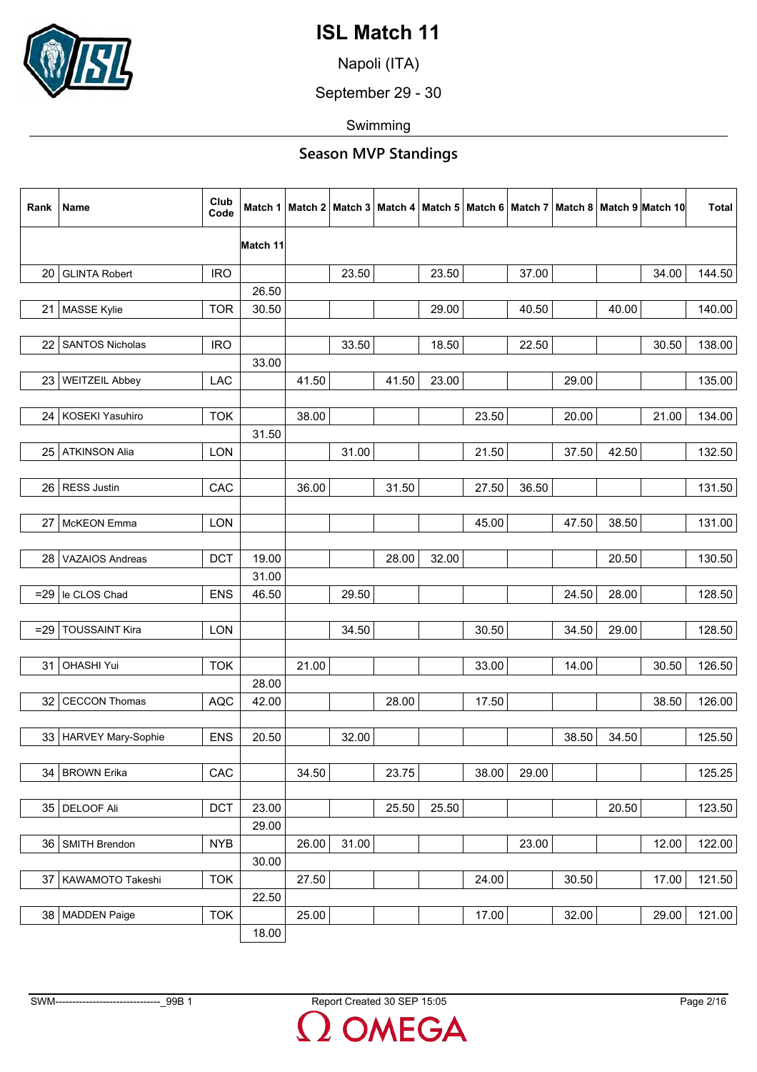

Napoli (ITA)

September 29 - 30

Swimming

|                                                                                  |       | <b>Total</b> |
|----------------------------------------------------------------------------------|-------|--------------|
| Match 11                                                                         |       |              |
| <b>GLINTA Robert</b><br><b>IRO</b><br>23.50<br>23.50<br>37.00<br>20              | 34.00 | 144.50       |
| 26.50                                                                            |       |              |
| <b>TOR</b><br>30.50<br>40.00<br>21 MASSE Kylie<br>29.00<br>40.50                 |       | 140.00       |
|                                                                                  |       |              |
| <b>IRO</b><br>33.50<br>18.50<br>22.50<br>22<br><b>SANTOS Nicholas</b>            | 30.50 | 138.00       |
| 33.00                                                                            |       |              |
| <b>WEITZEIL Abbey</b><br>LAC<br>41.50<br>41.50<br>23.00<br>23<br>29.00           |       | 135.00       |
|                                                                                  |       |              |
| 24   KOSEKI Yasuhiro<br><b>TOK</b><br>38.00<br>23.50<br>20.00                    | 21.00 | 134.00       |
| 31.50                                                                            |       |              |
| <b>ATKINSON Alia</b><br>LON<br>31.00<br>21.50<br>37.50<br>42.50<br>25            |       | 132.50       |
|                                                                                  |       |              |
| 27.50<br><b>RESS Justin</b><br>CAC<br>36.00<br>31.50<br>36.50<br>26              |       | 131.50       |
|                                                                                  |       |              |
| McKEON Emma<br>45.00<br>47.50<br>38.50<br>27<br>LON                              |       | 131.00       |
|                                                                                  |       |              |
| 28.00<br>32.00<br><b>VAZAIOS Andreas</b><br><b>DCT</b><br>19.00<br>20.50<br>28   |       | 130.50       |
| 31.00                                                                            |       |              |
| le CLOS Chad<br>46.50<br>29.50<br>24.50<br>28.00<br><b>ENS</b><br>$=29$          |       | 128.50       |
|                                                                                  |       |              |
| <b>TOUSSAINT Kira</b><br>34.50<br>30.50<br>29.00<br><b>LON</b><br>34.50<br>$=29$ |       | 128.50       |
|                                                                                  |       |              |
| 21.00<br>31<br>OHASHI Yui<br><b>TOK</b><br>33.00<br>14.00                        | 30.50 | 126.50       |
| 28.00                                                                            |       |              |
| <b>CECCON Thomas</b><br>42.00<br>28.00<br>17.50<br>32<br><b>AQC</b>              | 38.50 | 126.00       |
|                                                                                  |       |              |
| <b>ENS</b><br>20.50<br>34.50<br>33   HARVEY Mary-Sophie<br>32.00<br>38.50        |       | 125.50       |
|                                                                                  |       |              |
| 34.50<br>34 BROWN Erika<br>CAC<br>23.75<br>38.00<br>29.00                        |       | 125.25       |
| <b>DCT</b><br>25.50<br>25.50<br>20.50<br>35 DELOOF Ali<br>23.00                  |       | 123.50       |
| 29.00                                                                            |       |              |
| 31.00<br>36 SMITH Brendon<br><b>NYB</b><br>26.00<br>23.00                        | 12.00 | 122.00       |
| 30.00                                                                            |       |              |
| 27.50<br>24.00<br>30.50<br>37 KAWAMOTO Takeshi<br><b>TOK</b>                     | 17.00 | 121.50       |
| 22.50                                                                            |       |              |
| <b>TOK</b><br>25.00<br>17.00<br>38 MADDEN Paige<br>32.00                         | 29.00 | 121.00       |
| 18.00                                                                            |       |              |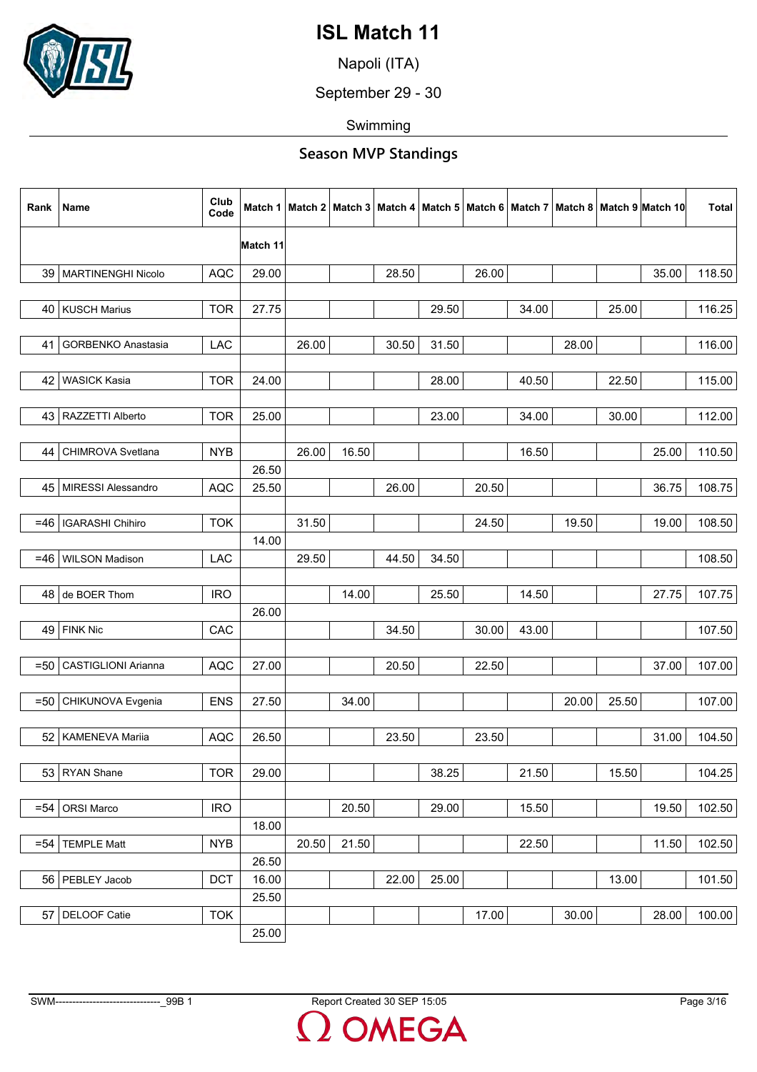

Napoli (ITA)

September 29 - 30

Swimming

| Rank   | Name                      | Club<br>Code | Match 1  |       |       |       |       |       |       |       |       | Match 2   Match 3   Match 4   Match 5   Match 6   Match 7   Match 8   Match 9   Match 10 | <b>Total</b> |
|--------|---------------------------|--------------|----------|-------|-------|-------|-------|-------|-------|-------|-------|------------------------------------------------------------------------------------------|--------------|
|        |                           |              | Match 11 |       |       |       |       |       |       |       |       |                                                                                          |              |
| 39     | MARTINENGHI Nicolo        | <b>AQC</b>   | 29.00    |       |       | 28.50 |       | 26.00 |       |       |       | 35.00                                                                                    | 118.50       |
|        |                           |              |          |       |       |       |       |       |       |       |       |                                                                                          |              |
|        | 40   KUSCH Marius         | <b>TOR</b>   | 27.75    |       |       |       | 29.50 |       | 34.00 |       | 25.00 |                                                                                          | 116.25       |
|        |                           |              |          |       |       |       |       |       |       |       |       |                                                                                          |              |
| 41     | <b>GORBENKO Anastasia</b> | LAC          |          | 26.00 |       | 30.50 | 31.50 |       |       | 28.00 |       |                                                                                          | 116.00       |
|        |                           |              |          |       |       |       |       |       |       |       |       |                                                                                          |              |
| 42     | <b>WASICK Kasia</b>       | <b>TOR</b>   | 24.00    |       |       |       | 28.00 |       | 40.50 |       | 22.50 |                                                                                          | 115.00       |
|        |                           |              |          |       |       |       |       |       |       |       |       |                                                                                          |              |
|        | 43   RAZZETTI Alberto     | <b>TOR</b>   | 25.00    |       |       |       | 23.00 |       | 34.00 |       | 30.00 |                                                                                          | 112.00       |
| 44     | CHIMROVA Svetlana         | <b>NYB</b>   |          | 26.00 | 16.50 |       |       |       | 16.50 |       |       | 25.00                                                                                    | 110.50       |
|        |                           |              | 26.50    |       |       |       |       |       |       |       |       |                                                                                          |              |
| 45     | MIRESSI Alessandro        | <b>AQC</b>   | 25.50    |       |       | 26.00 |       | 20.50 |       |       |       | 36.75                                                                                    | 108.75       |
|        |                           |              |          |       |       |       |       |       |       |       |       |                                                                                          |              |
| $=46$  | <b>IGARASHI Chihiro</b>   | <b>TOK</b>   |          | 31.50 |       |       |       | 24.50 |       | 19.50 |       | 19.00                                                                                    | 108.50       |
|        |                           |              | 14.00    |       |       |       |       |       |       |       |       |                                                                                          |              |
| =46    | <b>WILSON Madison</b>     | LAC          |          | 29.50 |       | 44.50 | 34.50 |       |       |       |       |                                                                                          | 108.50       |
|        |                           |              |          |       |       |       |       |       |       |       |       |                                                                                          |              |
| 48     | de BOER Thom              | <b>IRO</b>   |          |       | 14.00 |       | 25.50 |       | 14.50 |       |       | 27.75                                                                                    | 107.75       |
|        |                           |              | 26.00    |       |       |       |       |       |       |       |       |                                                                                          |              |
|        | 49 FINK Nic               | CAC          |          |       |       | 34.50 |       | 30.00 | 43.00 |       |       |                                                                                          | 107.50       |
|        |                           |              |          |       |       |       |       |       |       |       |       |                                                                                          |              |
| $=50$  | CASTIGLIONI Arianna       | <b>AQC</b>   | 27.00    |       |       | 20.50 |       | 22.50 |       |       |       | 37.00                                                                                    | 107.00       |
|        |                           |              |          |       |       |       |       |       |       |       |       |                                                                                          |              |
| $=50$  | CHIKUNOVA Evgenia         | <b>ENS</b>   | 27.50    |       | 34.00 |       |       |       |       | 20.00 | 25.50 |                                                                                          | 107.00       |
|        |                           |              |          |       |       |       |       |       |       |       |       |                                                                                          |              |
|        | 52   KAMENEVA Mariia      | <b>AQC</b>   | 26.50    |       |       | 23.50 |       | 23.50 |       |       |       | 31.00                                                                                    | 104.50       |
|        | 53 RYAN Shane             | <b>TOR</b>   | 29.00    |       |       |       | 38.25 |       | 21.50 |       | 15.50 |                                                                                          | 104.25       |
|        |                           |              |          |       |       |       |       |       |       |       |       |                                                                                          |              |
| $= 54$ | ORSI Marco                | <b>IRO</b>   |          |       | 20.50 |       | 29.00 |       | 15.50 |       |       | 19.50                                                                                    | 102.50       |
|        |                           |              | 18.00    |       |       |       |       |       |       |       |       |                                                                                          |              |
| $= 54$ | <b>TEMPLE Matt</b>        | <b>NYB</b>   |          | 20.50 | 21.50 |       |       |       | 22.50 |       |       | 11.50                                                                                    | 102.50       |
|        |                           |              | 26.50    |       |       |       |       |       |       |       |       |                                                                                          |              |
|        | 56   PEBLEY Jacob         | DCT          | 16.00    |       |       | 22.00 | 25.00 |       |       |       | 13.00 |                                                                                          | 101.50       |
|        |                           |              | 25.50    |       |       |       |       |       |       |       |       |                                                                                          |              |
| 57     | DELOOF Catie              | <b>TOK</b>   |          |       |       |       |       | 17.00 |       | 30.00 |       | 28.00                                                                                    | 100.00       |
|        |                           |              | 25.00    |       |       |       |       |       |       |       |       |                                                                                          |              |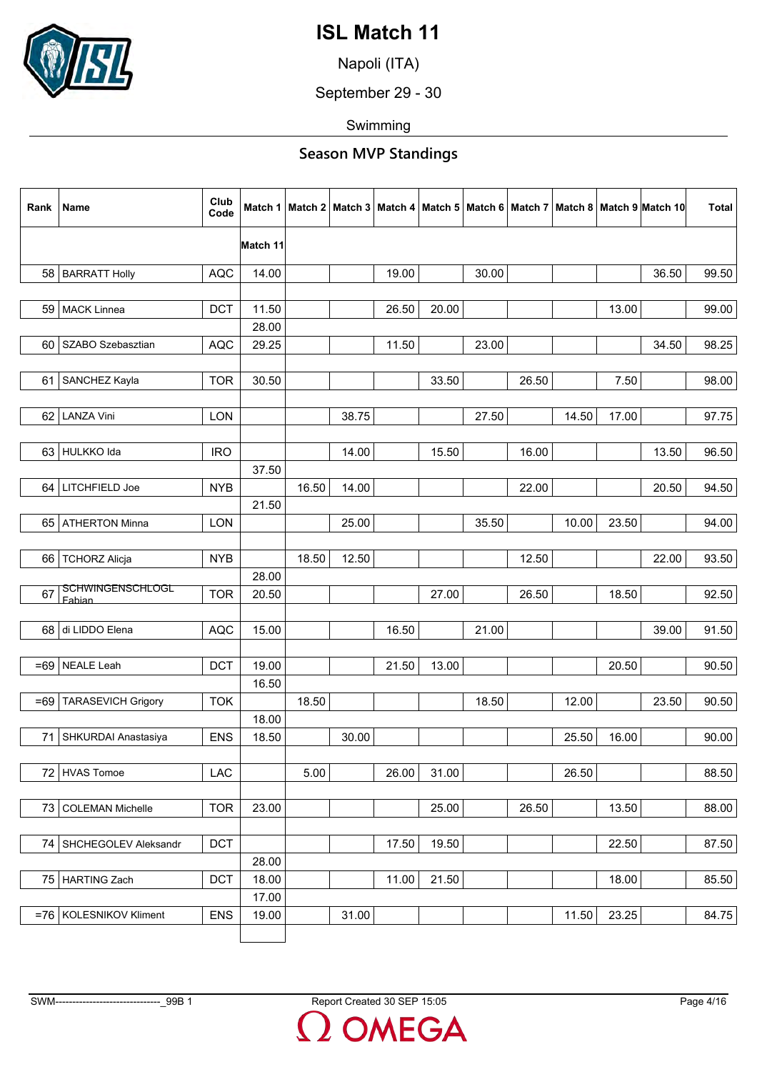

Napoli (ITA)

September 29 - 30

Swimming

| Rank  | Name                       | Club<br>Code | Match 1  |       |       |       |       |       |       |       |       | Match 2   Match 3   Match 4   Match 5   Match 6   Match 7   Match 8   Match 9  Match 10 | Total |
|-------|----------------------------|--------------|----------|-------|-------|-------|-------|-------|-------|-------|-------|-----------------------------------------------------------------------------------------|-------|
|       |                            |              | Match 11 |       |       |       |       |       |       |       |       |                                                                                         |       |
|       | 58   BARRATT Holly         | <b>AQC</b>   | 14.00    |       |       | 19.00 |       | 30.00 |       |       |       | 36.50                                                                                   | 99.50 |
|       |                            |              |          |       |       |       |       |       |       |       |       |                                                                                         |       |
|       | 59 MACK Linnea             | <b>DCT</b>   | 11.50    |       |       | 26.50 | 20.00 |       |       |       | 13.00 |                                                                                         | 99.00 |
|       |                            |              | 28.00    |       |       |       |       |       |       |       |       |                                                                                         |       |
| 60    | SZABO Szebasztian          | <b>AQC</b>   | 29.25    |       |       | 11.50 |       | 23.00 |       |       |       | 34.50                                                                                   | 98.25 |
|       |                            |              |          |       |       |       |       |       |       |       |       |                                                                                         |       |
| 61    | SANCHEZ Kayla              | <b>TOR</b>   | 30.50    |       |       |       | 33.50 |       | 26.50 |       | 7.50  |                                                                                         | 98.00 |
|       | 62 LANZA Vini              | LON          |          |       | 38.75 |       |       | 27.50 |       | 14.50 | 17.00 |                                                                                         | 97.75 |
|       |                            |              |          |       |       |       |       |       |       |       |       |                                                                                         |       |
|       | 63 HULKKO Ida              | <b>IRO</b>   |          |       | 14.00 |       | 15.50 |       | 16.00 |       |       | 13.50                                                                                   | 96.50 |
|       |                            |              | 37.50    |       |       |       |       |       |       |       |       |                                                                                         |       |
| 64    | LITCHFIELD Joe             | <b>NYB</b>   |          | 16.50 | 14.00 |       |       |       | 22.00 |       |       | 20.50                                                                                   | 94.50 |
|       | 65 ATHERTON Minna          | LON          | 21.50    |       | 25.00 |       |       | 35.50 |       |       |       |                                                                                         |       |
|       |                            |              |          |       |       |       |       |       |       | 10.00 | 23.50 |                                                                                         | 94.00 |
| 66    | <b>TCHORZ Alicja</b>       | <b>NYB</b>   |          | 18.50 | 12.50 |       |       |       | 12.50 |       |       | 22.00                                                                                   | 93.50 |
|       |                            |              | 28.00    |       |       |       |       |       |       |       |       |                                                                                         |       |
| 67    | SCHWINGENSCHLOGL<br>Fabian | <b>TOR</b>   | 20.50    |       |       |       | 27.00 |       | 26.50 |       | 18.50 |                                                                                         | 92.50 |
|       |                            |              |          |       |       |       |       |       |       |       |       |                                                                                         |       |
|       | 68 di LIDDO Elena          | <b>AQC</b>   | 15.00    |       |       | 16.50 |       | 21.00 |       |       |       | 39.00                                                                                   | 91.50 |
|       |                            |              |          |       |       |       |       |       |       |       |       |                                                                                         |       |
| $=69$ | NEALE Leah                 | <b>DCT</b>   | 19.00    |       |       | 21.50 | 13.00 |       |       |       | 20.50 |                                                                                         | 90.50 |
|       |                            |              | 16.50    |       |       |       |       |       |       |       |       |                                                                                         |       |
| $=69$ | <b>TARASEVICH Grigory</b>  | <b>TOK</b>   |          | 18.50 |       |       |       | 18.50 |       | 12.00 |       | 23.50                                                                                   | 90.50 |
|       |                            |              | 18.00    |       |       |       |       |       |       |       |       |                                                                                         |       |
| 71    | SHKURDAI Anastasiya        | <b>ENS</b>   | 18.50    |       | 30.00 |       |       |       |       | 25.50 | 16.00 |                                                                                         | 90.00 |
|       |                            |              |          |       |       |       |       |       |       |       |       |                                                                                         |       |
|       | 72 HVAS Tomoe              | LAC          |          | 5.00  |       | 26.00 | 31.00 |       |       | 26.50 |       |                                                                                         | 88.50 |
|       |                            |              |          |       |       |       |       |       |       |       |       |                                                                                         |       |
| 73    | <b>COLEMAN Michelle</b>    | <b>TOR</b>   | 23.00    |       |       |       | 25.00 |       | 26.50 |       | 13.50 |                                                                                         | 88.00 |
|       |                            |              |          |       |       |       |       |       |       |       |       |                                                                                         |       |
| 74    | SHCHEGOLEV Aleksandr       | <b>DCT</b>   |          |       |       | 17.50 | 19.50 |       |       |       | 22.50 |                                                                                         | 87.50 |
|       |                            |              | 28.00    |       |       |       |       |       |       |       |       |                                                                                         |       |
|       | 75 HARTING Zach            | <b>DCT</b>   | 18.00    |       |       | 11.00 | 21.50 |       |       |       | 18.00 |                                                                                         | 85.50 |
|       |                            |              | 17.00    |       |       |       |       |       |       |       |       |                                                                                         |       |
|       | =76   KOLESNIKOV Kliment   | <b>ENS</b>   | 19.00    |       | 31.00 |       |       |       |       | 11.50 | 23.25 |                                                                                         | 84.75 |
|       |                            |              |          |       |       |       |       |       |       |       |       |                                                                                         |       |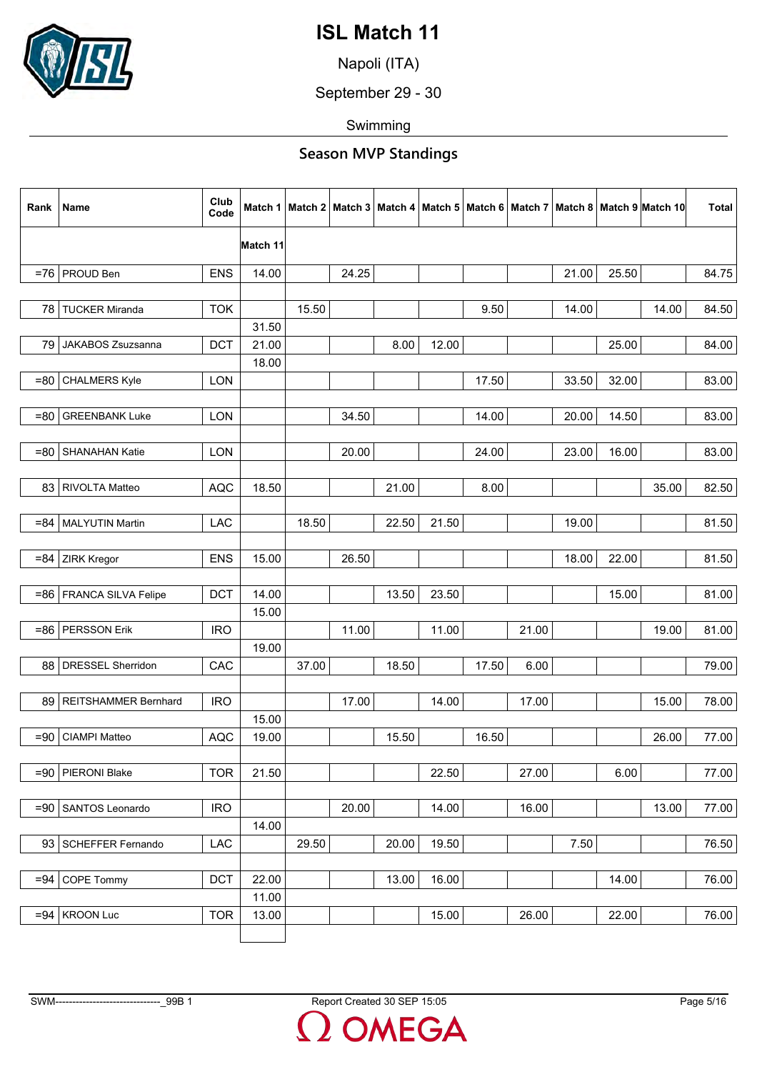

Napoli (ITA)

September 29 - 30

Swimming

| Rank   | Name                      | Club<br>Code | Match 1  |       | Match 2   Match 3   Match 4   Match 5   Match 6   Match 7 |       |       |       |       |       |       | Match 8   Match 9   Match 10 | Total |
|--------|---------------------------|--------------|----------|-------|-----------------------------------------------------------|-------|-------|-------|-------|-------|-------|------------------------------|-------|
|        |                           |              | Match 11 |       |                                                           |       |       |       |       |       |       |                              |       |
|        | $=76$ PROUD Ben           | <b>ENS</b>   | 14.00    |       | 24.25                                                     |       |       |       |       | 21.00 | 25.50 |                              | 84.75 |
|        |                           |              |          |       |                                                           |       |       |       |       |       |       |                              |       |
| 78     | <b>TUCKER Miranda</b>     | <b>TOK</b>   |          | 15.50 |                                                           |       |       | 9.50  |       | 14.00 |       | 14.00                        | 84.50 |
|        |                           |              | 31.50    |       |                                                           |       |       |       |       |       |       |                              |       |
| 79     | JAKABOS Zsuzsanna         | <b>DCT</b>   | 21.00    |       |                                                           | 8.00  | 12.00 |       |       |       | 25.00 |                              | 84.00 |
| $= 80$ | <b>CHALMERS Kyle</b>      | <b>LON</b>   | 18.00    |       |                                                           |       |       | 17.50 |       | 33.50 | 32.00 |                              | 83.00 |
|        |                           |              |          |       |                                                           |       |       |       |       |       |       |                              |       |
| $= 80$ | <b>GREENBANK Luke</b>     | <b>LON</b>   |          |       | 34.50                                                     |       |       | 14.00 |       | 20.00 | 14.50 |                              | 83.00 |
| $= 80$ | SHANAHAN Katie            | LON          |          |       | 20.00                                                     |       |       | 24.00 |       | 23.00 | 16.00 |                              | 83.00 |
|        |                           |              |          |       |                                                           |       |       |       |       |       |       |                              |       |
| 83     | <b>RIVOLTA Matteo</b>     | <b>AQC</b>   | 18.50    |       |                                                           | 21.00 |       | 8.00  |       |       |       | 35.00                        | 82.50 |
|        |                           |              |          |       |                                                           |       |       |       |       |       |       |                              |       |
| $= 84$ | MALYUTIN Martin           | <b>LAC</b>   |          | 18.50 |                                                           | 22.50 | 21.50 |       |       | 19.00 |       |                              | 81.50 |
|        |                           |              |          |       |                                                           |       |       |       |       |       |       |                              |       |
| $= 84$ | ZIRK Kregor               | <b>ENS</b>   | 15.00    |       | 26.50                                                     |       |       |       |       | 18.00 | 22.00 |                              | 81.50 |
|        |                           |              |          |       |                                                           |       |       |       |       |       |       |                              |       |
|        | =86   FRANCA SILVA Felipe | <b>DCT</b>   | 14.00    |       |                                                           | 13.50 | 23.50 |       |       |       | 15.00 |                              | 81.00 |
|        |                           |              | 15.00    |       |                                                           |       |       |       |       |       |       |                              |       |
|        | $=86$ PERSSON Erik        | <b>IRO</b>   | 19.00    |       | 11.00                                                     |       | 11.00 |       | 21.00 |       |       | 19.00                        | 81.00 |
| 88     | <b>DRESSEL Sherridon</b>  | CAC          |          | 37.00 |                                                           | 18.50 |       | 17.50 | 6.00  |       |       |                              | 79.00 |
|        |                           |              |          |       |                                                           |       |       |       |       |       |       |                              |       |
| 89     | REITSHAMMER Bernhard      | <b>IRO</b>   |          |       | 17.00                                                     |       | 14.00 |       | 17.00 |       |       | 15.00                        | 78.00 |
|        |                           |              | 15.00    |       |                                                           |       |       |       |       |       |       |                              |       |
| $=90$  | <b>CIAMPI Matteo</b>      | <b>AQC</b>   | 19.00    |       |                                                           | 15.50 |       | 16.50 |       |       |       | 26.00                        | 77.00 |
|        |                           |              |          |       |                                                           |       |       |       |       |       |       |                              |       |
|        | =90   PIERONI Blake       | <b>TOR</b>   | 21.50    |       |                                                           |       | 22.50 |       | 27.00 |       | 6.00  |                              | 77.00 |
|        |                           |              |          |       |                                                           |       |       |       |       |       |       |                              |       |
| $=90$  | SANTOS Leonardo           | <b>IRO</b>   |          |       | 20.00                                                     |       | 14.00 |       | 16.00 |       |       | 13.00                        | 77.00 |
|        |                           |              | 14.00    |       |                                                           |       |       |       |       |       |       |                              |       |
|        | 93 SCHEFFER Fernando      | LAC          |          | 29.50 |                                                           | 20.00 | 19.50 |       |       | 7.50  |       |                              | 76.50 |
| $= 94$ | COPE Tommy                | <b>DCT</b>   | 22.00    |       |                                                           | 13.00 | 16.00 |       |       |       | 14.00 |                              | 76.00 |
|        |                           |              | 11.00    |       |                                                           |       |       |       |       |       |       |                              |       |
| $= 94$ | <b>KROON Luc</b>          | <b>TOR</b>   | 13.00    |       |                                                           |       | 15.00 |       | 26.00 |       | 22.00 |                              | 76.00 |
|        |                           |              |          |       |                                                           |       |       |       |       |       |       |                              |       |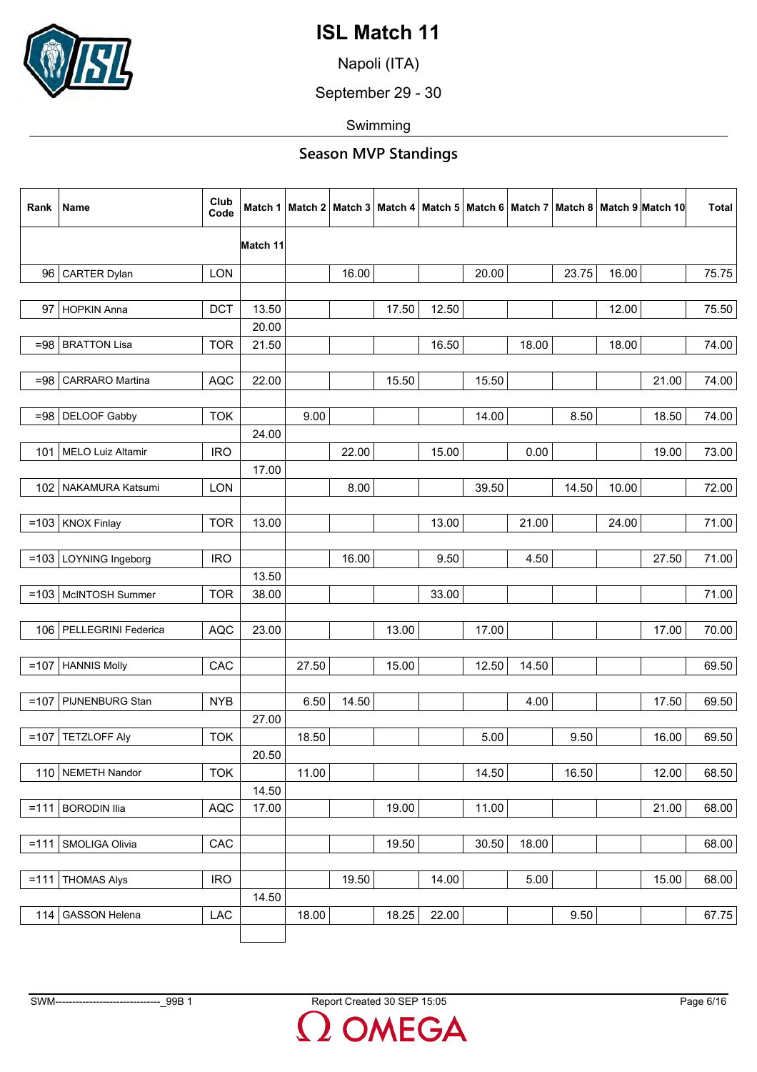

Napoli (ITA)

September 29 - 30

Swimming

| Rank    | Name                      | Club<br>Code |          |       |       |       |       |       |       |       |       | Match 1   Match 2   Match 3   Match 4   Match 5   Match 6   Match 7   Match 8   Match 9   Match 10 | Total |
|---------|---------------------------|--------------|----------|-------|-------|-------|-------|-------|-------|-------|-------|----------------------------------------------------------------------------------------------------|-------|
|         |                           |              | Match 11 |       |       |       |       |       |       |       |       |                                                                                                    |       |
| 96      | <b>CARTER Dylan</b>       | LON          |          |       | 16.00 |       |       | 20.00 |       | 23.75 | 16.00 |                                                                                                    | 75.75 |
|         |                           |              |          |       |       |       |       |       |       |       |       |                                                                                                    |       |
|         | 97 HOPKIN Anna            | <b>DCT</b>   | 13.50    |       |       | 17.50 | 12.50 |       |       |       | 12.00 |                                                                                                    | 75.50 |
|         |                           |              | 20.00    |       |       |       |       |       |       |       |       |                                                                                                    |       |
| $= 98$  | <b>BRATTON Lisa</b>       | <b>TOR</b>   | 21.50    |       |       |       | 16.50 |       | 18.00 |       | 18.00 |                                                                                                    | 74.00 |
| $= 98$  | CARRARO Martina           | <b>AQC</b>   | 22.00    |       |       | 15.50 |       | 15.50 |       |       |       | 21.00                                                                                              | 74.00 |
|         |                           |              |          |       |       |       |       |       |       |       |       |                                                                                                    |       |
|         | $= 98$ DELOOF Gabby       | <b>TOK</b>   |          | 9.00  |       |       |       | 14.00 |       | 8.50  |       | 18.50                                                                                              | 74.00 |
|         |                           |              | 24.00    |       |       |       |       |       |       |       |       |                                                                                                    |       |
|         | 101   MELO Luiz Altamir   | <b>IRO</b>   |          |       | 22.00 |       | 15.00 |       | 0.00  |       |       | 19.00                                                                                              | 73.00 |
|         |                           |              | 17.00    |       |       |       |       |       |       |       |       |                                                                                                    |       |
|         | 102   NAKAMURA Katsumi    | <b>LON</b>   |          |       | 8.00  |       |       | 39.50 |       | 14.50 | 10.00 |                                                                                                    | 72.00 |
|         | $=103$ KNOX Finlay        |              | 13.00    |       |       |       | 13.00 |       | 21.00 |       | 24.00 |                                                                                                    | 71.00 |
|         |                           | <b>TOR</b>   |          |       |       |       |       |       |       |       |       |                                                                                                    |       |
|         | =103   LOYNING Ingeborg   | <b>IRO</b>   |          |       | 16.00 |       | 9.50  |       | 4.50  |       |       | 27.50                                                                                              | 71.00 |
|         |                           |              | 13.50    |       |       |       |       |       |       |       |       |                                                                                                    |       |
|         | $=103$ McINTOSH Summer    | <b>TOR</b>   | 38.00    |       |       |       | 33.00 |       |       |       |       |                                                                                                    | 71.00 |
|         |                           |              |          |       |       |       |       |       |       |       |       |                                                                                                    |       |
|         | 106   PELLEGRINI Federica | <b>AQC</b>   | 23.00    |       |       | 13.00 |       | 17.00 |       |       |       | 17.00                                                                                              | 70.00 |
|         |                           |              |          |       |       |       |       |       |       |       |       |                                                                                                    |       |
|         | $=107$ HANNIS Molly       | CAC          |          | 27.50 |       | 15.00 |       | 12.50 | 14.50 |       |       |                                                                                                    | 69.50 |
|         |                           |              |          |       |       |       |       |       |       |       |       |                                                                                                    |       |
|         | $=107$ PIJNENBURG Stan    | <b>NYB</b>   | 27.00    | 6.50  | 14.50 |       |       |       | 4.00  |       |       | 17.50                                                                                              | 69.50 |
|         | $=107$ TETZLOFF Aly       | <b>TOK</b>   |          | 18.50 |       |       |       | 5.00  |       | 9.50  |       | 16.00                                                                                              | 69.50 |
|         |                           |              | 20.50    |       |       |       |       |       |       |       |       |                                                                                                    |       |
|         | 110   NEMETH Nandor       | <b>TOK</b>   |          | 11.00 |       |       |       | 14.50 |       | 16.50 |       | 12.00                                                                                              | 68.50 |
|         |                           |              | 14.50    |       |       |       |       |       |       |       |       |                                                                                                    |       |
|         | $=111$ BORODIN Ilia       | <b>AQC</b>   | 17.00    |       |       | 19.00 |       | 11.00 |       |       |       | 21.00                                                                                              | 68.00 |
|         |                           |              |          |       |       |       |       |       |       |       |       |                                                                                                    |       |
|         | =111 SMOLIGA Olivia       | CAC          |          |       |       | 19.50 |       | 30.50 | 18.00 |       |       |                                                                                                    | 68.00 |
|         |                           |              |          |       |       |       |       |       |       |       |       |                                                                                                    |       |
| $= 111$ | <b>THOMAS Alys</b>        | <b>IRO</b>   |          |       | 19.50 |       | 14.00 |       | 5.00  |       |       | 15.00                                                                                              | 68.00 |
| 114     | <b>GASSON Helena</b>      | LAC          | 14.50    | 18.00 |       | 18.25 | 22.00 |       |       | 9.50  |       |                                                                                                    | 67.75 |
|         |                           |              |          |       |       |       |       |       |       |       |       |                                                                                                    |       |
|         |                           |              |          |       |       |       |       |       |       |       |       |                                                                                                    |       |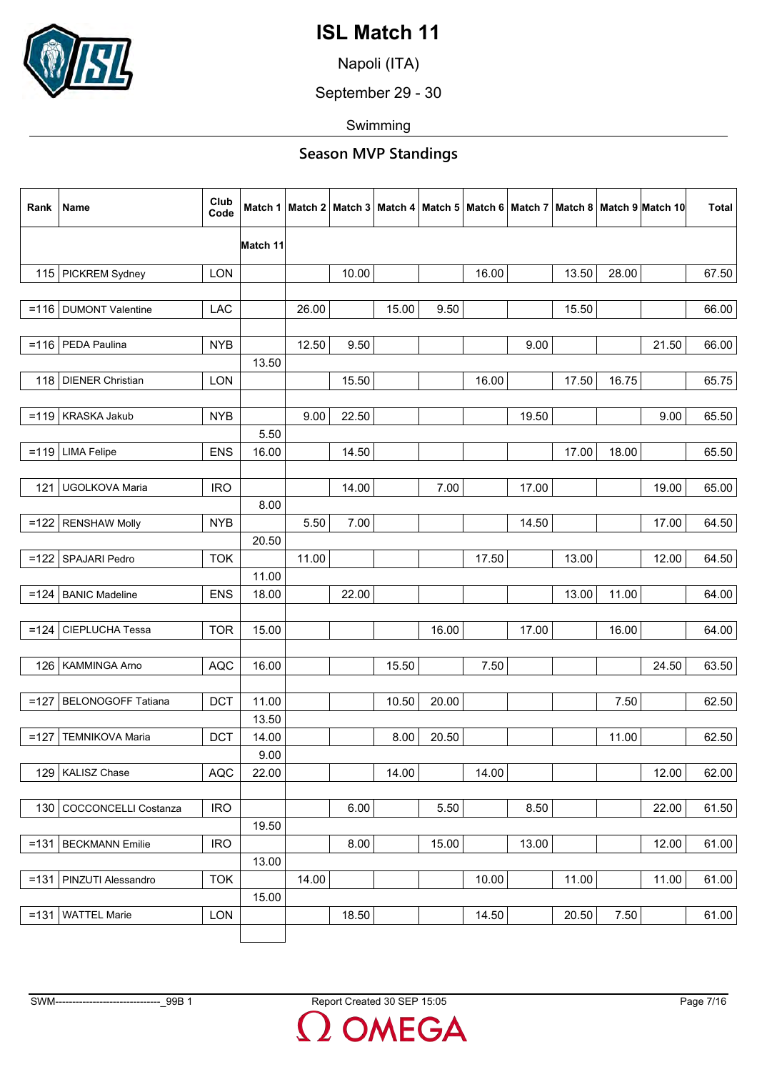

Napoli (ITA)

September 29 - 30

Swimming

| Rank    | Name                        | Club<br>Code | Match 1  |       |       |       |       |       |       |       |       | Match 2   Match 3   Match 4   Match 5   Match 6   Match 7   Match 8   Match 9   Match 10 | Total |
|---------|-----------------------------|--------------|----------|-------|-------|-------|-------|-------|-------|-------|-------|------------------------------------------------------------------------------------------|-------|
|         |                             |              | Match 11 |       |       |       |       |       |       |       |       |                                                                                          |       |
| 115 l   | PICKREM Sydney              | <b>LON</b>   |          |       | 10.00 |       |       | 16.00 |       | 13.50 | 28.00 |                                                                                          | 67.50 |
|         |                             |              |          |       |       |       |       |       |       |       |       |                                                                                          |       |
|         | =116   DUMONT Valentine     | <b>LAC</b>   |          | 26.00 |       | 15.00 | 9.50  |       |       | 15.50 |       |                                                                                          | 66.00 |
|         |                             |              |          |       |       |       |       |       |       |       |       |                                                                                          |       |
|         | =116   PEDA Paulina         | <b>NYB</b>   |          | 12.50 | 9.50  |       |       |       | 9.00  |       |       | 21.50                                                                                    | 66.00 |
|         |                             |              | 13.50    |       |       |       |       |       |       |       |       |                                                                                          |       |
|         | 118   DIENER Christian      | <b>LON</b>   |          |       | 15.50 |       |       | 16.00 |       | 17.50 | 16.75 |                                                                                          | 65.75 |
|         |                             |              |          |       |       |       |       |       |       |       |       |                                                                                          |       |
|         | $=119$ KRASKA Jakub         | <b>NYB</b>   |          | 9.00  | 22.50 |       |       |       | 19.50 |       |       | 9.00                                                                                     | 65.50 |
|         |                             |              | 5.50     |       |       |       |       |       |       |       |       |                                                                                          |       |
| $= 119$ | <b>LIMA Felipe</b>          | <b>ENS</b>   | 16.00    |       | 14.50 |       |       |       |       | 17.00 | 18.00 |                                                                                          | 65.50 |
|         |                             |              |          |       |       |       |       |       |       |       |       |                                                                                          |       |
| 121     | UGOLKOVA Maria              | <b>IRO</b>   |          |       | 14.00 |       | 7.00  |       | 17.00 |       |       | 19.00                                                                                    | 65.00 |
|         |                             |              | 8.00     |       |       |       |       |       |       |       |       |                                                                                          |       |
| $=122$  | <b>RENSHAW Molly</b>        | <b>NYB</b>   | 20.50    | 5.50  | 7.00  |       |       |       | 14.50 |       |       | 17.00                                                                                    | 64.50 |
| $=122$  | SPAJARI Pedro               | <b>TOK</b>   |          | 11.00 |       |       |       | 17.50 |       | 13.00 |       | 12.00                                                                                    | 64.50 |
|         |                             |              | 11.00    |       |       |       |       |       |       |       |       |                                                                                          |       |
| $=124$  | <b>BANIC Madeline</b>       | <b>ENS</b>   | 18.00    |       | 22.00 |       |       |       |       | 13.00 | 11.00 |                                                                                          | 64.00 |
|         |                             |              |          |       |       |       |       |       |       |       |       |                                                                                          |       |
| $=124$  | CIEPLUCHA Tessa             | <b>TOR</b>   | 15.00    |       |       |       | 16.00 |       | 17.00 |       | 16.00 |                                                                                          | 64.00 |
|         |                             |              |          |       |       |       |       |       |       |       |       |                                                                                          |       |
| 126     | KAMMINGA Arno               | <b>AQC</b>   | 16.00    |       |       | 15.50 |       | 7.50  |       |       |       | 24.50                                                                                    | 63.50 |
|         |                             |              |          |       |       |       |       |       |       |       |       |                                                                                          |       |
| $=127$  | <b>BELONOGOFF Tatiana</b>   | <b>DCT</b>   | 11.00    |       |       | 10.50 | 20.00 |       |       |       | 7.50  |                                                                                          | 62.50 |
|         |                             |              | 13.50    |       |       |       |       |       |       |       |       |                                                                                          |       |
| $=127$  | <b>TEMNIKOVA Maria</b>      | <b>DCT</b>   | 14.00    |       |       | 8.00  | 20.50 |       |       |       | 11.00 |                                                                                          | 62.50 |
|         |                             |              | 9.00     |       |       |       |       |       |       |       |       |                                                                                          |       |
|         | 129 KALISZ Chase            | <b>AQC</b>   | 22.00    |       |       | 14.00 |       | 14.00 |       |       |       | 12.00                                                                                    | 62.00 |
|         |                             |              |          |       |       |       |       |       |       |       |       |                                                                                          |       |
| 130     | <b>COCCONCELLI Costanza</b> | <b>IRO</b>   |          |       | 6.00  |       | 5.50  |       | 8.50  |       |       | 22.00                                                                                    | 61.50 |
|         |                             |              | 19.50    |       |       |       |       |       |       |       |       |                                                                                          |       |
| $=131$  | <b>BECKMANN Emilie</b>      | <b>IRO</b>   |          |       | 8.00  |       | 15.00 |       | 13.00 |       |       | 12.00                                                                                    | 61.00 |
|         |                             |              | 13.00    |       |       |       |       |       |       |       |       |                                                                                          |       |
|         | =131   PINZUTI Alessandro   | <b>TOK</b>   |          | 14.00 |       |       |       | 10.00 |       | 11.00 |       | 11.00                                                                                    | 61.00 |
|         |                             |              | 15.00    |       |       |       |       |       |       |       |       |                                                                                          |       |
| $=131$  | <b>WATTEL Marie</b>         | LON          |          |       | 18.50 |       |       | 14.50 |       | 20.50 | 7.50  |                                                                                          | 61.00 |
|         |                             |              |          |       |       |       |       |       |       |       |       |                                                                                          |       |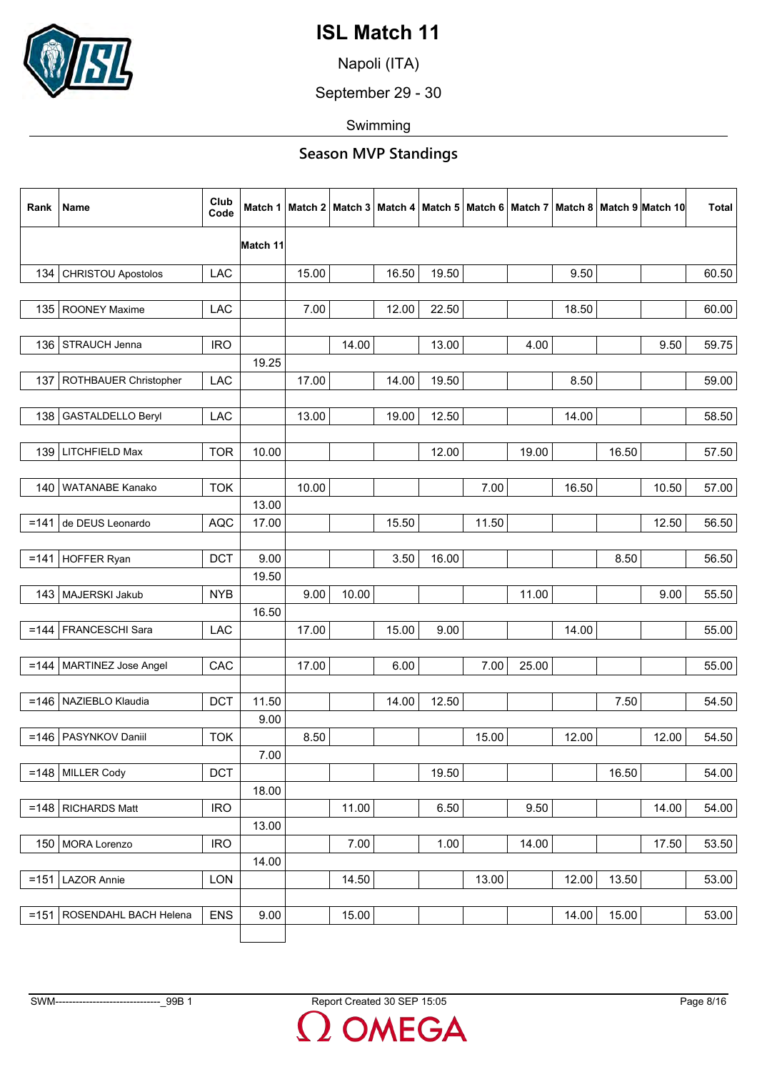

Napoli (ITA)

September 29 - 30

Swimming

| Rank    | Name                       | Club<br>Code |          |       |       |       |       |       |       |       |       | Match 1   Match 2   Match 3   Match 4   Match 5   Match 6   Match 7   Match 8   Match 9   Match 10 | <b>Total</b> |
|---------|----------------------------|--------------|----------|-------|-------|-------|-------|-------|-------|-------|-------|----------------------------------------------------------------------------------------------------|--------------|
|         |                            |              | Match 11 |       |       |       |       |       |       |       |       |                                                                                                    |              |
| 134     | <b>CHRISTOU Apostolos</b>  | <b>LAC</b>   |          | 15.00 |       | 16.50 | 19.50 |       |       | 9.50  |       |                                                                                                    | 60.50        |
|         |                            |              |          |       |       |       |       |       |       |       |       |                                                                                                    |              |
|         | 135   ROONEY Maxime        | LAC          |          | 7.00  |       | 12.00 | 22.50 |       |       | 18.50 |       |                                                                                                    | 60.00        |
|         |                            |              |          |       |       |       |       |       |       |       |       |                                                                                                    |              |
| 136     | STRAUCH Jenna              | <b>IRO</b>   |          |       | 14.00 |       | 13.00 |       | 4.00  |       |       | 9.50                                                                                               | 59.75        |
|         |                            |              | 19.25    |       |       |       |       |       |       |       |       |                                                                                                    |              |
| 137     | ROTHBAUER Christopher      | LAC          |          | 17.00 |       | 14.00 | 19.50 |       |       | 8.50  |       |                                                                                                    | 59.00        |
| 138     | <b>GASTALDELLO Beryl</b>   | LAC          |          | 13.00 |       | 19.00 | 12.50 |       |       | 14.00 |       |                                                                                                    | 58.50        |
|         |                            |              |          |       |       |       |       |       |       |       |       |                                                                                                    |              |
| 139     | LITCHFIELD Max             | <b>TOR</b>   | 10.00    |       |       |       | 12.00 |       | 19.00 |       | 16.50 |                                                                                                    | 57.50        |
|         |                            |              |          |       |       |       |       |       |       |       |       |                                                                                                    |              |
| 140 l   | <b>WATANABE Kanako</b>     | <b>TOK</b>   |          | 10.00 |       |       |       | 7.00  |       | 16.50 |       | 10.50                                                                                              | 57.00        |
|         |                            |              | 13.00    |       |       |       |       |       |       |       |       |                                                                                                    |              |
|         | $= 141$ de DEUS Leonardo   | <b>AQC</b>   | 17.00    |       |       | 15.50 |       | 11.50 |       |       |       | 12.50                                                                                              | 56.50        |
|         |                            | <b>DCT</b>   | 9.00     |       |       | 3.50  |       |       |       |       |       |                                                                                                    |              |
| $= 141$ | <b>HOFFER Ryan</b>         |              | 19.50    |       |       |       | 16.00 |       |       |       | 8.50  |                                                                                                    | 56.50        |
|         | 143   MAJERSKI Jakub       | <b>NYB</b>   |          | 9.00  | 10.00 |       |       |       | 11.00 |       |       | 9.00                                                                                               | 55.50        |
|         |                            |              | 16.50    |       |       |       |       |       |       |       |       |                                                                                                    |              |
|         | =144   FRANCESCHI Sara     | LAC          |          | 17.00 |       | 15.00 | 9.00  |       |       | 14.00 |       |                                                                                                    | 55.00        |
|         |                            |              |          |       |       |       |       |       |       |       |       |                                                                                                    |              |
|         | =144   MARTINEZ Jose Angel | CAC          |          | 17.00 |       | 6.00  |       | 7.00  | 25.00 |       |       |                                                                                                    | 55.00        |
|         |                            |              |          |       |       |       |       |       |       |       |       |                                                                                                    |              |
|         | =146   NAZIEBLO Klaudia    | <b>DCT</b>   | 11.50    |       |       | 14.00 | 12.50 |       |       |       | 7.50  |                                                                                                    | 54.50        |
|         |                            |              | 9.00     |       |       |       |       |       |       |       |       |                                                                                                    |              |
|         | =146   PASYNKOV Daniil     | <b>TOK</b>   |          | 8.50  |       |       |       | 15.00 |       | 12.00 |       | 12.00                                                                                              | 54.50        |
|         |                            |              | 7.00     |       |       |       |       |       |       |       |       |                                                                                                    |              |
|         | $=148$ MILLER Cody         | <b>DCT</b>   |          |       |       |       | 19.50 |       |       |       | 16.50 |                                                                                                    | 54.00        |
|         |                            |              | 18.00    |       |       |       |       |       |       |       |       |                                                                                                    |              |
|         | $=148$ RICHARDS Matt       | <b>IRO</b>   |          |       | 11.00 |       | 6.50  |       | 9.50  |       |       | 14.00                                                                                              | 54.00        |
|         |                            |              | 13.00    |       |       |       |       |       |       |       |       |                                                                                                    |              |
|         | 150 MORA Lorenzo           | <b>IRO</b>   |          |       | 7.00  |       | 1.00  |       | 14.00 |       |       | 17.50                                                                                              | 53.50        |
|         |                            |              | 14.00    |       |       |       |       |       |       |       |       |                                                                                                    |              |
| $= 151$ | <b>LAZOR Annie</b>         | LON          |          |       | 14.50 |       |       | 13.00 |       | 12.00 | 13.50 |                                                                                                    | 53.00        |
|         |                            |              |          |       |       |       |       |       |       |       |       |                                                                                                    |              |
| $= 151$ | ROSENDAHL BACH Helena      | <b>ENS</b>   | 9.00     |       | 15.00 |       |       |       |       | 14.00 | 15.00 |                                                                                                    | 53.00        |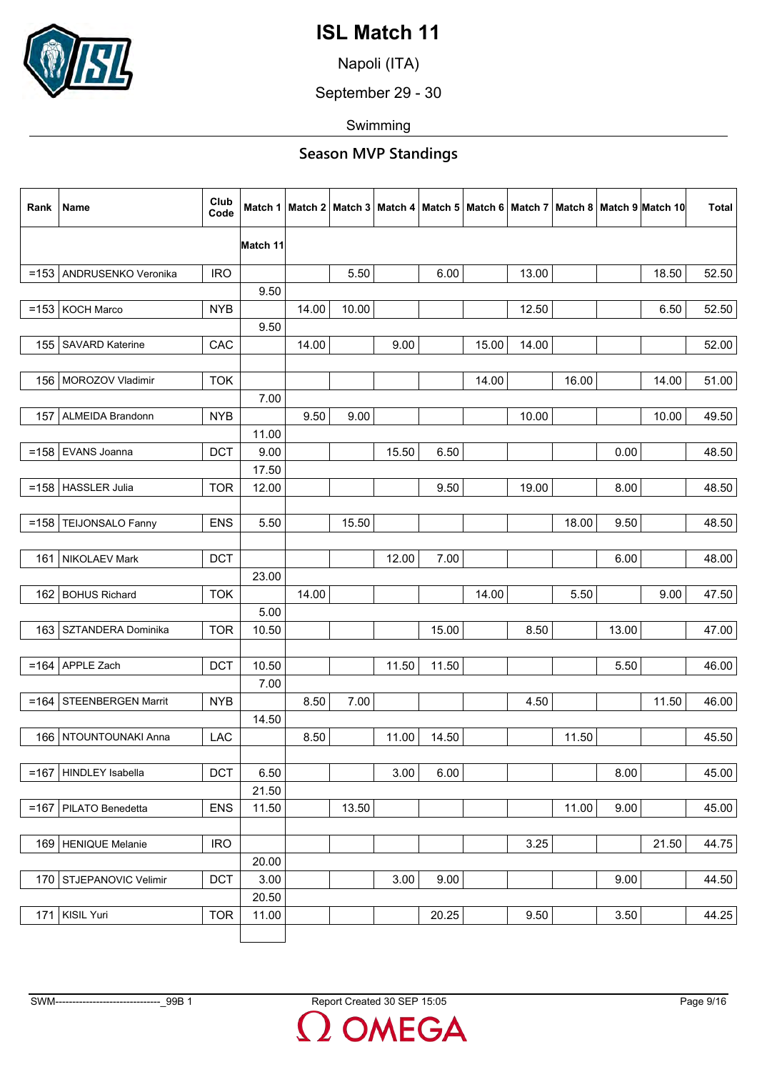

Napoli (ITA)

September 29 - 30

Swimming

| Rank    | Name                      | Club<br>Code | Match 1  |       |       |       |       |       |       |       |       | Match 2   Match 3   Match 4   Match 5   Match 6   Match 7   Match 8   Match 9  Match 10 | Total |
|---------|---------------------------|--------------|----------|-------|-------|-------|-------|-------|-------|-------|-------|-----------------------------------------------------------------------------------------|-------|
|         |                           |              | Match 11 |       |       |       |       |       |       |       |       |                                                                                         |       |
|         | =153 ANDRUSENKO Veronika  | <b>IRO</b>   |          |       | 5.50  |       | 6.00  |       | 13.00 |       |       | 18.50                                                                                   | 52.50 |
|         |                           |              | 9.50     |       |       |       |       |       |       |       |       |                                                                                         |       |
|         | =153   KOCH Marco         | <b>NYB</b>   |          | 14.00 | 10.00 |       |       |       | 12.50 |       |       | 6.50                                                                                    | 52.50 |
|         |                           |              | 9.50     |       |       |       |       |       |       |       |       |                                                                                         |       |
| 155     | <b>SAVARD Katerine</b>    | CAC          |          | 14.00 |       | 9.00  |       | 15.00 | 14.00 |       |       |                                                                                         | 52.00 |
|         |                           |              |          |       |       |       |       |       |       |       |       |                                                                                         |       |
|         | 156   MOROZOV Vladimir    | <b>TOK</b>   |          |       |       |       |       | 14.00 |       | 16.00 |       | 14.00                                                                                   | 51.00 |
|         |                           |              | 7.00     |       |       |       |       |       |       |       |       |                                                                                         |       |
| 157     | <b>ALMEIDA Brandonn</b>   | <b>NYB</b>   |          | 9.50  | 9.00  |       |       |       | 10.00 |       |       | 10.00                                                                                   | 49.50 |
|         |                           |              | 11.00    |       |       |       |       |       |       |       |       |                                                                                         |       |
| $=158$  | EVANS Joanna              | <b>DCT</b>   | 9.00     |       |       | 15.50 | 6.50  |       |       |       | 0.00  |                                                                                         | 48.50 |
|         |                           |              | 17.50    |       |       |       |       |       |       |       |       |                                                                                         |       |
| $= 158$ | HASSLER Julia             | <b>TOR</b>   | 12.00    |       |       |       | 9.50  |       | 19.00 |       | 8.00  |                                                                                         | 48.50 |
|         |                           |              |          |       |       |       |       |       |       |       |       |                                                                                         |       |
| $=158$  | TEIJONSALO Fanny          | <b>ENS</b>   | 5.50     |       | 15.50 |       |       |       |       | 18.00 | 9.50  |                                                                                         | 48.50 |
|         |                           |              |          |       |       |       |       |       |       |       |       |                                                                                         |       |
| 161     | NIKOLAEV Mark             | <b>DCT</b>   |          |       |       | 12.00 | 7.00  |       |       |       | 6.00  |                                                                                         | 48.00 |
|         |                           |              | 23.00    |       |       |       |       |       |       |       |       |                                                                                         |       |
|         | 162 BOHUS Richard         | <b>TOK</b>   |          | 14.00 |       |       |       | 14.00 |       | 5.50  |       | 9.00                                                                                    | 47.50 |
|         |                           |              | 5.00     |       |       |       |       |       |       |       |       |                                                                                         |       |
| 163     | SZTANDERA Dominika        | <b>TOR</b>   | 10.50    |       |       |       | 15.00 |       | 8.50  |       | 13.00 |                                                                                         | 47.00 |
|         |                           |              |          |       |       |       |       |       |       |       |       |                                                                                         |       |
| $= 164$ | APPLE Zach                | <b>DCT</b>   | 10.50    |       |       | 11.50 | 11.50 |       |       |       | 5.50  |                                                                                         | 46.00 |
|         |                           |              | 7.00     |       |       |       |       |       |       |       |       |                                                                                         |       |
| $=164$  | STEENBERGEN Marrit        | <b>NYB</b>   |          | 8.50  | 7.00  |       |       |       | 4.50  |       |       | 11.50                                                                                   | 46.00 |
|         | 166 NTOUNTOUNAKI Anna     |              | 14.50    | 8.50  |       | 11.00 |       |       |       |       |       |                                                                                         |       |
|         |                           | LAC          |          |       |       |       | 14.50 |       |       | 11.50 |       |                                                                                         | 45.50 |
|         | =167   HINDLEY Isabella   | <b>DCT</b>   | 6.50     |       |       | 3.00  | 6.00  |       |       |       | 8.00  |                                                                                         | 45.00 |
|         |                           |              | 21.50    |       |       |       |       |       |       |       |       |                                                                                         |       |
| $=167$  | PILATO Benedetta          | <b>ENS</b>   | 11.50    |       | 13.50 |       |       |       |       | 11.00 | 9.00  |                                                                                         | 45.00 |
|         |                           |              |          |       |       |       |       |       |       |       |       |                                                                                         |       |
|         | 169 HENIQUE Melanie       | <b>IRO</b>   |          |       |       |       |       |       | 3.25  |       |       | 21.50                                                                                   | 44.75 |
|         |                           |              | 20.00    |       |       |       |       |       |       |       |       |                                                                                         |       |
|         | 170   STJEPANOVIC Velimir | <b>DCT</b>   | 3.00     |       |       | 3.00  | 9.00  |       |       |       | 9.00  |                                                                                         | 44.50 |
|         |                           |              | 20.50    |       |       |       |       |       |       |       |       |                                                                                         |       |
| 171     | KISIL Yuri                | <b>TOR</b>   | 11.00    |       |       |       | 20.25 |       | 9.50  |       | 3.50  |                                                                                         | 44.25 |
|         |                           |              |          |       |       |       |       |       |       |       |       |                                                                                         |       |
|         |                           |              |          |       |       |       |       |       |       |       |       |                                                                                         |       |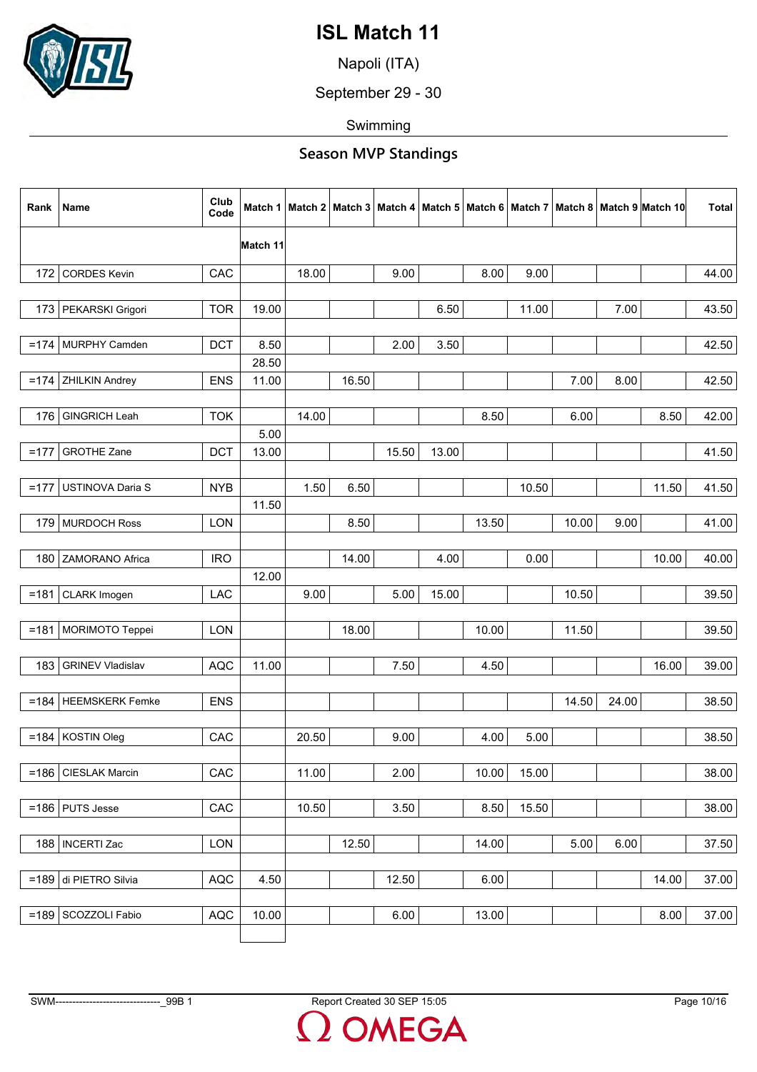

Napoli (ITA)

September 29 - 30

Swimming

### **Season MVP Standings**

| Rank   | Name                    | Club<br>Code | Match 1       |       |       |       |       |       |       |       |       | Match 2   Match 3   Match 4   Match 5   Match 6   Match 7   Match 8   Match 9  Match 10 | <b>Total</b> |
|--------|-------------------------|--------------|---------------|-------|-------|-------|-------|-------|-------|-------|-------|-----------------------------------------------------------------------------------------|--------------|
|        |                         |              | Match 11      |       |       |       |       |       |       |       |       |                                                                                         |              |
| 172    | <b>CORDES Kevin</b>     | CAC          |               | 18.00 |       | 9.00  |       | 8.00  | 9.00  |       |       |                                                                                         | 44.00        |
|        |                         |              |               |       |       |       |       |       |       |       |       |                                                                                         |              |
|        | 173   PEKARSKI Grigori  | <b>TOR</b>   | 19.00         |       |       |       | 6.50  |       | 11.00 |       | 7.00  |                                                                                         | 43.50        |
|        |                         |              |               |       |       |       |       |       |       |       |       |                                                                                         |              |
| $=174$ | MURPHY Camden           | <b>DCT</b>   | 8.50          |       |       | 2.00  | 3.50  |       |       |       |       |                                                                                         | 42.50        |
|        |                         |              | 28.50         |       |       |       |       |       |       |       |       |                                                                                         |              |
| $=174$ | <b>ZHILKIN Andrey</b>   | <b>ENS</b>   | 11.00         |       | 16.50 |       |       |       |       | 7.00  | 8.00  |                                                                                         | 42.50        |
|        |                         |              |               |       |       |       |       |       |       |       |       |                                                                                         |              |
| 176    | <b>GINGRICH Leah</b>    | <b>TOK</b>   |               | 14.00 |       |       |       | 8.50  |       | 6.00  |       | 8.50                                                                                    | 42.00        |
| $=177$ | <b>GROTHE Zane</b>      | <b>DCT</b>   | 5.00<br>13.00 |       |       | 15.50 | 13.00 |       |       |       |       |                                                                                         | 41.50        |
|        |                         |              |               |       |       |       |       |       |       |       |       |                                                                                         |              |
| $=177$ | USTINOVA Daria S        | <b>NYB</b>   |               | 1.50  | 6.50  |       |       |       | 10.50 |       |       | 11.50                                                                                   | 41.50        |
|        |                         |              | 11.50         |       |       |       |       |       |       |       |       |                                                                                         |              |
|        | 179 MURDOCH Ross        | <b>LON</b>   |               |       | 8.50  |       |       | 13.50 |       | 10.00 | 9.00  |                                                                                         | 41.00        |
|        |                         |              |               |       |       |       |       |       |       |       |       |                                                                                         |              |
| 180    | ZAMORANO Africa         | <b>IRO</b>   |               |       | 14.00 |       | 4.00  |       | 0.00  |       |       | 10.00                                                                                   | 40.00        |
|        |                         |              | 12.00         |       |       |       |       |       |       |       |       |                                                                                         |              |
| $=181$ | CLARK Imogen            | LAC          |               | 9.00  |       | 5.00  | 15.00 |       |       | 10.50 |       |                                                                                         | 39.50        |
|        |                         |              |               |       |       |       |       |       |       |       |       |                                                                                         |              |
|        | =181   MORIMOTO Teppei  | <b>LON</b>   |               |       | 18.00 |       |       | 10.00 |       | 11.50 |       |                                                                                         | 39.50        |
|        |                         |              |               |       |       |       |       |       |       |       |       |                                                                                         |              |
| 183    | <b>GRINEV Vladislav</b> | <b>AQC</b>   | 11.00         |       |       | 7.50  |       | 4.50  |       |       |       | 16.00                                                                                   | 39.00        |
|        |                         |              |               |       |       |       |       |       |       |       |       |                                                                                         |              |
|        | =184   HEEMSKERK Femke  | <b>ENS</b>   |               |       |       |       |       |       |       | 14.50 | 24.00 |                                                                                         | 38.50        |
|        | $=$ 184 KOSTIN Oleg     | CAC          |               | 20.50 |       | 9.00  |       | 4.00  | 5.00  |       |       |                                                                                         | 38.50        |
|        |                         |              |               |       |       |       |       |       |       |       |       |                                                                                         |              |
|        | =186   CIESLAK Marcin   | CAC          |               | 11.00 |       | 2.00  |       | 10.00 | 15.00 |       |       |                                                                                         | 38.00        |
|        |                         |              |               |       |       |       |       |       |       |       |       |                                                                                         |              |
|        | $=186$ PUTS Jesse       | CAC          |               | 10.50 |       | 3.50  |       | 8.50  | 15.50 |       |       |                                                                                         | 38.00        |
|        |                         |              |               |       |       |       |       |       |       |       |       |                                                                                         |              |
|        | 188   INCERTI Zac       | LON          |               |       | 12.50 |       |       | 14.00 |       | 5.00  | 6.00  |                                                                                         | 37.50        |
|        |                         |              |               |       |       |       |       |       |       |       |       |                                                                                         |              |
|        | =189 di PIETRO Silvia   | AQC          | 4.50          |       |       | 12.50 |       | 6.00  |       |       |       | 14.00                                                                                   | 37.00        |
|        |                         |              |               |       |       |       |       |       |       |       |       |                                                                                         |              |
| $=189$ | SCOZZOLI Fabio          | AQC          | 10.00         |       |       | 6.00  |       | 13.00 |       |       |       | 8.00                                                                                    | 37.00        |
|        |                         |              |               |       |       |       |       |       |       |       |       |                                                                                         |              |

OMEGA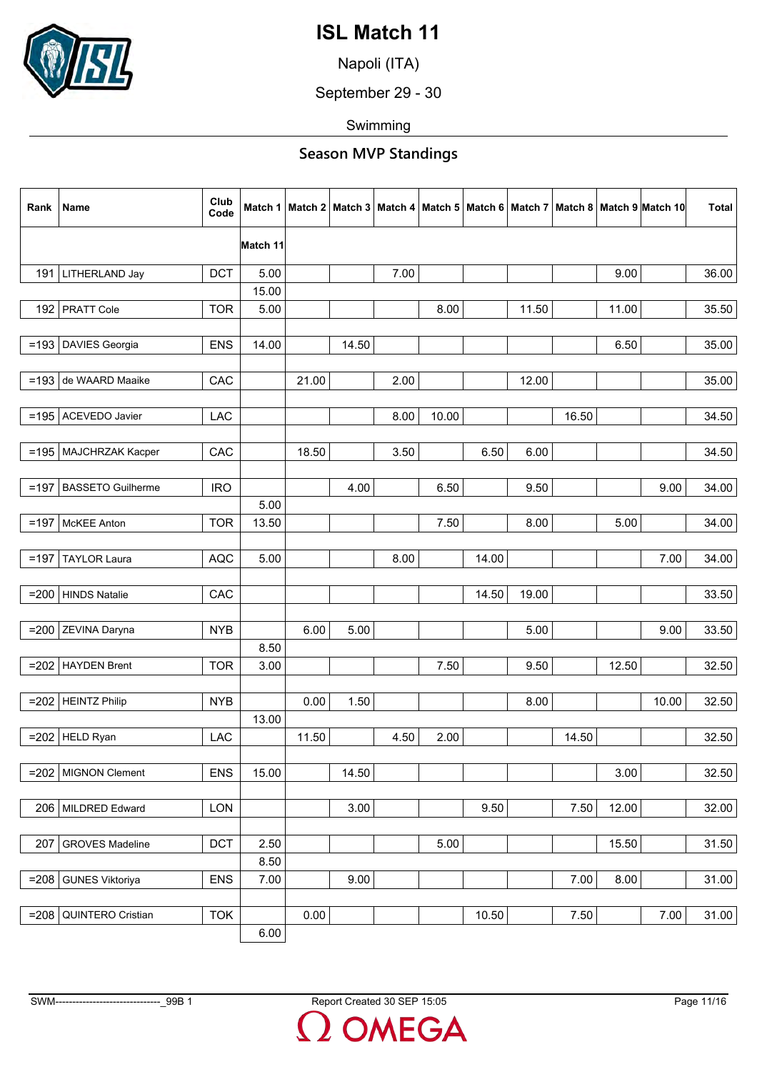

Napoli (ITA)

September 29 - 30

Swimming

| Rank    | Name                     | Club<br>Code | Match 1  |       |       |      |       |       |       |       |       | Match 2   Match 3   Match 4   Match 5   Match 6   Match 7   Match 8   Match 9  Match 10 | <b>Total</b> |
|---------|--------------------------|--------------|----------|-------|-------|------|-------|-------|-------|-------|-------|-----------------------------------------------------------------------------------------|--------------|
|         |                          |              | Match 11 |       |       |      |       |       |       |       |       |                                                                                         |              |
|         | 191 LITHERLAND Jay       | <b>DCT</b>   | 5.00     |       |       | 7.00 |       |       |       |       | 9.00  |                                                                                         | 36.00        |
|         |                          |              | 15.00    |       |       |      |       |       |       |       |       |                                                                                         |              |
|         | 192 PRATT Cole           | <b>TOR</b>   | 5.00     |       |       |      | 8.00  |       | 11.50 |       | 11.00 |                                                                                         | 35.50        |
|         |                          |              |          |       |       |      |       |       |       |       |       |                                                                                         |              |
| $=193$  | <b>DAVIES Georgia</b>    | <b>ENS</b>   | 14.00    |       | 14.50 |      |       |       |       |       | 6.50  |                                                                                         | 35.00        |
|         |                          |              |          |       |       |      |       |       |       |       |       |                                                                                         |              |
|         | =193 de WAARD Maaike     | CAC          |          | 21.00 |       | 2.00 |       |       | 12.00 |       |       |                                                                                         | 35.00        |
|         | $=195$ ACEVEDO Javier    | LAC          |          |       |       | 8.00 | 10.00 |       |       | 16.50 |       |                                                                                         | 34.50        |
|         |                          |              |          |       |       |      |       |       |       |       |       |                                                                                         |              |
|         | =195   MAJCHRZAK Kacper  | CAC          |          | 18.50 |       | 3.50 |       | 6.50  | 6.00  |       |       |                                                                                         | 34.50        |
|         |                          |              |          |       |       |      |       |       |       |       |       |                                                                                         |              |
|         | $=197$ BASSETO Guilherme | <b>IRO</b>   |          |       | 4.00  |      | 6.50  |       | 9.50  |       |       | 9.00                                                                                    | 34.00        |
|         |                          |              | 5.00     |       |       |      |       |       |       |       |       |                                                                                         |              |
| $=197$  | McKEE Anton              | <b>TOR</b>   | 13.50    |       |       |      | 7.50  |       | 8.00  |       | 5.00  |                                                                                         | 34.00        |
|         |                          |              |          |       |       |      |       |       |       |       |       |                                                                                         |              |
| $=197$  | <b>TAYLOR Laura</b>      | <b>AQC</b>   | 5.00     |       |       | 8.00 |       | 14.00 |       |       |       | 7.00                                                                                    | 34.00        |
|         |                          |              |          |       |       |      |       |       |       |       |       |                                                                                         |              |
| $= 200$ | HINDS Natalie            | CAC          |          |       |       |      |       | 14.50 | 19.00 |       |       |                                                                                         | 33.50        |
|         |                          |              |          |       |       |      |       |       |       |       |       |                                                                                         |              |
| $= 200$ | ZEVINA Daryna            | <b>NYB</b>   |          | 6.00  | 5.00  |      |       |       | 5.00  |       |       | 9.00                                                                                    | 33.50        |
|         |                          |              | 8.50     |       |       |      |       |       |       |       |       |                                                                                         |              |
| $=202$  | HAYDEN Brent             | <b>TOR</b>   | 3.00     |       |       |      | 7.50  |       | 9.50  |       | 12.50 |                                                                                         | 32.50        |
|         |                          |              |          | 0.00  |       |      |       |       |       |       |       |                                                                                         |              |
|         | $=202$ HEINTZ Philip     | <b>NYB</b>   | 13.00    |       | 1.50  |      |       |       | 8.00  |       |       | 10.00                                                                                   | 32.50        |
|         | $=202$ HELD Ryan         | LAC          |          | 11.50 |       | 4.50 | 2.00  |       |       | 14.50 |       |                                                                                         | 32.50        |
|         |                          |              |          |       |       |      |       |       |       |       |       |                                                                                         |              |
|         | $= 202$ MIGNON Clement   | <b>ENS</b>   | 15.00    |       | 14.50 |      |       |       |       |       | 3.00  |                                                                                         | 32.50        |
|         |                          |              |          |       |       |      |       |       |       |       |       |                                                                                         |              |
|         | 206   MILDRED Edward     | LON          |          |       | 3.00  |      |       | 9.50  |       | 7.50  | 12.00 |                                                                                         | 32.00        |
|         |                          |              |          |       |       |      |       |       |       |       |       |                                                                                         |              |
| 207     | <b>GROVES Madeline</b>   | DCT          | 2.50     |       |       |      | 5.00  |       |       |       | 15.50 |                                                                                         | 31.50        |
|         |                          |              | 8.50     |       |       |      |       |       |       |       |       |                                                                                         |              |
|         | =208 GUNES Viktoriya     | <b>ENS</b>   | 7.00     |       | 9.00  |      |       |       |       | 7.00  | 8.00  |                                                                                         | 31.00        |
|         |                          |              |          |       |       |      |       |       |       |       |       |                                                                                         |              |
| $= 208$ | QUINTERO Cristian        | <b>TOK</b>   |          | 0.00  |       |      |       | 10.50 |       | 7.50  |       | 7.00                                                                                    | 31.00        |
|         |                          |              | 6.00     |       |       |      |       |       |       |       |       |                                                                                         |              |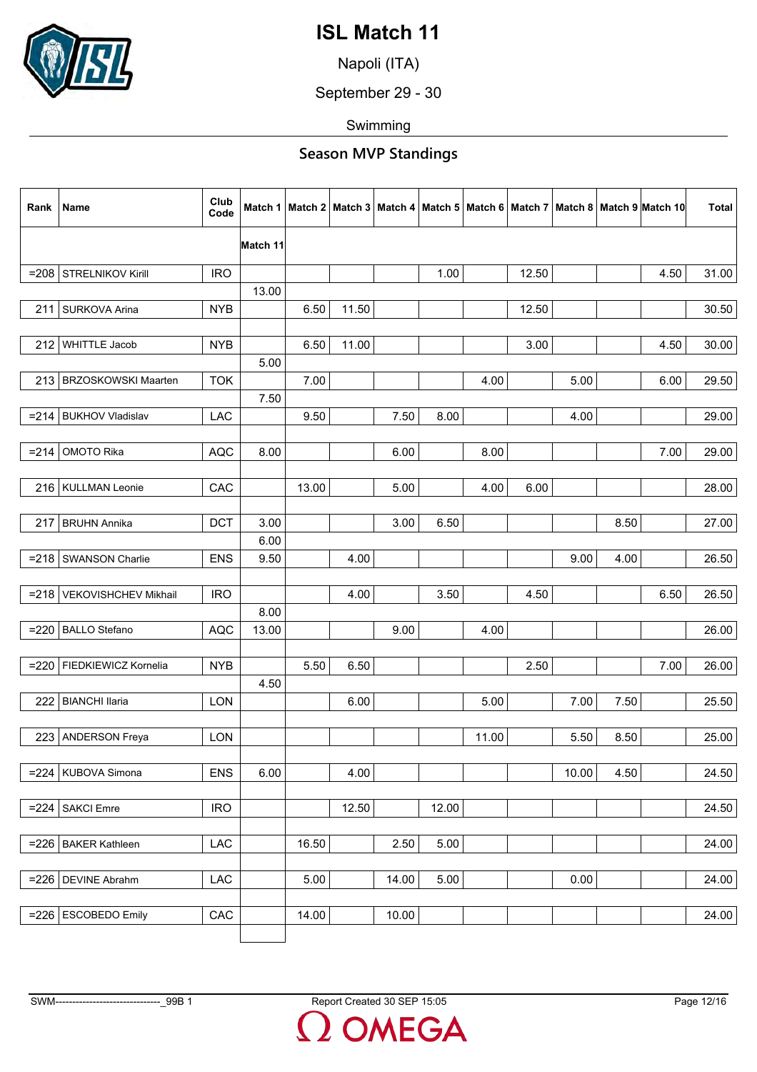

Napoli (ITA)

September 29 - 30

Swimming

| Rank    | Name                       | Club<br>Code |          |       |       |       |       |       |       |       |      | Match 1   Match 2   Match 3   Match 4   Match 5   Match 6   Match 7   Match 8   Match 9   Match 10 | Total |
|---------|----------------------------|--------------|----------|-------|-------|-------|-------|-------|-------|-------|------|----------------------------------------------------------------------------------------------------|-------|
|         |                            |              | Match 11 |       |       |       |       |       |       |       |      |                                                                                                    |       |
| $= 208$ | STRELNIKOV Kirill          | <b>IRO</b>   |          |       |       |       | 1.00  |       | 12.50 |       |      | 4.50                                                                                               | 31.00 |
|         |                            |              | 13.00    |       |       |       |       |       |       |       |      |                                                                                                    |       |
| 211     | SURKOVA Arina              | <b>NYB</b>   |          | 6.50  | 11.50 |       |       |       | 12.50 |       |      |                                                                                                    | 30.50 |
|         |                            |              |          |       |       |       |       |       |       |       |      |                                                                                                    |       |
| 212     | <b>WHITTLE Jacob</b>       | <b>NYB</b>   |          | 6.50  | 11.00 |       |       |       | 3.00  |       |      | 4.50                                                                                               | 30.00 |
|         |                            |              | 5.00     |       |       |       |       |       |       |       |      |                                                                                                    |       |
| 213     | <b>BRZOSKOWSKI Maarten</b> | <b>TOK</b>   |          | 7.00  |       |       |       | 4.00  |       | 5.00  |      | 6.00                                                                                               | 29.50 |
|         |                            |              | 7.50     |       |       |       |       |       |       |       |      |                                                                                                    |       |
|         | =214   BUKHOV Vladislav    | LAC          |          | 9.50  |       | 7.50  | 8.00  |       |       | 4.00  |      |                                                                                                    | 29.00 |
|         |                            |              |          |       |       |       |       |       |       |       |      |                                                                                                    |       |
| $= 214$ | OMOTO Rika                 | <b>AQC</b>   | 8.00     |       |       | 6.00  |       | 8.00  |       |       |      | 7.00                                                                                               | 29.00 |
|         |                            |              |          |       |       |       |       |       |       |       |      |                                                                                                    |       |
|         | 216   KULLMAN Leonie       | CAC          |          | 13.00 |       | 5.00  |       | 4.00  | 6.00  |       |      |                                                                                                    | 28.00 |
|         |                            |              |          |       |       |       |       |       |       |       |      |                                                                                                    |       |
| 217     | <b>BRUHN Annika</b>        | <b>DCT</b>   | 3.00     |       |       | 3.00  | 6.50  |       |       |       | 8.50 |                                                                                                    | 27.00 |
|         |                            |              | 6.00     |       |       |       |       |       |       |       |      |                                                                                                    |       |
| $= 218$ | SWANSON Charlie            | <b>ENS</b>   | 9.50     |       | 4.00  |       |       |       |       | 9.00  | 4.00 |                                                                                                    | 26.50 |
|         |                            |              |          |       |       |       |       |       |       |       |      |                                                                                                    |       |
| $= 218$ | VEKOVISHCHEV Mikhail       | <b>IRO</b>   |          |       | 4.00  |       | 3.50  |       | 4.50  |       |      | 6.50                                                                                               | 26.50 |
|         |                            |              | 8.00     |       |       |       |       |       |       |       |      |                                                                                                    |       |
| $= 220$ | <b>BALLO Stefano</b>       | <b>AQC</b>   | 13.00    |       |       | 9.00  |       | 4.00  |       |       |      |                                                                                                    | 26.00 |
|         |                            |              |          |       |       |       |       |       |       |       |      |                                                                                                    |       |
| $= 220$ | FIEDKIEWICZ Kornelia       | <b>NYB</b>   |          | 5.50  | 6.50  |       |       |       | 2.50  |       |      | 7.00                                                                                               | 26.00 |
|         |                            |              | 4.50     |       |       |       |       |       |       |       |      |                                                                                                    |       |
| 222     | <b>BIANCHI llaria</b>      | <b>LON</b>   |          |       | 6.00  |       |       | 5.00  |       | 7.00  | 7.50 |                                                                                                    | 25.50 |
|         |                            |              |          |       |       |       |       |       |       |       |      |                                                                                                    |       |
|         | 223   ANDERSON Freya       | <b>LON</b>   |          |       |       |       |       | 11.00 |       | 5.50  | 8.50 |                                                                                                    | 25.00 |
|         |                            |              |          |       |       |       |       |       |       |       |      |                                                                                                    |       |
|         | $= 224$ KUBOVA Simona      | <b>ENS</b>   | 6.00     |       | 4.00  |       |       |       |       | 10.00 | 4.50 |                                                                                                    | 24.50 |
|         | <b>SAKCI Emre</b>          |              |          |       |       |       | 12.00 |       |       |       |      |                                                                                                    |       |
| $= 224$ |                            | <b>IRO</b>   |          |       | 12.50 |       |       |       |       |       |      |                                                                                                    | 24.50 |
|         | <b>BAKER Kathleen</b>      | LAC          |          | 16.50 |       | 2.50  | 5.00  |       |       |       |      |                                                                                                    | 24.00 |
| $= 226$ |                            |              |          |       |       |       |       |       |       |       |      |                                                                                                    |       |
|         | $= 226$ DEVINE Abrahm      | LAC          |          | 5.00  |       | 14.00 | 5.00  |       |       | 0.00  |      |                                                                                                    | 24.00 |
|         |                            |              |          |       |       |       |       |       |       |       |      |                                                                                                    |       |
| $= 226$ | <b>ESCOBEDO Emily</b>      | CAC          |          | 14.00 |       | 10.00 |       |       |       |       |      |                                                                                                    | 24.00 |
|         |                            |              |          |       |       |       |       |       |       |       |      |                                                                                                    |       |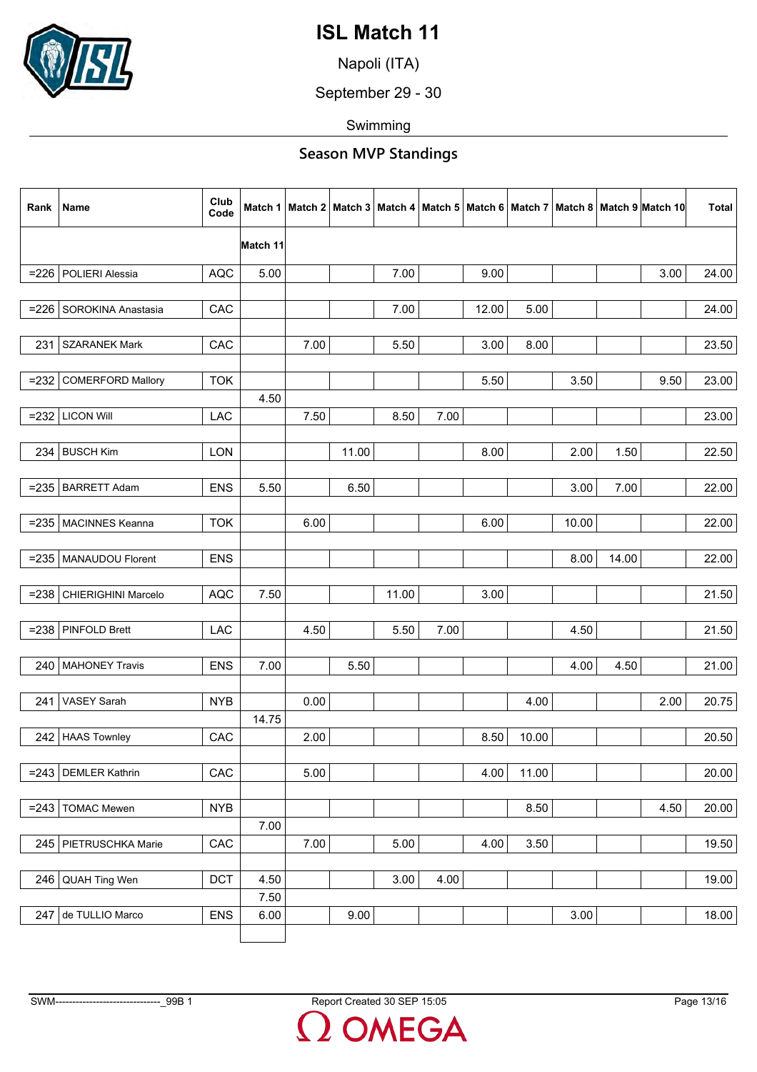

Napoli (ITA)

September 29 - 30

Swimming

| Rank    | Name                      | Club<br>Code | Match 1  |      |       |       |      |       |       |       |       | Match 2   Match 3   Match 4   Match 5   Match 6   Match 7   Match 8   Match 9   Match 10 | <b>Total</b> |
|---------|---------------------------|--------------|----------|------|-------|-------|------|-------|-------|-------|-------|------------------------------------------------------------------------------------------|--------------|
|         |                           |              | Match 11 |      |       |       |      |       |       |       |       |                                                                                          |              |
| $= 226$ | POLIERI Alessia           | <b>AQC</b>   | 5.00     |      |       | 7.00  |      | 9.00  |       |       |       | 3.00                                                                                     | 24.00        |
|         |                           |              |          |      |       |       |      |       |       |       |       |                                                                                          |              |
|         | =226   SOROKINA Anastasia | CAC          |          |      |       | 7.00  |      | 12.00 | 5.00  |       |       |                                                                                          | 24.00        |
|         |                           |              |          |      |       |       |      |       |       |       |       |                                                                                          |              |
| 231     | <b>SZARANEK Mark</b>      | CAC          |          | 7.00 |       | 5.50  |      | 3.00  | 8.00  |       |       |                                                                                          | 23.50        |
|         |                           |              |          |      |       |       |      |       |       |       |       |                                                                                          |              |
| $= 232$ | <b>COMERFORD Mallory</b>  | <b>TOK</b>   |          |      |       |       |      | 5.50  |       | 3.50  |       | 9.50                                                                                     | 23.00        |
|         |                           |              | 4.50     |      |       |       |      |       |       |       |       |                                                                                          |              |
|         | $= 232$ LICON Will        | LAC          |          | 7.50 |       | 8.50  | 7.00 |       |       |       |       |                                                                                          | 23.00        |
|         |                           |              |          |      |       |       |      |       |       |       |       |                                                                                          |              |
| 234     | <b>BUSCH Kim</b>          | LON          |          |      | 11.00 |       |      | 8.00  |       | 2.00  | 1.50  |                                                                                          | 22.50        |
|         |                           |              |          |      |       |       |      |       |       |       |       |                                                                                          |              |
| $= 235$ | <b>BARRETT Adam</b>       | <b>ENS</b>   | 5.50     |      | 6.50  |       |      |       |       | 3.00  | 7.00  |                                                                                          | 22.00        |
|         |                           |              |          |      |       |       |      |       |       |       |       |                                                                                          |              |
|         | =235   MACINNES Keanna    | <b>TOK</b>   |          | 6.00 |       |       |      | 6.00  |       | 10.00 |       |                                                                                          | 22.00        |
|         |                           |              |          |      |       |       |      |       |       |       |       |                                                                                          |              |
|         | =235   MANAUDOU Florent   | <b>ENS</b>   |          |      |       |       |      |       |       | 8.00  | 14.00 |                                                                                          | 22.00        |
|         |                           |              |          |      |       |       |      |       |       |       |       |                                                                                          |              |
| $= 238$ | CHIERIGHINI Marcelo       | <b>AQC</b>   | 7.50     |      |       | 11.00 |      | 3.00  |       |       |       |                                                                                          | 21.50        |
|         |                           |              |          |      |       |       |      |       |       |       |       |                                                                                          |              |
| $= 238$ | <b>PINFOLD Brett</b>      | LAC          |          | 4.50 |       | 5.50  | 7.00 |       |       | 4.50  |       |                                                                                          | 21.50        |
|         |                           |              |          |      |       |       |      |       |       |       |       |                                                                                          |              |
| 240     | <b>MAHONEY Travis</b>     | <b>ENS</b>   | 7.00     |      | 5.50  |       |      |       |       | 4.00  | 4.50  |                                                                                          | 21.00        |
|         |                           |              |          |      |       |       |      |       |       |       |       |                                                                                          |              |
| 241     | VASEY Sarah               | <b>NYB</b>   |          | 0.00 |       |       |      |       | 4.00  |       |       | 2.00                                                                                     | 20.75        |
|         |                           |              | 14.75    |      |       |       |      |       |       |       |       |                                                                                          |              |
|         | 242 HAAS Townley          | CAC          |          | 2.00 |       |       |      | 8.50  | 10.00 |       |       |                                                                                          | 20.50        |
|         |                           |              |          |      |       |       |      |       |       |       |       |                                                                                          |              |
|         | $= 243$ DEMLER Kathrin    | CAC          |          | 5.00 |       |       |      | 4.00  | 11.00 |       |       |                                                                                          | 20.00        |
|         |                           |              |          |      |       |       |      |       |       |       |       |                                                                                          |              |
| $= 243$ | <b>TOMAC Mewen</b>        | <b>NYB</b>   |          |      |       |       |      |       | 8.50  |       |       | 4.50                                                                                     | 20.00        |
|         |                           |              | 7.00     |      |       |       |      |       |       |       |       |                                                                                          |              |
|         | 245 PIETRUSCHKA Marie     | CAC          |          | 7.00 |       | 5.00  |      | 4.00  | 3.50  |       |       |                                                                                          | 19.50        |
|         |                           |              |          |      |       |       |      |       |       |       |       |                                                                                          |              |
|         | 246 QUAH Ting Wen         | <b>DCT</b>   | 4.50     |      |       | 3.00  | 4.00 |       |       |       |       |                                                                                          | 19.00        |
|         |                           |              | 7.50     |      |       |       |      |       |       |       |       |                                                                                          |              |
| 247     | de TULLIO Marco           | <b>ENS</b>   | 6.00     |      | 9.00  |       |      |       |       | 3.00  |       |                                                                                          | 18.00        |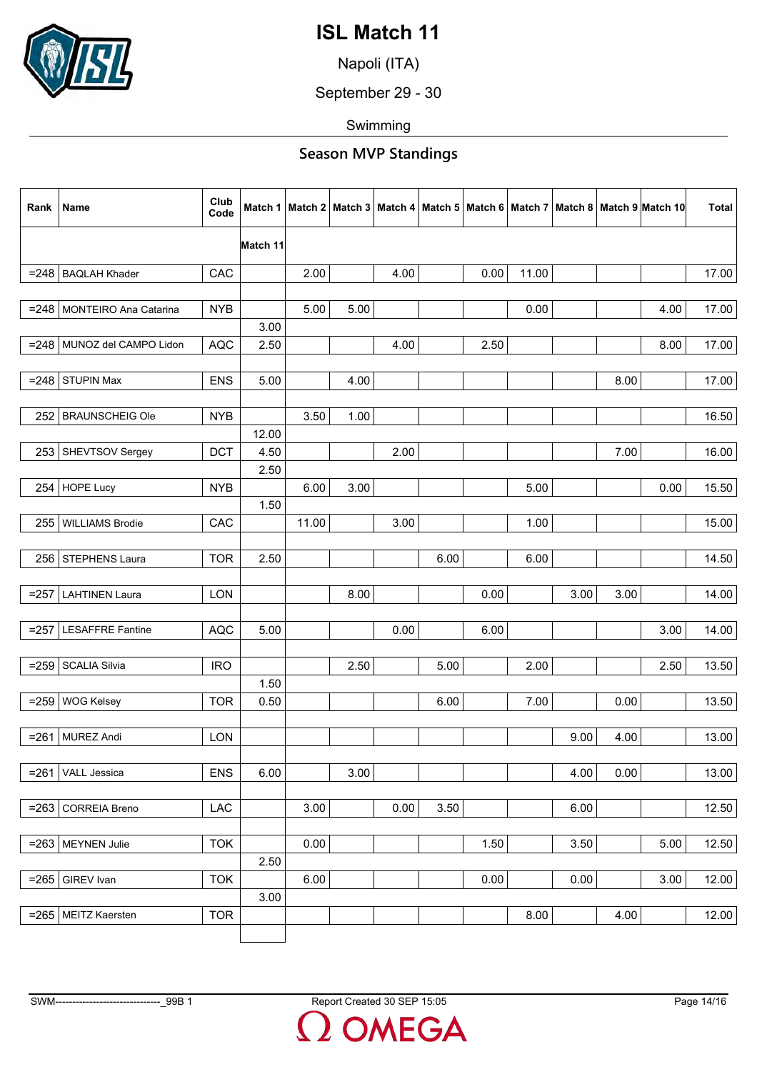

Napoli (ITA)

September 29 - 30

Swimming

| Rank    | Name                         | Club<br>Code | Match 1  |       |      |      |      |      |       |      |      | Match 2   Match 3   Match 4   Match 5   Match 6   Match 7   Match 8   Match 9  Match 10 | <b>Total</b> |
|---------|------------------------------|--------------|----------|-------|------|------|------|------|-------|------|------|-----------------------------------------------------------------------------------------|--------------|
|         |                              |              | Match 11 |       |      |      |      |      |       |      |      |                                                                                         |              |
|         | $= 248$ BAQLAH Khader        | CAC          |          | 2.00  |      | 4.00 |      | 0.00 | 11.00 |      |      |                                                                                         | 17.00        |
|         |                              |              |          |       |      |      |      |      |       |      |      |                                                                                         |              |
|         | =248   MONTEIRO Ana Catarina | <b>NYB</b>   |          | 5.00  | 5.00 |      |      |      | 0.00  |      |      | 4.00                                                                                    | 17.00        |
|         |                              |              | 3.00     |       |      |      |      |      |       |      |      |                                                                                         |              |
|         | =248   MUNOZ del CAMPO Lidon | <b>AQC</b>   | 2.50     |       |      | 4.00 |      | 2.50 |       |      |      | 8.00                                                                                    | 17.00        |
|         |                              |              |          |       |      |      |      |      |       |      |      |                                                                                         |              |
| $= 248$ | STUPIN Max                   | <b>ENS</b>   | 5.00     |       | 4.00 |      |      |      |       |      | 8.00 |                                                                                         | 17.00        |
|         |                              |              |          |       |      |      |      |      |       |      |      |                                                                                         |              |
|         | 252 BRAUNSCHEIG Ole          | <b>NYB</b>   |          | 3.50  | 1.00 |      |      |      |       |      |      |                                                                                         | 16.50        |
|         |                              |              | 12.00    |       |      |      |      |      |       |      |      |                                                                                         |              |
| 253     | SHEVTSOV Sergey              | <b>DCT</b>   | 4.50     |       |      | 2.00 |      |      |       |      | 7.00 |                                                                                         | 16.00        |
|         |                              |              | 2.50     |       |      |      |      |      |       |      |      |                                                                                         |              |
| 254     | HOPE Lucy                    | <b>NYB</b>   |          | 6.00  | 3.00 |      |      |      | 5.00  |      |      | 0.00                                                                                    | 15.50        |
|         |                              |              | 1.50     |       |      |      |      |      |       |      |      |                                                                                         |              |
| 255     | <b>WILLIAMS Brodie</b>       | CAC          |          | 11.00 |      | 3.00 |      |      | 1.00  |      |      |                                                                                         | 15.00        |
|         |                              |              |          |       |      |      |      |      |       |      |      |                                                                                         |              |
| 256     | STEPHENS Laura               | <b>TOR</b>   | 2.50     |       |      |      | 6.00 |      | 6.00  |      |      |                                                                                         | 14.50        |
|         |                              |              |          |       |      |      |      |      |       |      |      |                                                                                         |              |
| $= 257$ | <b>LAHTINEN Laura</b>        | <b>LON</b>   |          |       | 8.00 |      |      | 0.00 |       | 3.00 | 3.00 |                                                                                         | 14.00        |
|         |                              |              |          |       |      |      |      |      |       |      |      |                                                                                         |              |
|         | =257   LESAFFRE Fantine      | <b>AQC</b>   | 5.00     |       |      | 0.00 |      | 6.00 |       |      |      | 3.00                                                                                    | 14.00        |
|         |                              |              |          |       |      |      |      |      |       |      |      |                                                                                         |              |
| $= 259$ | <b>SCALIA Silvia</b>         | <b>IRO</b>   |          |       | 2.50 |      | 5.00 |      | 2.00  |      |      | 2.50                                                                                    | 13.50        |
|         |                              |              | 1.50     |       |      |      |      |      |       |      |      |                                                                                         |              |
| $= 259$ | <b>WOG Kelsey</b>            | <b>TOR</b>   | 0.50     |       |      |      | 6.00 |      | 7.00  |      | 0.00 |                                                                                         | 13.50        |
|         |                              |              |          |       |      |      |      |      |       |      |      |                                                                                         |              |
|         | =261   MUREZ Andi            | LON          |          |       |      |      |      |      |       | 9.00 | 4.00 |                                                                                         | 13.00        |
|         |                              |              |          |       |      |      |      |      |       |      |      |                                                                                         |              |
| $= 261$ | VALL Jessica                 | <b>ENS</b>   | 6.00     |       | 3.00 |      |      |      |       | 4.00 | 0.00 |                                                                                         | 13.00        |
|         |                              |              |          |       |      |      |      |      |       |      |      |                                                                                         |              |
| $= 263$ | <b>CORREIA Breno</b>         | <b>LAC</b>   |          | 3.00  |      | 0.00 | 3.50 |      |       | 6.00 |      |                                                                                         | 12.50        |
|         |                              |              |          |       |      |      |      |      |       |      |      |                                                                                         |              |
|         | $= 263$ MEYNEN Julie         | <b>TOK</b>   |          | 0.00  |      |      |      | 1.50 |       | 3.50 |      | 5.00                                                                                    | 12.50        |
|         |                              |              | 2.50     |       |      |      |      |      |       |      |      |                                                                                         |              |
|         | $= 265$ GIREV Ivan           | <b>TOK</b>   |          | 6.00  |      |      |      | 0.00 |       | 0.00 |      | 3.00                                                                                    | 12.00        |
|         |                              |              | 3.00     |       |      |      |      |      |       |      |      |                                                                                         |              |
|         | =265   MEITZ Kaersten        | <b>TOR</b>   |          |       |      |      |      |      | 8.00  |      | 4.00 |                                                                                         | 12.00        |
|         |                              |              |          |       |      |      |      |      |       |      |      |                                                                                         |              |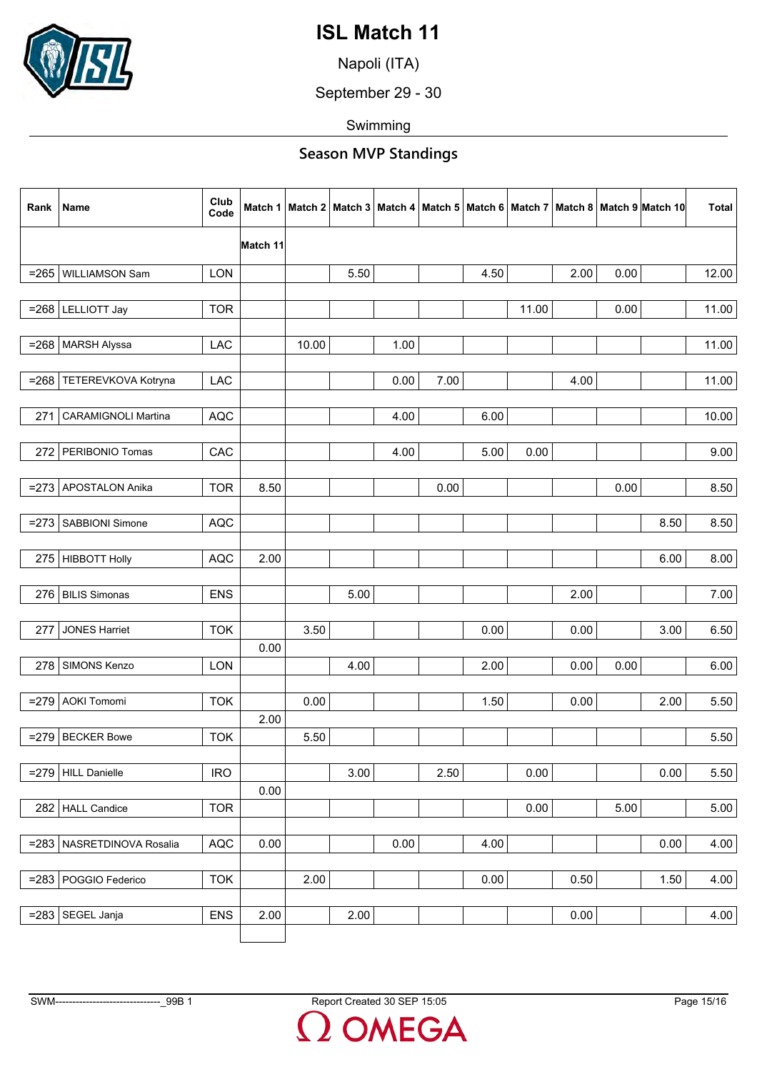

Napoli (ITA)

September 29 - 30

Swimming

| Rank    | Name                        | Club<br>Code | Match 1  |       |      |      |      |      |       |      |      | Match 2   Match 3   Match 4   Match 5   Match 6   Match 7   Match 8   Match 9   Match 10 | <b>Total</b> |
|---------|-----------------------------|--------------|----------|-------|------|------|------|------|-------|------|------|------------------------------------------------------------------------------------------|--------------|
|         |                             |              | Match 11 |       |      |      |      |      |       |      |      |                                                                                          |              |
| $= 265$ | WILLIAMSON Sam              | LON          |          |       | 5.50 |      |      | 4.50 |       | 2.00 | 0.00 |                                                                                          | 12.00        |
|         |                             |              |          |       |      |      |      |      |       |      |      |                                                                                          |              |
|         | $= 268$ LELLIOTT Jay        | <b>TOR</b>   |          |       |      |      |      |      | 11.00 |      | 0.00 |                                                                                          | 11.00        |
|         |                             |              |          |       |      |      |      |      |       |      |      |                                                                                          |              |
| $= 268$ | <b>MARSH Alyssa</b>         | LAC          |          | 10.00 |      | 1.00 |      |      |       |      |      |                                                                                          | 11.00        |
|         |                             |              |          |       |      |      |      |      |       |      |      |                                                                                          |              |
| $= 268$ | TETEREVKOVA Kotryna         | LAC          |          |       |      | 0.00 | 7.00 |      |       | 4.00 |      |                                                                                          | 11.00        |
| 271     | <b>CARAMIGNOLI Martina</b>  | <b>AQC</b>   |          |       |      | 4.00 |      | 6.00 |       |      |      |                                                                                          | 10.00        |
|         |                             |              |          |       |      |      |      |      |       |      |      |                                                                                          |              |
| 272     | PERIBONIO Tomas             | CAC          |          |       |      | 4.00 |      | 5.00 | 0.00  |      |      |                                                                                          | 9.00         |
|         |                             |              |          |       |      |      |      |      |       |      |      |                                                                                          |              |
| $= 273$ | APOSTALON Anika             | <b>TOR</b>   | 8.50     |       |      |      | 0.00 |      |       |      | 0.00 |                                                                                          | 8.50         |
|         |                             |              |          |       |      |      |      |      |       |      |      |                                                                                          |              |
|         | =273   SABBIONI Simone      | <b>AQC</b>   |          |       |      |      |      |      |       |      |      | 8.50                                                                                     | 8.50         |
|         |                             |              |          |       |      |      |      |      |       |      |      |                                                                                          |              |
|         | 275   HIBBOTT Holly         | <b>AQC</b>   | 2.00     |       |      |      |      |      |       |      |      | 6.00                                                                                     | 8.00         |
|         |                             |              |          |       |      |      |      |      |       |      |      |                                                                                          |              |
| 276     | <b>BILIS Simonas</b>        | <b>ENS</b>   |          |       | 5.00 |      |      |      |       | 2.00 |      |                                                                                          | 7.00         |
|         |                             |              |          |       |      |      |      |      |       |      |      |                                                                                          |              |
| 277     | <b>JONES Harriet</b>        | <b>TOK</b>   |          | 3.50  |      |      |      | 0.00 |       | 0.00 |      | 3.00                                                                                     | 6.50         |
|         |                             |              | 0.00     |       |      |      |      |      |       |      |      |                                                                                          |              |
|         | 278 SIMONS Kenzo            | LON          |          |       | 4.00 |      |      | 2.00 |       | 0.00 | 0.00 |                                                                                          | 6.00         |
| $= 279$ | <b>AOKI Tomomi</b>          | <b>TOK</b>   |          | 0.00  |      |      |      | 1.50 |       | 0.00 |      | 2.00                                                                                     | 5.50         |
|         |                             |              | 2.00     |       |      |      |      |      |       |      |      |                                                                                          |              |
|         | $=$ 279 BECKER Bowe         | <b>TOK</b>   |          | 5.50  |      |      |      |      |       |      |      |                                                                                          | 5.50         |
|         |                             |              |          |       |      |      |      |      |       |      |      |                                                                                          |              |
|         | $=$ 279 HILL Danielle       | <b>IRO</b>   |          |       | 3.00 |      | 2.50 |      | 0.00  |      |      | 0.00                                                                                     | 5.50         |
|         |                             |              | 0.00     |       |      |      |      |      |       |      |      |                                                                                          |              |
| 282     | <b>HALL Candice</b>         | <b>TOR</b>   |          |       |      |      |      |      | 0.00  |      | 5.00 |                                                                                          | 5.00         |
|         |                             |              |          |       |      |      |      |      |       |      |      |                                                                                          |              |
|         | =283   NASRETDINOVA Rosalia | <b>AQC</b>   | 0.00     |       |      | 0.00 |      | 4.00 |       |      |      | 0.00                                                                                     | 4.00         |
|         |                             |              |          |       |      |      |      |      |       |      |      |                                                                                          |              |
|         | =283   POGGIO Federico      | <b>TOK</b>   |          | 2.00  |      |      |      | 0.00 |       | 0.50 |      | 1.50                                                                                     | 4.00         |
|         |                             |              |          |       |      |      |      |      |       |      |      |                                                                                          |              |
|         | =283 SEGEL Janja            | <b>ENS</b>   | 2.00     |       | 2.00 |      |      |      |       | 0.00 |      |                                                                                          | 4.00         |
|         |                             |              |          |       |      |      |      |      |       |      |      |                                                                                          |              |